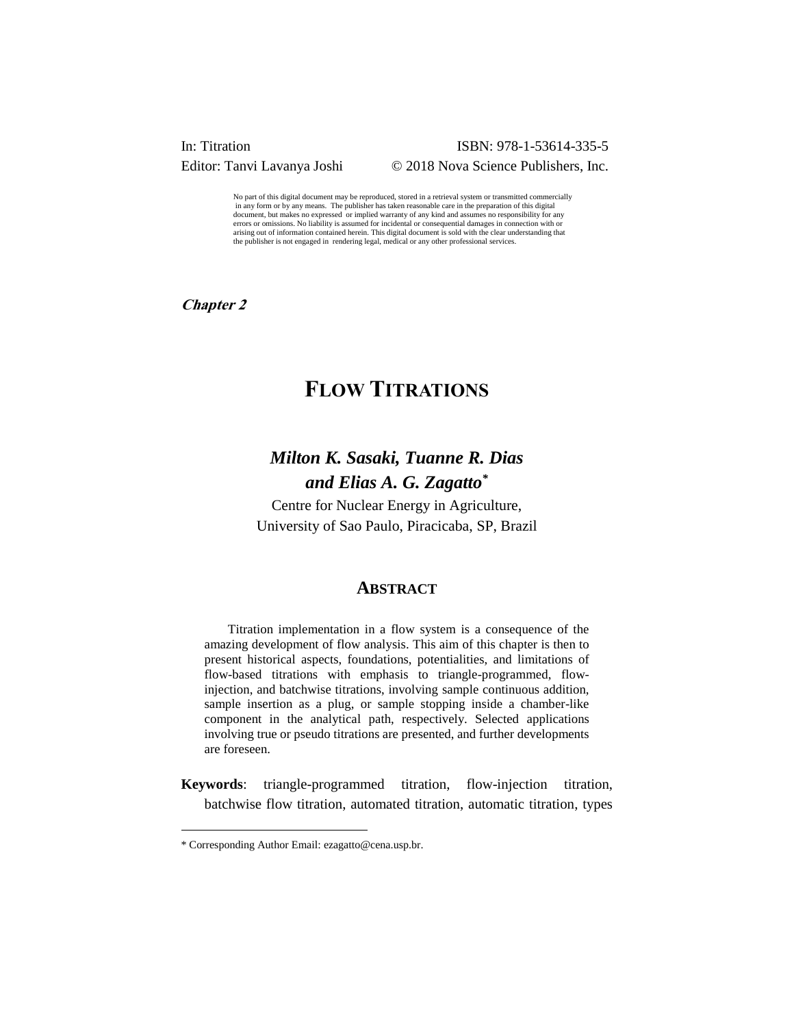**In: Titration ISBN: 978-1-53614-335-5** Editor: Tanvi Lavanya Joshi © 2018 Nova Science Publishers, Inc.

> No part of this digital document may be reproduced, stored in a retrieval system or transmitted commercially in any form or by any means. The publisher has taken reasonable care in the preparation of this digital document, but makes no expressed or implied warranty of any kind and assumes no responsibility for any errors or omissions. No liability is assumed for incidental or consequential damages in connection with or arising out of information contained herein. This digital document is sold with the clear understanding that the publisher is not engaged in rendering legal, medical or any other professional services.

**Chapter 2** 

# **FLOW TITRATIONS**

# *Milton K. Sasaki, Tuanne R. Dias and Elias A. G. Zagatto\**

Centre for Nuclear Energy in Agriculture, University of Sao Paulo, Piracicaba, SP, Brazil

#### **ABSTRACT**

Titration implementation in a flow system is a consequence of the amazing development of flow analysis. This aim of this chapter is then to present historical aspects, foundations, potentialities, and limitations of flow-based titrations with emphasis to triangle-programmed, flowinjection, and batchwise titrations, involving sample continuous addition, sample insertion as a plug, or sample stopping inside a chamber-like component in the analytical path, respectively. Selected applications involving true or pseudo titrations are presented, and further developments are foreseen.

**Keywords**: triangle-programmed titration, flow-injection titration, batchwise flow titration, automated titration, automatic titration, types

l

<sup>\*</sup> Corresponding Author Email: ezagatto@cena.usp.br.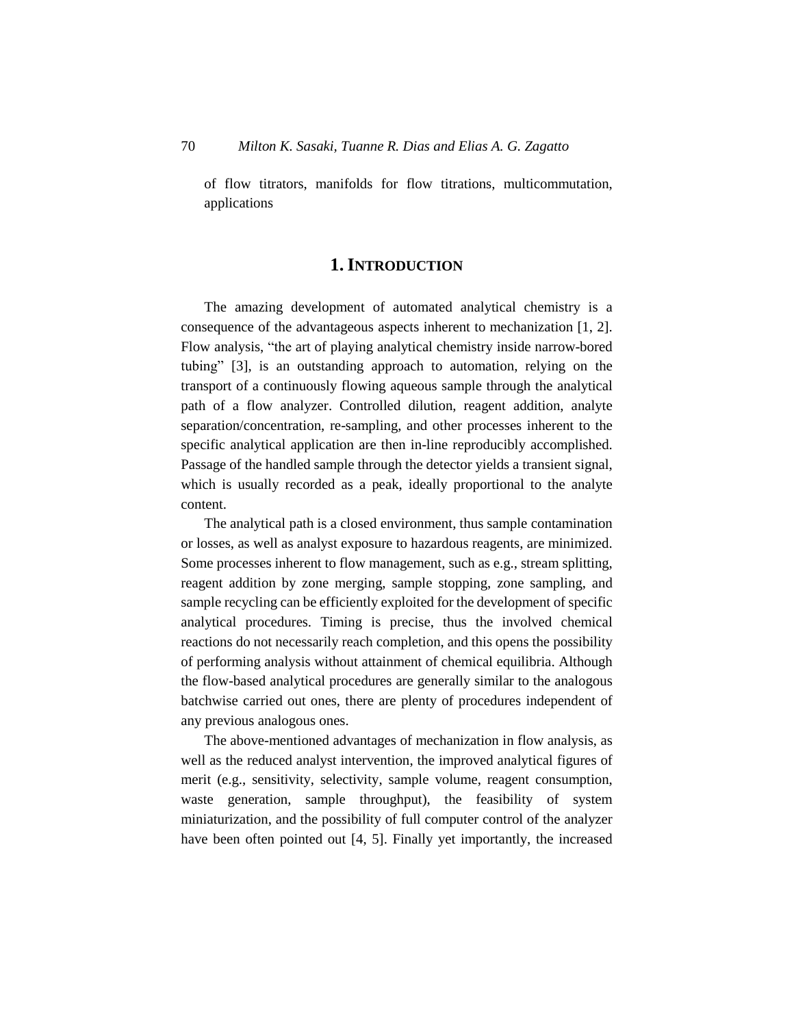of flow titrators, manifolds for flow titrations, multicommutation, applications

# **1.INTRODUCTION**

The amazing development of automated analytical chemistry is a consequence of the advantageous aspects inherent to mechanization [1, 2]. Flow analysis, "the art of playing analytical chemistry inside narrow-bored tubing" [3], is an outstanding approach to automation, relying on the transport of a continuously flowing aqueous sample through the analytical path of a flow analyzer. Controlled dilution, reagent addition, analyte separation/concentration, re-sampling, and other processes inherent to the specific analytical application are then in-line reproducibly accomplished. Passage of the handled sample through the detector yields a transient signal, which is usually recorded as a peak, ideally proportional to the analyte content.

The analytical path is a closed environment, thus sample contamination or losses, as well as analyst exposure to hazardous reagents, are minimized. Some processes inherent to flow management, such as e.g., stream splitting, reagent addition by zone merging, sample stopping, zone sampling, and sample recycling can be efficiently exploited for the development of specific analytical procedures. Timing is precise, thus the involved chemical reactions do not necessarily reach completion, and this opens the possibility of performing analysis without attainment of chemical equilibria. Although the flow-based analytical procedures are generally similar to the analogous batchwise carried out ones, there are plenty of procedures independent of any previous analogous ones.

The above-mentioned advantages of mechanization in flow analysis, as well as the reduced analyst intervention, the improved analytical figures of merit (e.g., sensitivity, selectivity, sample volume, reagent consumption, waste generation, sample throughput), the feasibility of system miniaturization, and the possibility of full computer control of the analyzer have been often pointed out [4, 5]. Finally yet importantly, the increased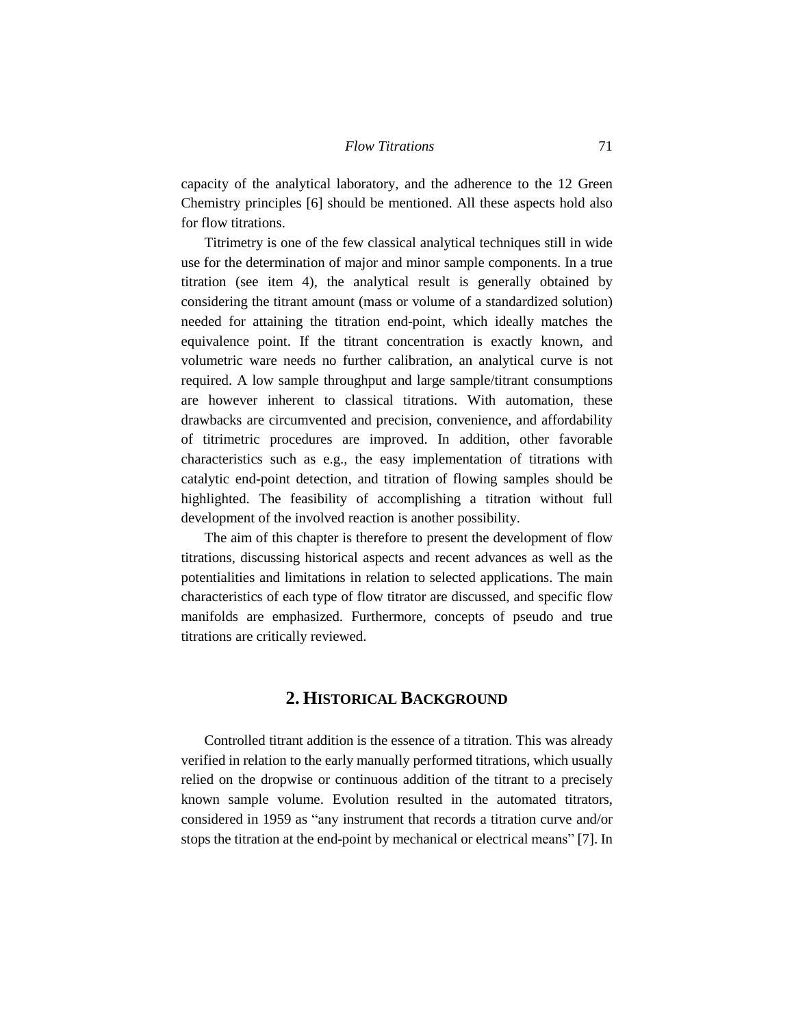capacity of the analytical laboratory, and the adherence to the 12 Green Chemistry principles [6] should be mentioned. All these aspects hold also for flow titrations.

Titrimetry is one of the few classical analytical techniques still in wide use for the determination of major and minor sample components. In a true titration (see item 4), the analytical result is generally obtained by considering the titrant amount (mass or volume of a standardized solution) needed for attaining the titration end-point, which ideally matches the equivalence point. If the titrant concentration is exactly known, and volumetric ware needs no further calibration, an analytical curve is not required. A low sample throughput and large sample/titrant consumptions are however inherent to classical titrations. With automation, these drawbacks are circumvented and precision, convenience, and affordability of titrimetric procedures are improved. In addition, other favorable characteristics such as e.g., the easy implementation of titrations with catalytic end-point detection, and titration of flowing samples should be highlighted. The feasibility of accomplishing a titration without full development of the involved reaction is another possibility.

The aim of this chapter is therefore to present the development of flow titrations, discussing historical aspects and recent advances as well as the potentialities and limitations in relation to selected applications. The main characteristics of each type of flow titrator are discussed, and specific flow manifolds are emphasized. Furthermore, concepts of pseudo and true titrations are critically reviewed.

# **2. HISTORICAL BACKGROUND**

Controlled titrant addition is the essence of a titration. This was already verified in relation to the early manually performed titrations, which usually relied on the dropwise or continuous addition of the titrant to a precisely known sample volume. Evolution resulted in the automated titrators, considered in 1959 as "any instrument that records a titration curve and/or stops the titration at the end-point by mechanical or electrical means" [7]. In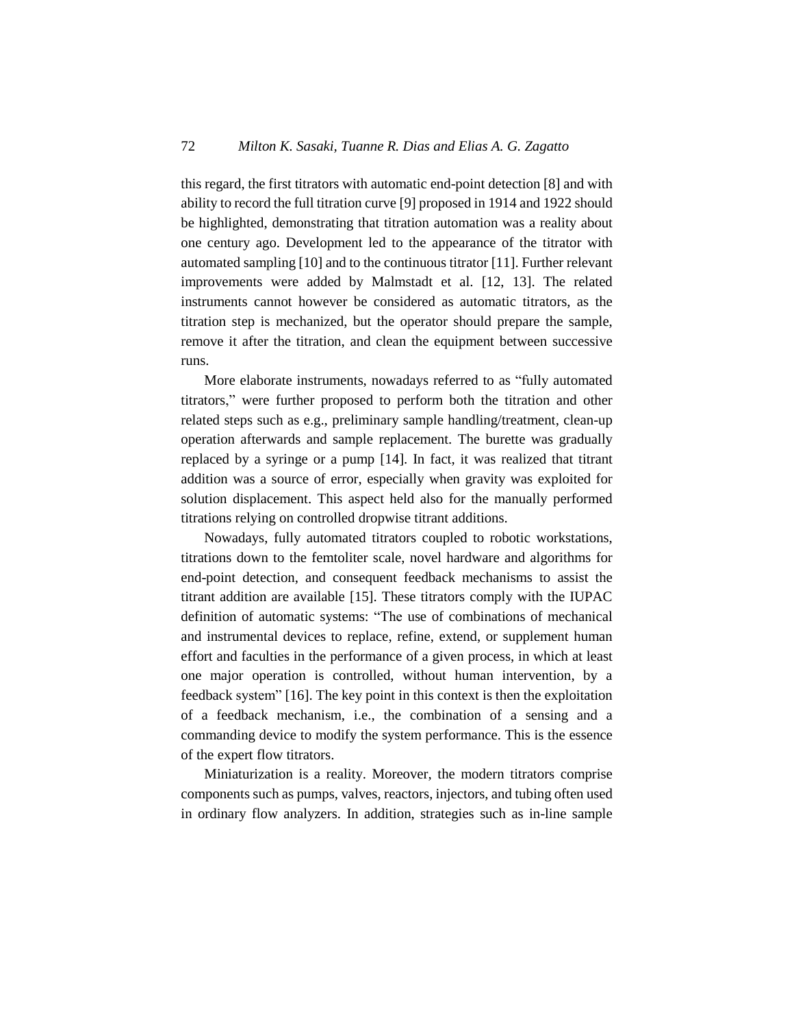this regard, the first titrators with automatic end-point detection [8] and with ability to record the full titration curve [9] proposed in 1914 and 1922 should be highlighted, demonstrating that titration automation was a reality about one century ago. Development led to the appearance of the titrator with automated sampling [10] and to the continuous titrator [11]. Further relevant improvements were added by Malmstadt et al. [12, 13]. The related instruments cannot however be considered as automatic titrators, as the titration step is mechanized, but the operator should prepare the sample, remove it after the titration, and clean the equipment between successive runs.

More elaborate instruments, nowadays referred to as "fully automated titrators," were further proposed to perform both the titration and other related steps such as e.g., preliminary sample handling/treatment, clean-up operation afterwards and sample replacement. The burette was gradually replaced by a syringe or a pump [14]. In fact, it was realized that titrant addition was a source of error, especially when gravity was exploited for solution displacement. This aspect held also for the manually performed titrations relying on controlled dropwise titrant additions.

Nowadays, fully automated titrators coupled to robotic workstations, titrations down to the femtoliter scale, novel hardware and algorithms for end-point detection, and consequent feedback mechanisms to assist the titrant addition are available [15]. These titrators comply with the IUPAC definition of automatic systems: "The use of combinations of mechanical and instrumental devices to replace, refine, extend, or supplement human effort and faculties in the performance of a given process, in which at least one major operation is controlled, without human intervention, by a feedback system" [16]. The key point in this context is then the exploitation of a feedback mechanism, i.e., the combination of a sensing and a commanding device to modify the system performance. This is the essence of the expert flow titrators.

Miniaturization is a reality. Moreover, the modern titrators comprise components such as pumps, valves, reactors, injectors, and tubing often used in ordinary flow analyzers. In addition, strategies such as in-line sample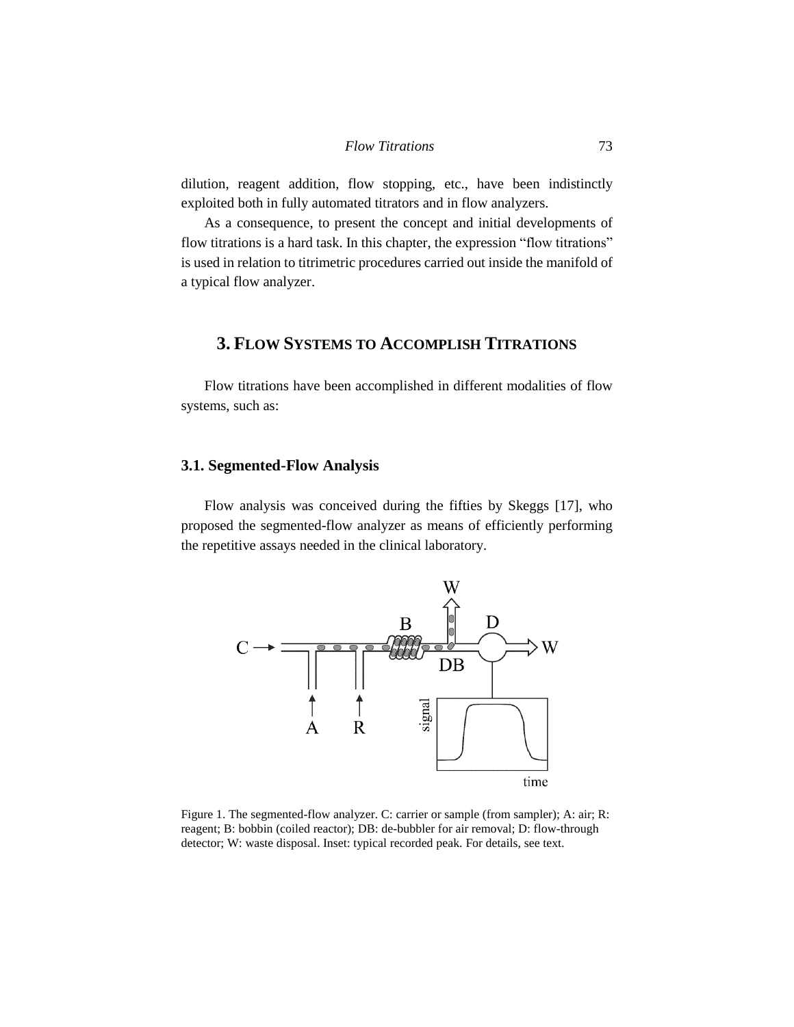dilution, reagent addition, flow stopping, etc., have been indistinctly exploited both in fully automated titrators and in flow analyzers.

As a consequence, to present the concept and initial developments of flow titrations is a hard task. In this chapter, the expression "flow titrations" is used in relation to titrimetric procedures carried out inside the manifold of a typical flow analyzer.

# **3. FLOW SYSTEMS TO ACCOMPLISH TITRATIONS**

Flow titrations have been accomplished in different modalities of flow systems, such as:

## **3.1. Segmented-Flow Analysis**

Flow analysis was conceived during the fifties by Skeggs [17], who proposed the segmented-flow analyzer as means of efficiently performing the repetitive assays needed in the clinical laboratory.



Figure 1. The segmented-flow analyzer. C: carrier or sample (from sampler); A: air; R: reagent; B: bobbin (coiled reactor); DB: de-bubbler for air removal; D: flow-through detector; W: waste disposal. Inset: typical recorded peak. For details, see text.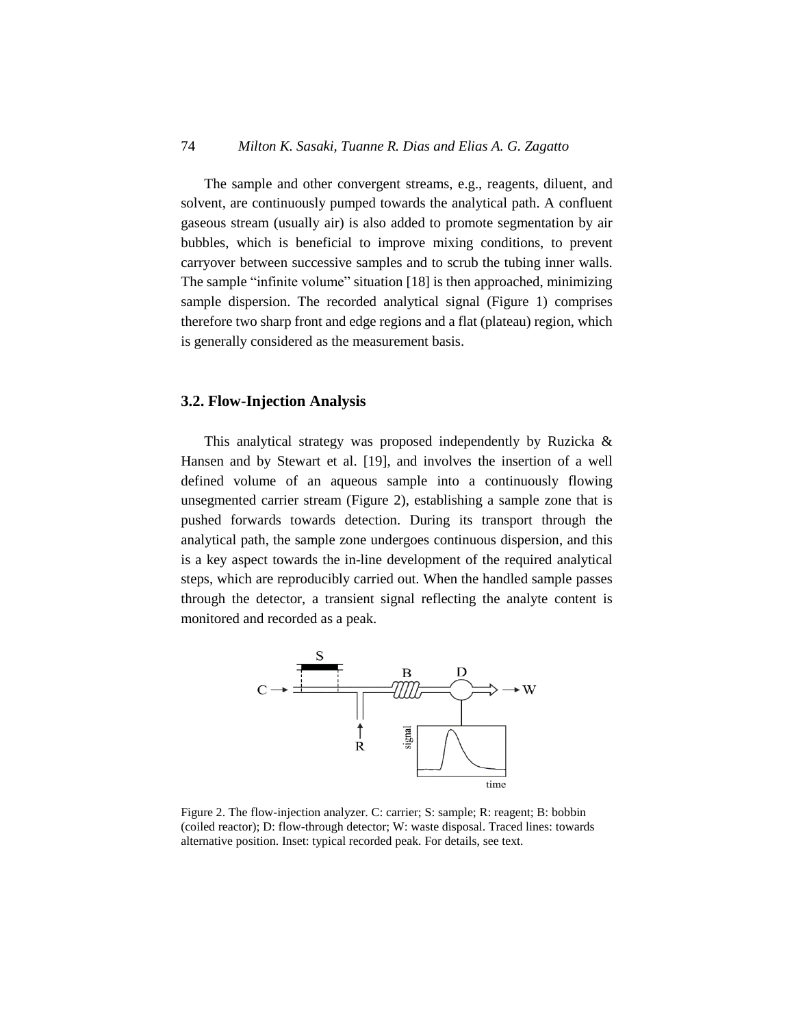The sample and other convergent streams, e.g., reagents, diluent, and solvent, are continuously pumped towards the analytical path. A confluent gaseous stream (usually air) is also added to promote segmentation by air bubbles, which is beneficial to improve mixing conditions, to prevent carryover between successive samples and to scrub the tubing inner walls. The sample "infinite volume" situation [18] is then approached, minimizing sample dispersion. The recorded analytical signal (Figure 1) comprises therefore two sharp front and edge regions and a flat (plateau) region, which is generally considered as the measurement basis.

### **3.2. Flow-Injection Analysis**

This analytical strategy was proposed independently by Ruzicka & Hansen and by Stewart et al. [19], and involves the insertion of a well defined volume of an aqueous sample into a continuously flowing unsegmented carrier stream (Figure 2), establishing a sample zone that is pushed forwards towards detection. During its transport through the analytical path, the sample zone undergoes continuous dispersion, and this is a key aspect towards the in-line development of the required analytical steps, which are reproducibly carried out. When the handled sample passes through the detector, a transient signal reflecting the analyte content is monitored and recorded as a peak.



Figure 2. The flow-injection analyzer. C: carrier; S: sample; R: reagent; B: bobbin (coiled reactor); D: flow-through detector; W: waste disposal. Traced lines: towards alternative position. Inset: typical recorded peak. For details, see text.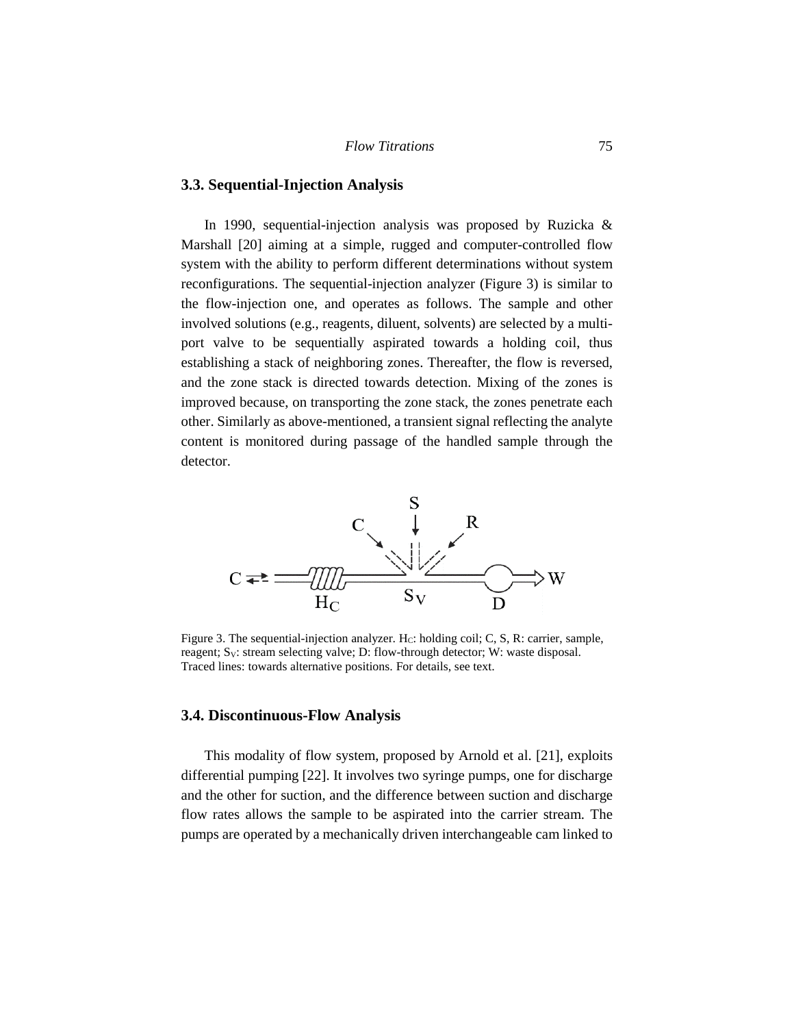### **3.3. Sequential-Injection Analysis**

In 1990, sequential-injection analysis was proposed by Ruzicka & Marshall [20] aiming at a simple, rugged and computer-controlled flow system with the ability to perform different determinations without system reconfigurations. The sequential-injection analyzer (Figure 3) is similar to the flow-injection one, and operates as follows. The sample and other involved solutions (e.g., reagents, diluent, solvents) are selected by a multiport valve to be sequentially aspirated towards a holding coil, thus establishing a stack of neighboring zones. Thereafter, the flow is reversed, and the zone stack is directed towards detection. Mixing of the zones is improved because, on transporting the zone stack, the zones penetrate each other. Similarly as above-mentioned, a transient signal reflecting the analyte content is monitored during passage of the handled sample through the detector.



Figure 3. The sequential-injection analyzer. H $c$ : holding coil; C, S, R: carrier, sample, reagent;  $S_V$ : stream selecting valve; D: flow-through detector; W: waste disposal. Traced lines: towards alternative positions. For details, see text.

### **3.4. Discontinuous-Flow Analysis**

This modality of flow system, proposed by Arnold et al. [21], exploits differential pumping [22]. It involves two syringe pumps, one for discharge and the other for suction, and the difference between suction and discharge flow rates allows the sample to be aspirated into the carrier stream. The pumps are operated by a mechanically driven interchangeable cam linked to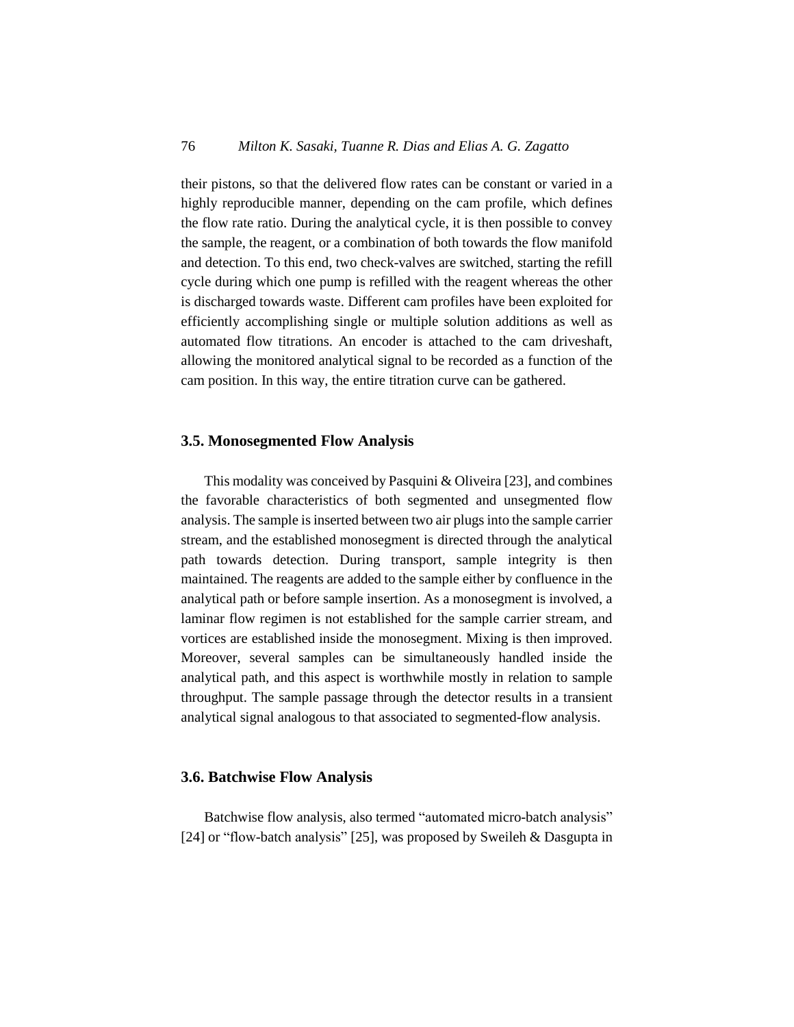their pistons, so that the delivered flow rates can be constant or varied in a highly reproducible manner, depending on the cam profile, which defines the flow rate ratio. During the analytical cycle, it is then possible to convey the sample, the reagent, or a combination of both towards the flow manifold and detection. To this end, two check-valves are switched, starting the refill cycle during which one pump is refilled with the reagent whereas the other is discharged towards waste. Different cam profiles have been exploited for efficiently accomplishing single or multiple solution additions as well as automated flow titrations. An encoder is attached to the cam driveshaft, allowing the monitored analytical signal to be recorded as a function of the cam position. In this way, the entire titration curve can be gathered.

#### **3.5. Monosegmented Flow Analysis**

This modality was conceived by Pasquini & Oliveira [23], and combines the favorable characteristics of both segmented and unsegmented flow analysis. The sample is inserted between two air plugs into the sample carrier stream, and the established monosegment is directed through the analytical path towards detection. During transport, sample integrity is then maintained. The reagents are added to the sample either by confluence in the analytical path or before sample insertion. As a monosegment is involved, a laminar flow regimen is not established for the sample carrier stream, and vortices are established inside the monosegment. Mixing is then improved. Moreover, several samples can be simultaneously handled inside the analytical path, and this aspect is worthwhile mostly in relation to sample throughput. The sample passage through the detector results in a transient analytical signal analogous to that associated to segmented-flow analysis.

#### **3.6. Batchwise Flow Analysis**

Batchwise flow analysis, also termed "automated micro-batch analysis" [24] or "flow-batch analysis" [25], was proposed by Sweileh & Dasgupta in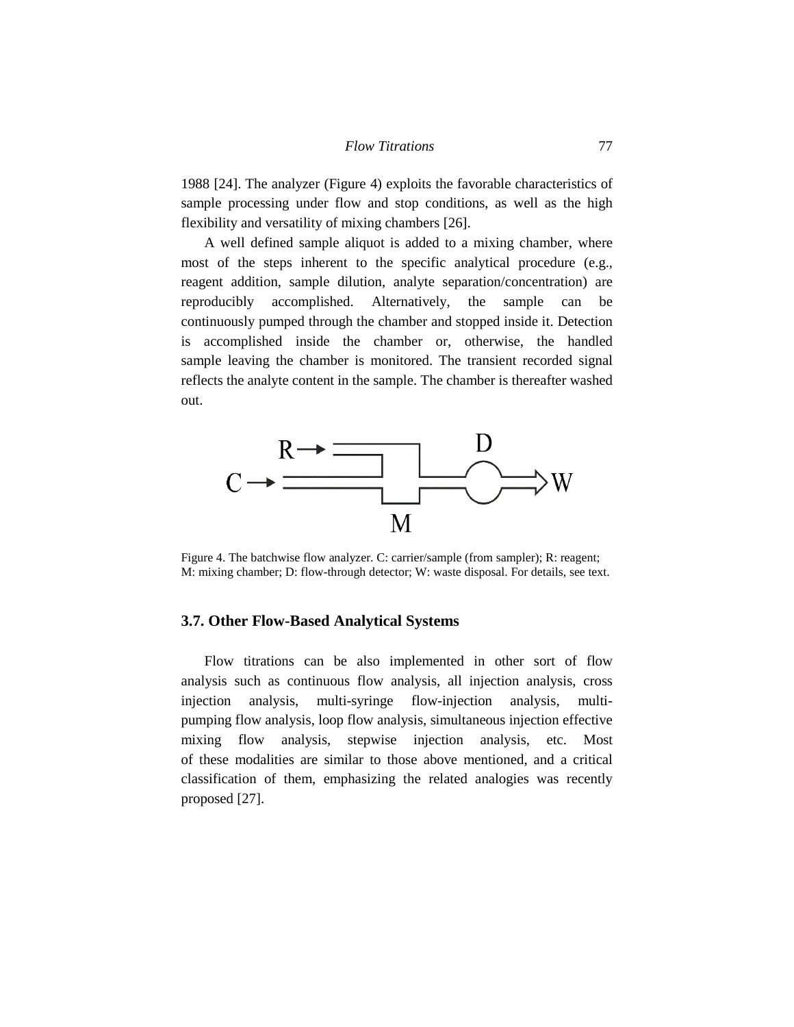1988 [24]. The analyzer (Figure 4) exploits the favorable characteristics of sample processing under flow and stop conditions, as well as the high flexibility and versatility of mixing chambers [26].

A well defined sample aliquot is added to a mixing chamber, where most of the steps inherent to the specific analytical procedure (e.g., reagent addition, sample dilution, analyte separation/concentration) are reproducibly accomplished. Alternatively, the sample can be continuously pumped through the chamber and stopped inside it. Detection is accomplished inside the chamber or, otherwise, the handled sample leaving the chamber is monitored. The transient recorded signal reflects the analyte content in the sample. The chamber is thereafter washed out.



Figure 4. The batchwise flow analyzer. C: carrier/sample (from sampler); R: reagent; M: mixing chamber; D: flow-through detector; W: waste disposal. For details, see text.

# **3.7. Other Flow-Based Analytical Systems**

Flow titrations can be also implemented in other sort of flow analysis such as continuous flow analysis, all injection analysis, cross injection analysis, multi-syringe flow-injection analysis, multipumping flow analysis, loop flow analysis, simultaneous injection effective mixing flow analysis, stepwise injection analysis, etc. Most of these modalities are similar to those above mentioned, and a critical classification of them, emphasizing the related analogies was recently proposed [27].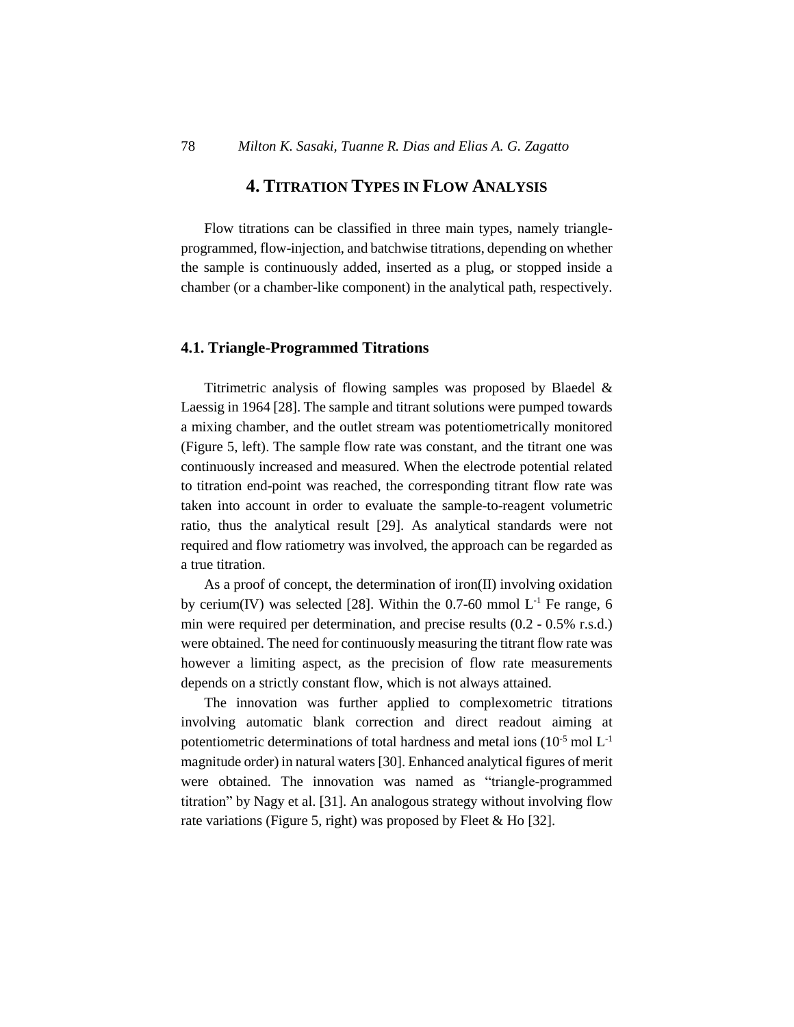# **4. TITRATION TYPES IN FLOW ANALYSIS**

Flow titrations can be classified in three main types, namely triangleprogrammed, flow-injection, and batchwise titrations, depending on whether the sample is continuously added, inserted as a plug, or stopped inside a chamber (or a chamber-like component) in the analytical path, respectively.

#### **4.1. Triangle-Programmed Titrations**

Titrimetric analysis of flowing samples was proposed by Blaedel & Laessig in 1964 [28]. The sample and titrant solutions were pumped towards a mixing chamber, and the outlet stream was potentiometrically monitored (Figure 5, left). The sample flow rate was constant, and the titrant one was continuously increased and measured. When the electrode potential related to titration end-point was reached, the corresponding titrant flow rate was taken into account in order to evaluate the sample-to-reagent volumetric ratio, thus the analytical result [29]. As analytical standards were not required and flow ratiometry was involved, the approach can be regarded as a true titration.

As a proof of concept, the determination of iron(II) involving oxidation by cerium(IV) was selected [28]. Within the 0.7-60 mmol  $L<sup>-1</sup>$  Fe range, 6 min were required per determination, and precise results (0.2 - 0.5% r.s.d.) were obtained. The need for continuously measuring the titrant flow rate was however a limiting aspect, as the precision of flow rate measurements depends on a strictly constant flow, which is not always attained.

The innovation was further applied to complexometric titrations involving automatic blank correction and direct readout aiming at potentiometric determinations of total hardness and metal ions  $(10^{-5} \text{ mol L}^{-1})$ magnitude order) in natural waters [30]. Enhanced analytical figures of merit were obtained. The innovation was named as "triangle-programmed titration" by Nagy et al. [31]. An analogous strategy without involving flow rate variations (Figure 5, right) was proposed by Fleet & Ho [32].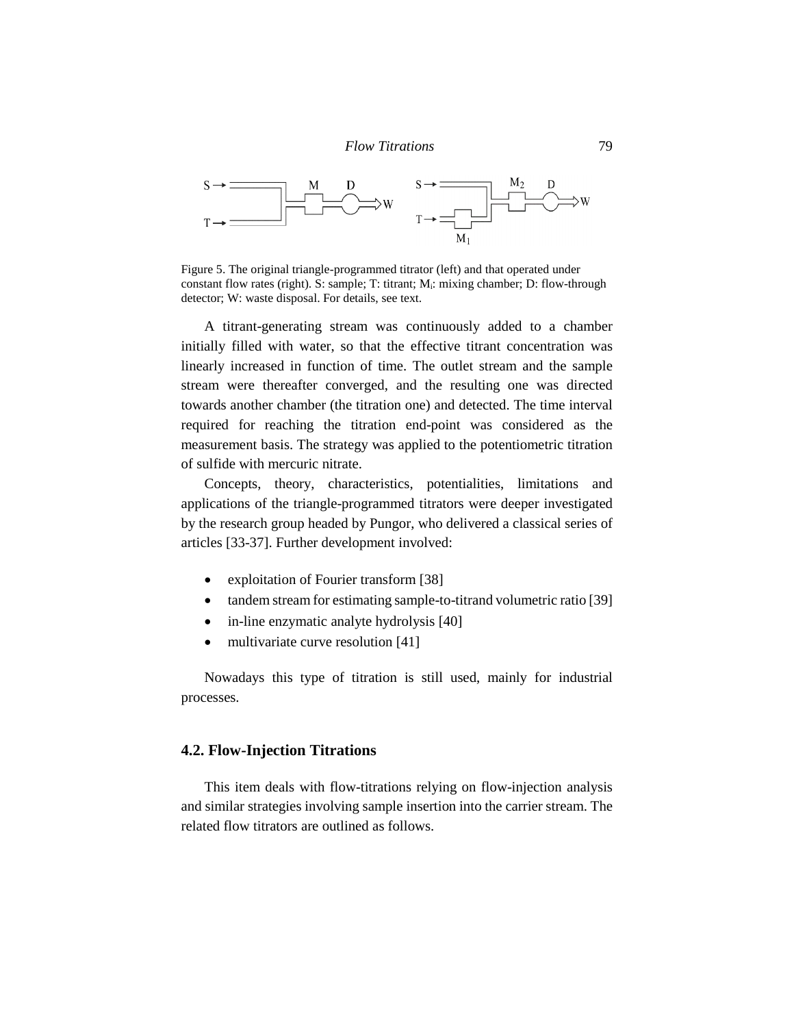

Figure 5. The original triangle-programmed titrator (left) and that operated under constant flow rates (right). S: sample; T: titrant; M<sub>i</sub>: mixing chamber; D: flow-through detector; W: waste disposal. For details, see text.

A titrant-generating stream was continuously added to a chamber initially filled with water, so that the effective titrant concentration was linearly increased in function of time. The outlet stream and the sample stream were thereafter converged, and the resulting one was directed towards another chamber (the titration one) and detected. The time interval required for reaching the titration end-point was considered as the measurement basis. The strategy was applied to the potentiometric titration of sulfide with mercuric nitrate.

Concepts, theory, characteristics, potentialities, limitations and applications of the triangle-programmed titrators were deeper investigated by the research group headed by Pungor, who delivered a classical series of articles [33-37]. Further development involved:

- exploitation of Fourier transform [38]
- tandem stream for estimating sample-to-titrand volumetric ratio [39]
- in-line enzymatic analyte hydrolysis [40]
- multivariate curve resolution [41]

Nowadays this type of titration is still used, mainly for industrial processes.

### **4.2. Flow-Injection Titrations**

This item deals with flow-titrations relying on flow-injection analysis and similar strategies involving sample insertion into the carrier stream. The related flow titrators are outlined as follows.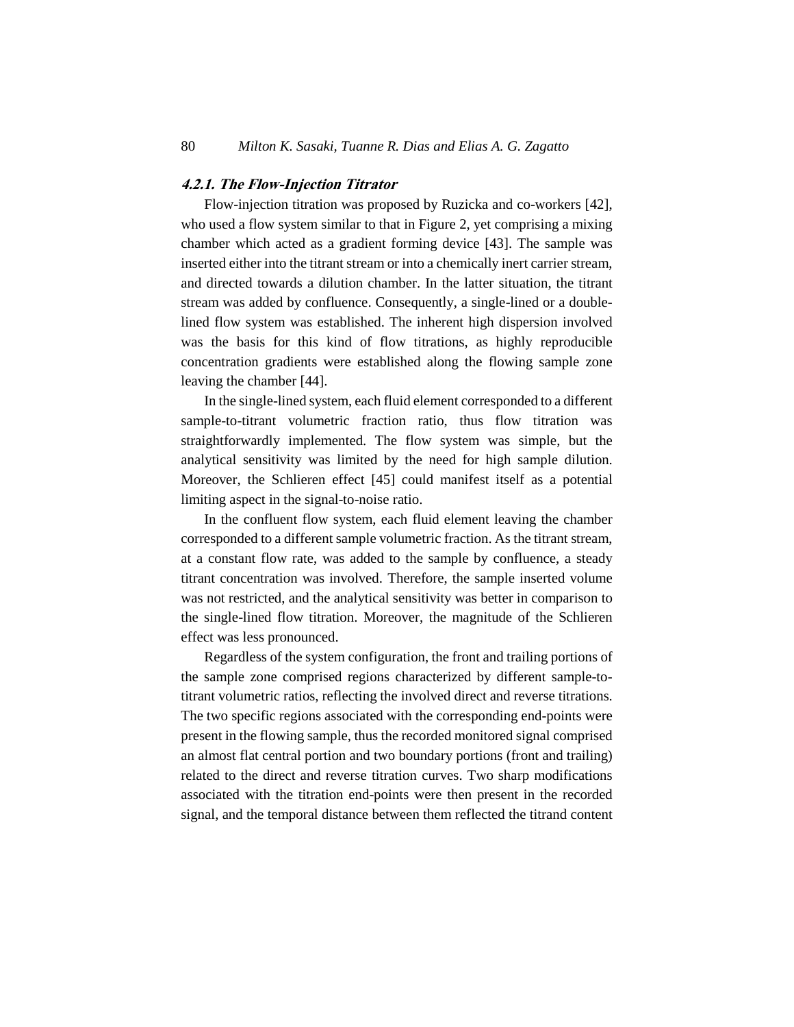## **4.2.1. The Flow-Injection Titrator**

Flow-injection titration was proposed by Ruzicka and co-workers [42], who used a flow system similar to that in Figure 2, yet comprising a mixing chamber which acted as a gradient forming device [43]. The sample was inserted either into the titrant stream or into a chemically inert carrier stream, and directed towards a dilution chamber. In the latter situation, the titrant stream was added by confluence. Consequently, a single-lined or a doublelined flow system was established. The inherent high dispersion involved was the basis for this kind of flow titrations, as highly reproducible concentration gradients were established along the flowing sample zone leaving the chamber [44].

In the single-lined system, each fluid element corresponded to a different sample-to-titrant volumetric fraction ratio, thus flow titration was straightforwardly implemented. The flow system was simple, but the analytical sensitivity was limited by the need for high sample dilution. Moreover, the Schlieren effect [45] could manifest itself as a potential limiting aspect in the signal-to-noise ratio.

In the confluent flow system, each fluid element leaving the chamber corresponded to a different sample volumetric fraction. As the titrant stream, at a constant flow rate, was added to the sample by confluence, a steady titrant concentration was involved. Therefore, the sample inserted volume was not restricted, and the analytical sensitivity was better in comparison to the single-lined flow titration. Moreover, the magnitude of the Schlieren effect was less pronounced.

Regardless of the system configuration, the front and trailing portions of the sample zone comprised regions characterized by different sample-totitrant volumetric ratios, reflecting the involved direct and reverse titrations. The two specific regions associated with the corresponding end-points were present in the flowing sample, thus the recorded monitored signal comprised an almost flat central portion and two boundary portions (front and trailing) related to the direct and reverse titration curves. Two sharp modifications associated with the titration end-points were then present in the recorded signal, and the temporal distance between them reflected the titrand content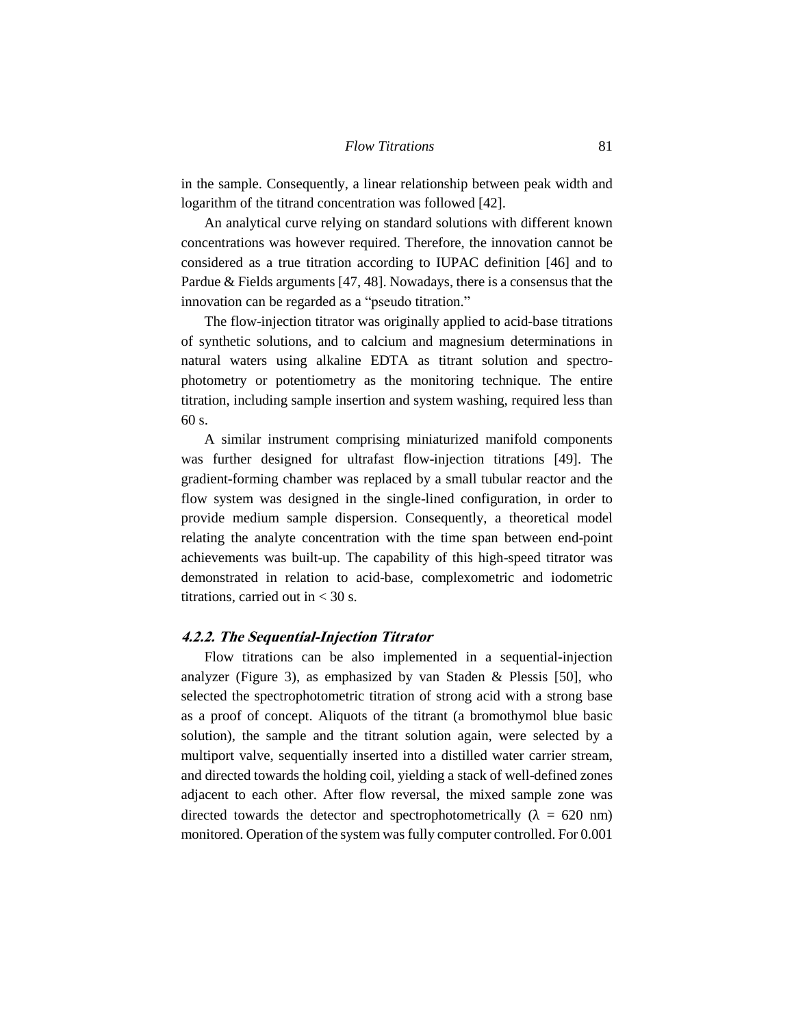in the sample. Consequently, a linear relationship between peak width and logarithm of the titrand concentration was followed [42].

An analytical curve relying on standard solutions with different known concentrations was however required. Therefore, the innovation cannot be considered as a true titration according to IUPAC definition [46] and to Pardue & Fields arguments [47, 48]. Nowadays, there is a consensus that the innovation can be regarded as a "pseudo titration."

The flow-injection titrator was originally applied to acid-base titrations of synthetic solutions, and to calcium and magnesium determinations in natural waters using alkaline EDTA as titrant solution and spectrophotometry or potentiometry as the monitoring technique. The entire titration, including sample insertion and system washing, required less than 60 s.

A similar instrument comprising miniaturized manifold components was further designed for ultrafast flow-injection titrations [49]. The gradient-forming chamber was replaced by a small tubular reactor and the flow system was designed in the single-lined configuration, in order to provide medium sample dispersion. Consequently, a theoretical model relating the analyte concentration with the time span between end-point achievements was built-up. The capability of this high-speed titrator was demonstrated in relation to acid-base, complexometric and iodometric titrations, carried out in  $<$  30 s.

#### **4.2.2. The Sequential-Injection Titrator**

Flow titrations can be also implemented in a sequential-injection analyzer (Figure 3), as emphasized by van Staden & Plessis [50], who selected the spectrophotometric titration of strong acid with a strong base as a proof of concept. Aliquots of the titrant (a bromothymol blue basic solution), the sample and the titrant solution again, were selected by a multiport valve, sequentially inserted into a distilled water carrier stream, and directed towards the holding coil, yielding a stack of well-defined zones adjacent to each other. After flow reversal, the mixed sample zone was directed towards the detector and spectrophotometrically ( $\lambda = 620$  nm) monitored. Operation of the system wasfully computer controlled. For 0.001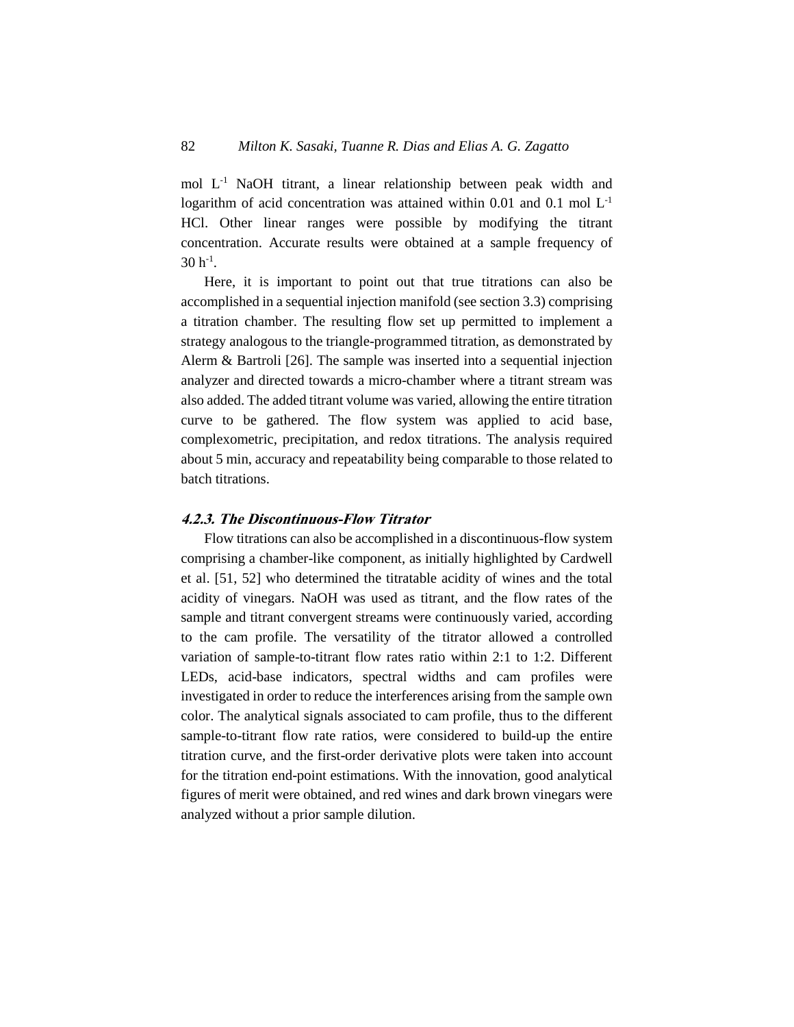mol L -1 NaOH titrant, a linear relationship between peak width and logarithm of acid concentration was attained within  $0.01$  and  $0.1$  mol  $L<sup>-1</sup>$ HCl. Other linear ranges were possible by modifying the titrant concentration. Accurate results were obtained at a sample frequency of  $30 h^{-1}$ .

Here, it is important to point out that true titrations can also be accomplished in a sequential injection manifold (see section 3.3) comprising a titration chamber. The resulting flow set up permitted to implement a strategy analogous to the triangle-programmed titration, as demonstrated by Alerm & Bartroli [26]. The sample was inserted into a sequential injection analyzer and directed towards a micro-chamber where a titrant stream was also added. The added titrant volume was varied, allowing the entire titration curve to be gathered. The flow system was applied to acid base, complexometric, precipitation, and redox titrations. The analysis required about 5 min, accuracy and repeatability being comparable to those related to batch titrations.

#### **4.2.3. The Discontinuous-Flow Titrator**

Flow titrations can also be accomplished in a discontinuous-flow system comprising a chamber-like component, as initially highlighted by Cardwell et al. [51, 52] who determined the titratable acidity of wines and the total acidity of vinegars. NaOH was used as titrant, and the flow rates of the sample and titrant convergent streams were continuously varied, according to the cam profile. The versatility of the titrator allowed a controlled variation of sample-to-titrant flow rates ratio within 2:1 to 1:2. Different LEDs, acid-base indicators, spectral widths and cam profiles were investigated in order to reduce the interferences arising from the sample own color. The analytical signals associated to cam profile, thus to the different sample-to-titrant flow rate ratios, were considered to build-up the entire titration curve, and the first-order derivative plots were taken into account for the titration end-point estimations. With the innovation, good analytical figures of merit were obtained, and red wines and dark brown vinegars were analyzed without a prior sample dilution.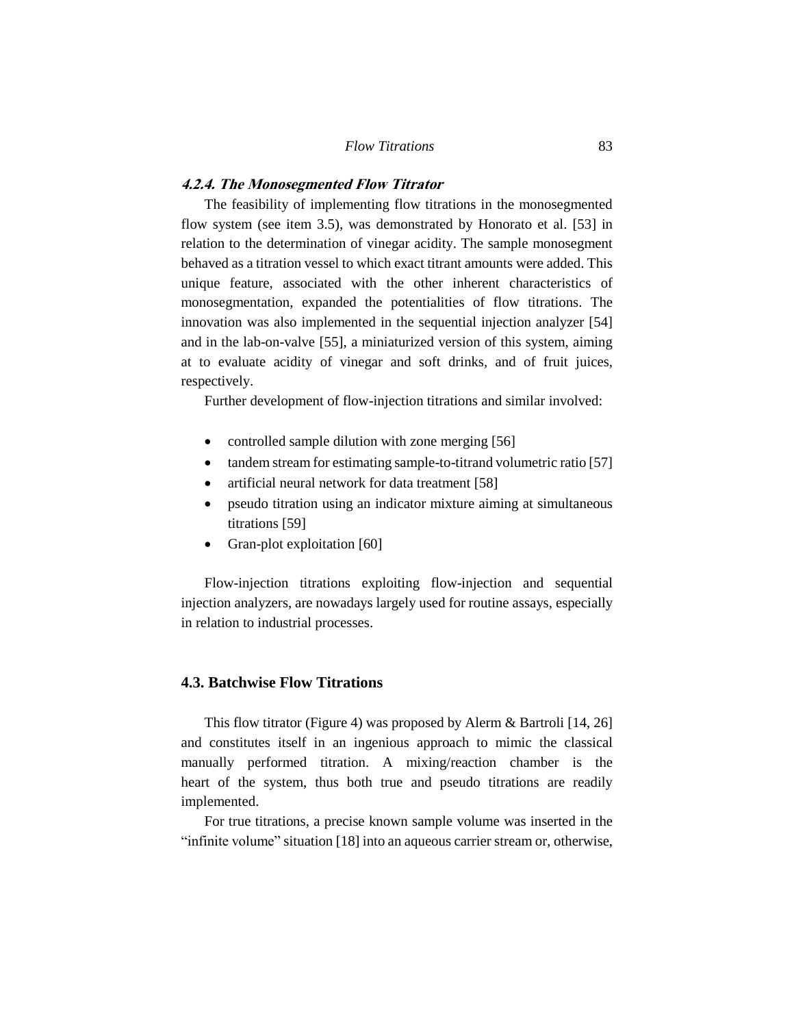### **4.2.4. The Monosegmented Flow Titrator**

The feasibility of implementing flow titrations in the monosegmented flow system (see item 3.5), was demonstrated by Honorato et al. [53] in relation to the determination of vinegar acidity. The sample monosegment behaved as a titration vessel to which exact titrant amounts were added. This unique feature, associated with the other inherent characteristics of monosegmentation, expanded the potentialities of flow titrations. The innovation was also implemented in the sequential injection analyzer [54] and in the lab-on-valve [55], a miniaturized version of this system, aiming at to evaluate acidity of vinegar and soft drinks, and of fruit juices, respectively.

Further development of flow-injection titrations and similar involved:

- controlled sample dilution with zone merging [56]
- tandem stream for estimating sample-to-titrand volumetric ratio [57]
- artificial neural network for data treatment [58]
- pseudo titration using an indicator mixture aiming at simultaneous titrations [59]
- Gran-plot exploitation [60]

Flow-injection titrations exploiting flow-injection and sequential injection analyzers, are nowadays largely used for routine assays, especially in relation to industrial processes.

### **4.3. Batchwise Flow Titrations**

This flow titrator (Figure 4) was proposed by Alerm & Bartroli [14, 26] and constitutes itself in an ingenious approach to mimic the classical manually performed titration. A mixing/reaction chamber is the heart of the system, thus both true and pseudo titrations are readily implemented.

For true titrations, a precise known sample volume was inserted in the "infinite volume" situation [18] into an aqueous carrier stream or, otherwise,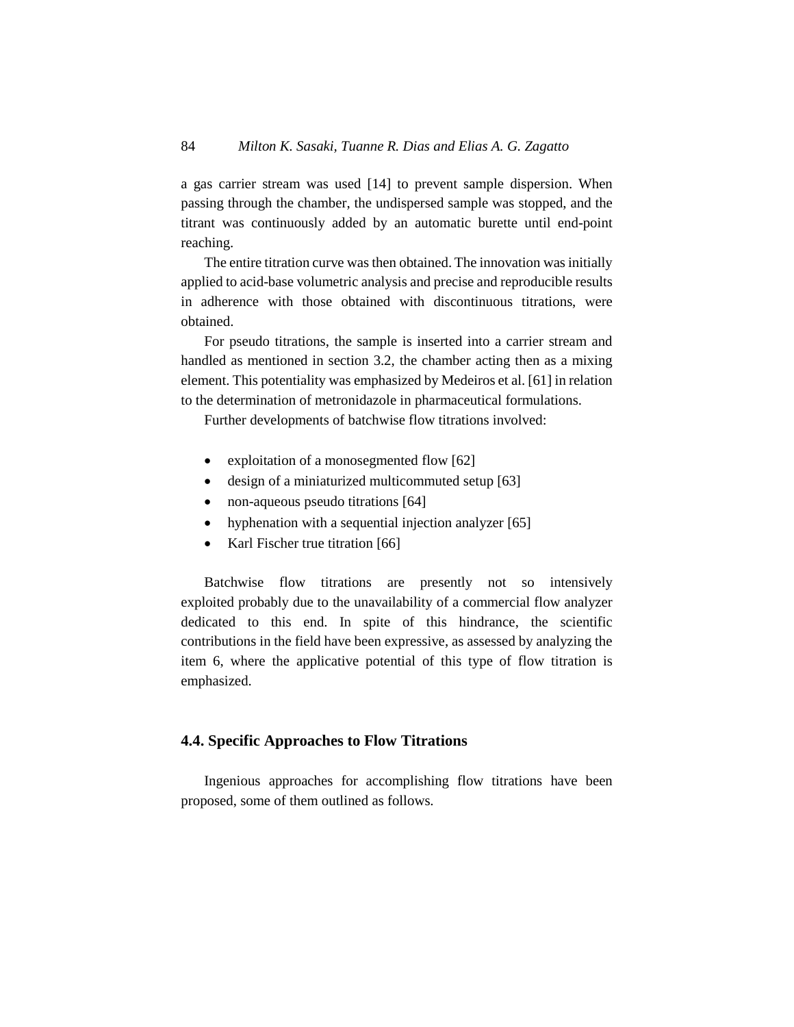a gas carrier stream was used [14] to prevent sample dispersion. When passing through the chamber, the undispersed sample was stopped, and the titrant was continuously added by an automatic burette until end-point reaching.

The entire titration curve was then obtained. The innovation was initially applied to acid-base volumetric analysis and precise and reproducible results in adherence with those obtained with discontinuous titrations, were obtained.

For pseudo titrations, the sample is inserted into a carrier stream and handled as mentioned in section 3.2, the chamber acting then as a mixing element. This potentiality was emphasized by Medeiros et al. [61] in relation to the determination of metronidazole in pharmaceutical formulations.

Further developments of batchwise flow titrations involved:

- exploitation of a monosegmented flow [62]
- design of a miniaturized multicommuted setup [63]
- non-aqueous pseudo titrations [64]
- hyphenation with a sequential injection analyzer [65]
- Karl Fischer true titration [66]

Batchwise flow titrations are presently not so intensively exploited probably due to the unavailability of a commercial flow analyzer dedicated to this end. In spite of this hindrance, the scientific contributions in the field have been expressive, as assessed by analyzing the item 6, where the applicative potential of this type of flow titration is emphasized.

# **4.4. Specific Approaches to Flow Titrations**

Ingenious approaches for accomplishing flow titrations have been proposed, some of them outlined as follows.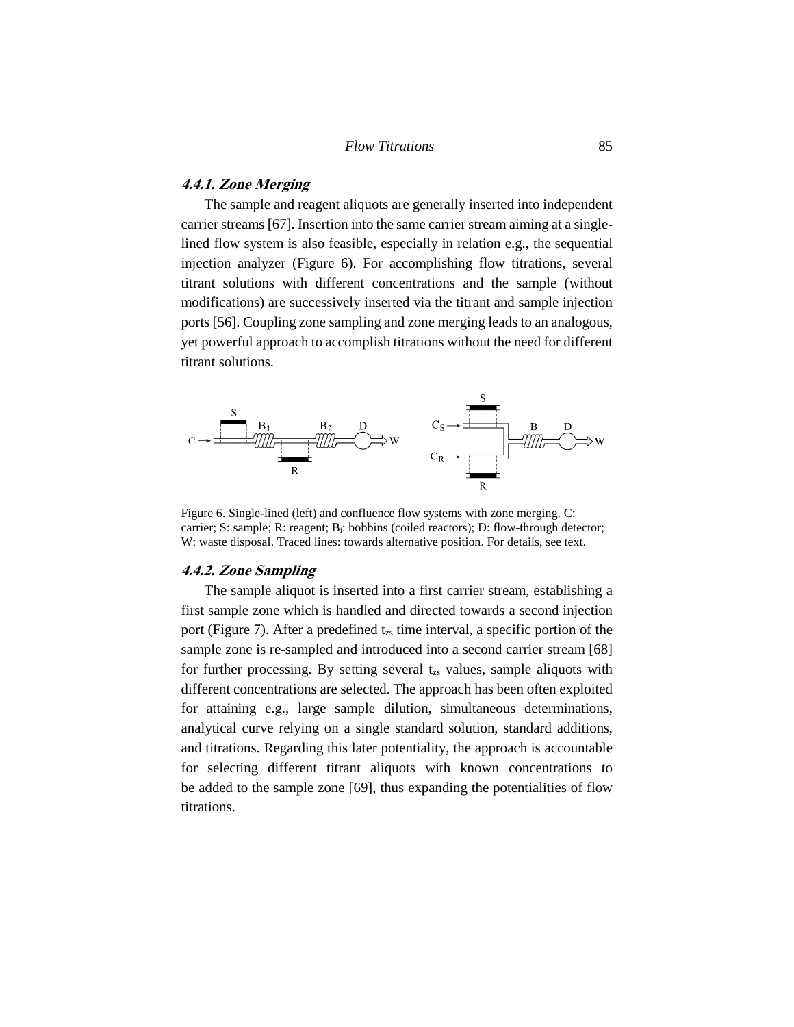# **4.4.1. Zone Merging**

The sample and reagent aliquots are generally inserted into independent carrier streams [67]. Insertion into the same carrier stream aiming at a singlelined flow system is also feasible, especially in relation e.g., the sequential injection analyzer (Figure 6). For accomplishing flow titrations, several titrant solutions with different concentrations and the sample (without modifications) are successively inserted via the titrant and sample injection ports [56]. Coupling zone sampling and zone merging leads to an analogous, yet powerful approach to accomplish titrations without the need for different titrant solutions.



Figure 6. Single-lined (left) and confluence flow systems with zone merging. C: carrier; S: sample; R: reagent; B<sub>i</sub>: bobbins (coiled reactors); D: flow-through detector; W: waste disposal. Traced lines: towards alternative position. For details, see text.

#### **4.4.2. Zone Sampling**

The sample aliquot is inserted into a first carrier stream, establishing a first sample zone which is handled and directed towards a second injection port (Figure 7). After a predefined  $t_{zs}$  time interval, a specific portion of the sample zone is re-sampled and introduced into a second carrier stream [68] for further processing. By setting several  $t_{zs}$  values, sample aliquots with different concentrations are selected. The approach has been often exploited for attaining e.g., large sample dilution, simultaneous determinations, analytical curve relying on a single standard solution, standard additions, and titrations. Regarding this later potentiality, the approach is accountable for selecting different titrant aliquots with known concentrations to be added to the sample zone [69], thus expanding the potentialities of flow titrations.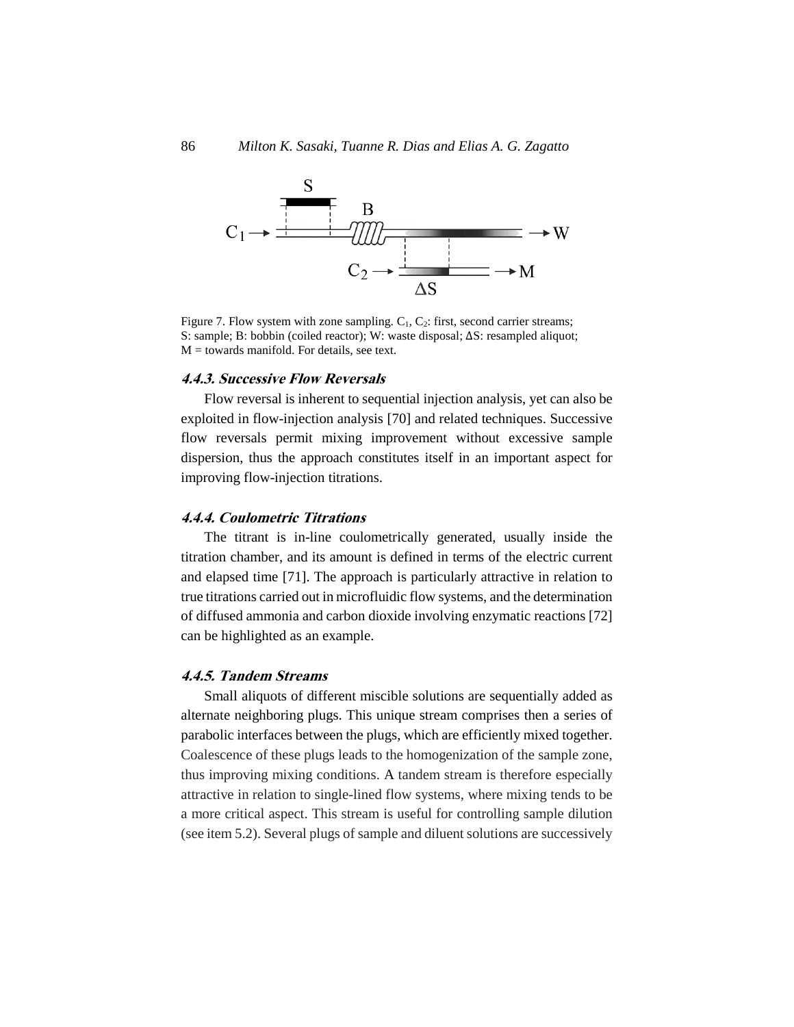

Figure 7. Flow system with zone sampling.  $C_1$ ,  $C_2$ : first, second carrier streams; S: sample; B: bobbin (coiled reactor); W: waste disposal; ΔS: resampled aliquot;  $M =$  towards manifold. For details, see text.

### **4.4.3. Successive Flow Reversals**

Flow reversal is inherent to sequential injection analysis, yet can also be exploited in flow-injection analysis [70] and related techniques. Successive flow reversals permit mixing improvement without excessive sample dispersion, thus the approach constitutes itself in an important aspect for improving flow-injection titrations.

#### **4.4.4. Coulometric Titrations**

The titrant is in-line coulometrically generated, usually inside the titration chamber, and its amount is defined in terms of the electric current and elapsed time [71]. The approach is particularly attractive in relation to true titrations carried out in microfluidic flow systems, and the determination of diffused ammonia and carbon dioxide involving enzymatic reactions [72] can be highlighted as an example.

#### **4.4.5. Tandem Streams**

Small aliquots of different miscible solutions are sequentially added as alternate neighboring plugs. This unique stream comprises then a series of parabolic interfaces between the plugs, which are efficiently mixed together. Coalescence of these plugs leads to the homogenization of the sample zone, thus improving mixing conditions. A tandem stream is therefore especially attractive in relation to single-lined flow systems, where mixing tends to be a more critical aspect. This stream is useful for controlling sample dilution (see item 5.2). Several plugs of sample and diluent solutions are successively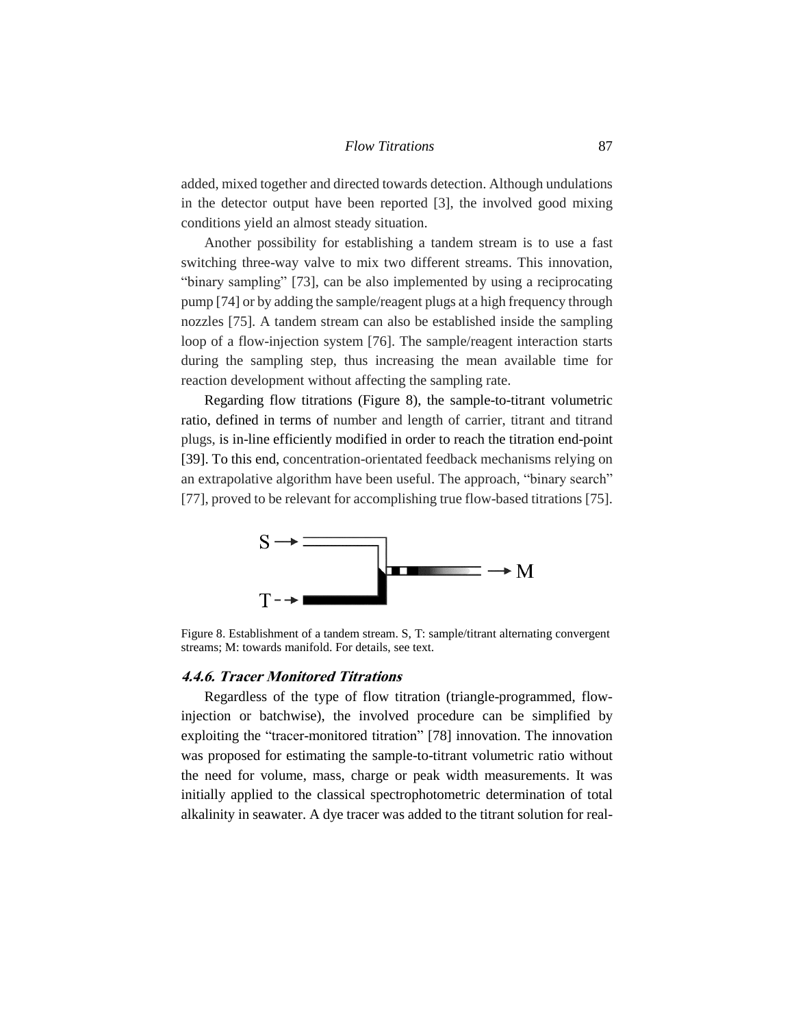added, mixed together and directed towards detection. Although undulations in the detector output have been reported [3], the involved good mixing conditions yield an almost steady situation.

Another possibility for establishing a tandem stream is to use a fast switching three-way valve to mix two different streams. This innovation, "binary sampling" [73], can be also implemented by using a reciprocating pump [74] or by adding the sample/reagent plugs at a high frequency through nozzles [75]. A tandem stream can also be established inside the sampling loop of a flow-injection system [76]. The sample/reagent interaction starts during the sampling step, thus increasing the mean available time for reaction development without affecting the sampling rate.

Regarding flow titrations (Figure 8), the sample-to-titrant volumetric ratio, defined in terms of number and length of carrier, titrant and titrand plugs, is in-line efficiently modified in order to reach the titration end-point [39]. To this end, concentration-orientated feedback mechanisms relying on an extrapolative algorithm have been useful. The approach, "binary search" [77], proved to be relevant for accomplishing true flow-based titrations [75].



Figure 8. Establishment of a tandem stream. S, T: sample/titrant alternating convergent streams; M: towards manifold. For details, see text.

### **4.4.6. Tracer Monitored Titrations**

Regardless of the type of flow titration (triangle-programmed, flowinjection or batchwise), the involved procedure can be simplified by exploiting the "tracer-monitored titration" [78] innovation. The innovation was proposed for estimating the sample-to-titrant volumetric ratio without the need for volume, mass, charge or peak width measurements. It was initially applied to the classical spectrophotometric determination of total alkalinity in seawater. A dye tracer was added to the titrant solution for real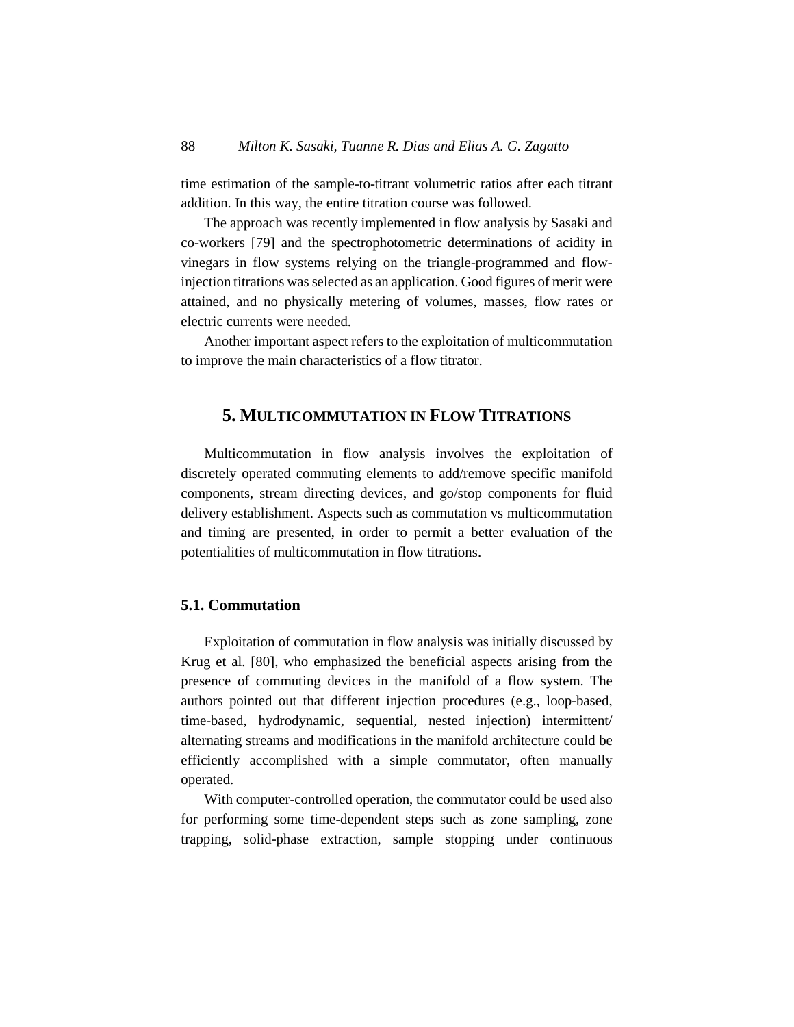time estimation of the sample-to-titrant volumetric ratios after each titrant addition. In this way, the entire titration course was followed.

The approach was recently implemented in flow analysis by Sasaki and co-workers [79] and the spectrophotometric determinations of acidity in vinegars in flow systems relying on the triangle-programmed and flowinjection titrations was selected as an application. Good figures of merit were attained, and no physically metering of volumes, masses, flow rates or electric currents were needed.

Another important aspect refers to the exploitation of multicommutation to improve the main characteristics of a flow titrator.

# **5. MULTICOMMUTATION IN FLOW TITRATIONS**

Multicommutation in flow analysis involves the exploitation of discretely operated commuting elements to add/remove specific manifold components, stream directing devices, and go/stop components for fluid delivery establishment. Aspects such as commutation vs multicommutation and timing are presented, in order to permit a better evaluation of the potentialities of multicommutation in flow titrations.

# **5.1. Commutation**

Exploitation of commutation in flow analysis was initially discussed by Krug et al. [80], who emphasized the beneficial aspects arising from the presence of commuting devices in the manifold of a flow system. The authors pointed out that different injection procedures (e.g., loop-based, time-based, hydrodynamic, sequential, nested injection) intermittent/ alternating streams and modifications in the manifold architecture could be efficiently accomplished with a simple commutator, often manually operated.

With computer-controlled operation, the commutator could be used also for performing some time-dependent steps such as zone sampling, zone trapping, solid-phase extraction, sample stopping under continuous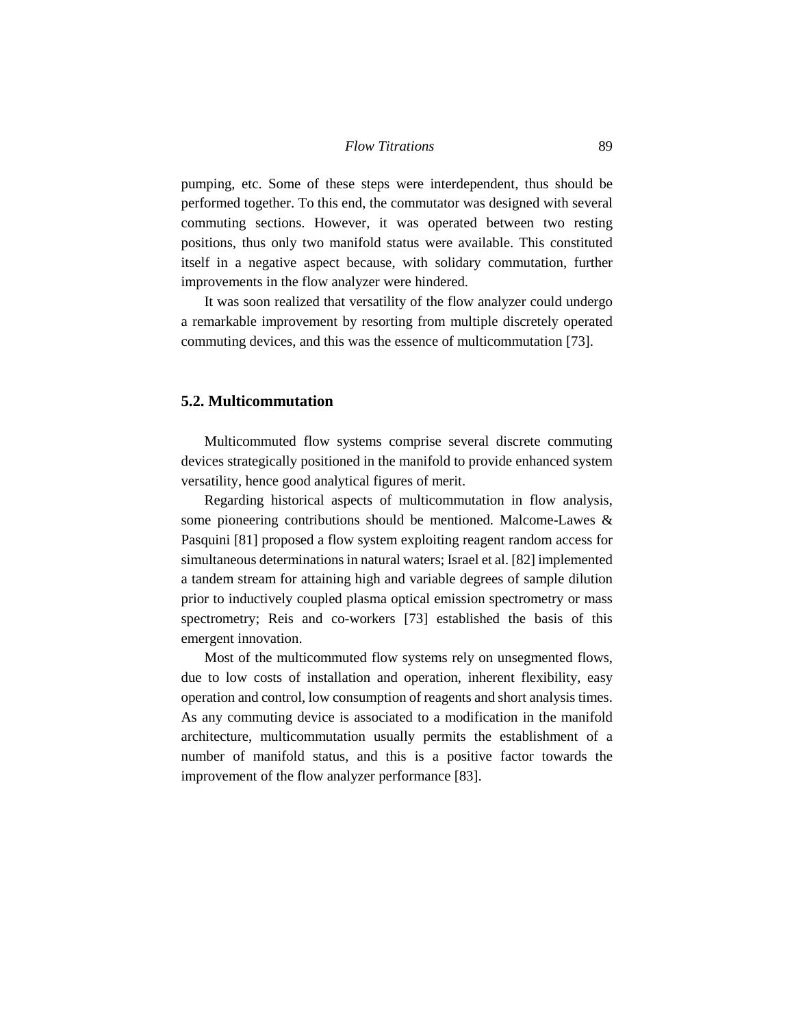pumping, etc. Some of these steps were interdependent, thus should be performed together. To this end, the commutator was designed with several commuting sections. However, it was operated between two resting positions, thus only two manifold status were available. This constituted itself in a negative aspect because, with solidary commutation, further improvements in the flow analyzer were hindered.

It was soon realized that versatility of the flow analyzer could undergo a remarkable improvement by resorting from multiple discretely operated commuting devices, and this was the essence of multicommutation [73].

### **5.2. Multicommutation**

Multicommuted flow systems comprise several discrete commuting devices strategically positioned in the manifold to provide enhanced system versatility, hence good analytical figures of merit.

Regarding historical aspects of multicommutation in flow analysis, some pioneering contributions should be mentioned. Malcome-Lawes & Pasquini [81] proposed a flow system exploiting reagent random access for simultaneous determinations in natural waters; Israel et al. [82] implemented a tandem stream for attaining high and variable degrees of sample dilution prior to inductively coupled plasma optical emission spectrometry or mass spectrometry; Reis and co-workers [73] established the basis of this emergent innovation.

Most of the multicommuted flow systems rely on unsegmented flows, due to low costs of installation and operation, inherent flexibility, easy operation and control, low consumption of reagents and short analysis times. As any commuting device is associated to a modification in the manifold architecture, multicommutation usually permits the establishment of a number of manifold status, and this is a positive factor towards the improvement of the flow analyzer performance [83].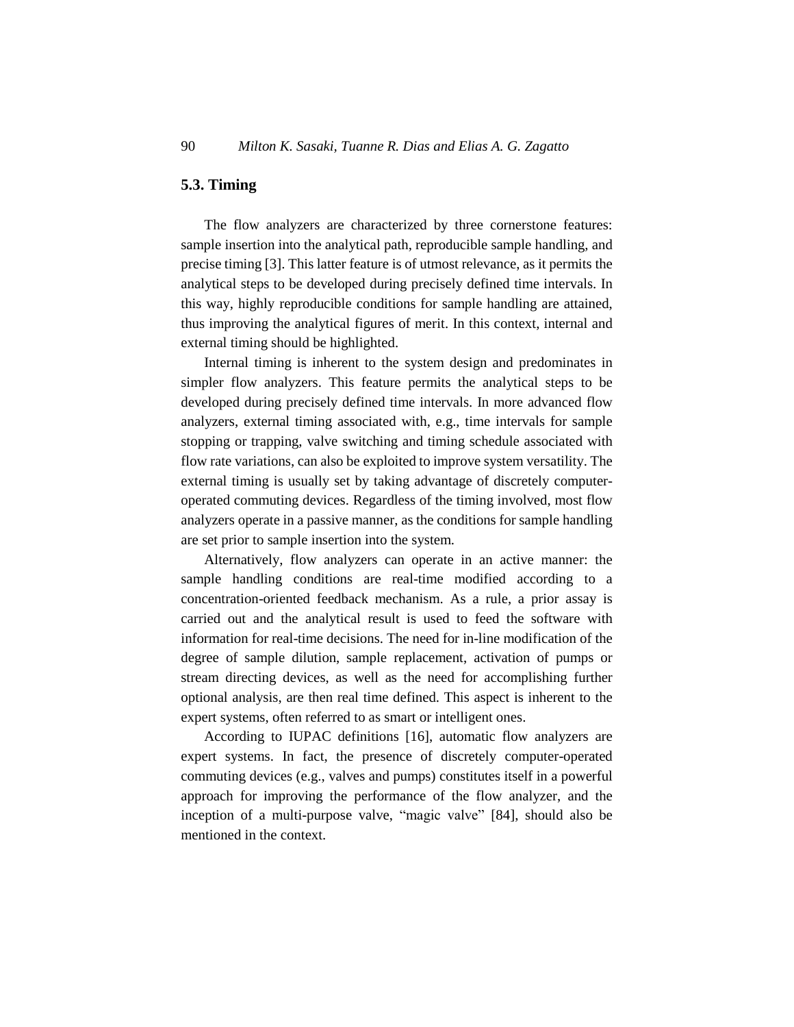# **5.3. Timing**

The flow analyzers are characterized by three cornerstone features: sample insertion into the analytical path, reproducible sample handling, and precise timing [3]. This latter feature is of utmost relevance, as it permits the analytical steps to be developed during precisely defined time intervals. In this way, highly reproducible conditions for sample handling are attained, thus improving the analytical figures of merit. In this context, internal and external timing should be highlighted.

Internal timing is inherent to the system design and predominates in simpler flow analyzers. This feature permits the analytical steps to be developed during precisely defined time intervals. In more advanced flow analyzers, external timing associated with, e.g., time intervals for sample stopping or trapping, valve switching and timing schedule associated with flow rate variations, can also be exploited to improve system versatility. The external timing is usually set by taking advantage of discretely computeroperated commuting devices. Regardless of the timing involved, most flow analyzers operate in a passive manner, as the conditions for sample handling are set prior to sample insertion into the system.

Alternatively, flow analyzers can operate in an active manner: the sample handling conditions are real-time modified according to a concentration-oriented feedback mechanism. As a rule, a prior assay is carried out and the analytical result is used to feed the software with information for real-time decisions. The need for in-line modification of the degree of sample dilution, sample replacement, activation of pumps or stream directing devices, as well as the need for accomplishing further optional analysis, are then real time defined. This aspect is inherent to the expert systems, often referred to as smart or intelligent ones.

According to IUPAC definitions [16], automatic flow analyzers are expert systems. In fact, the presence of discretely computer-operated commuting devices (e.g., valves and pumps) constitutes itself in a powerful approach for improving the performance of the flow analyzer, and the inception of a multi-purpose valve, "magic valve" [84], should also be mentioned in the context.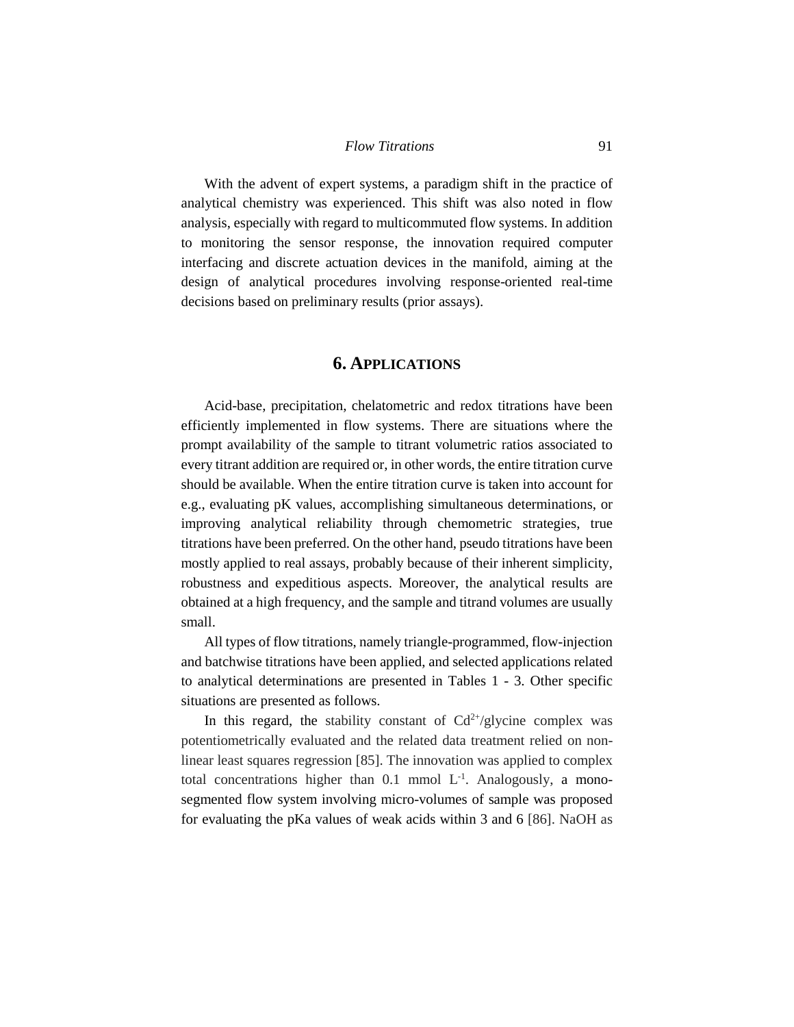With the advent of expert systems, a paradigm shift in the practice of analytical chemistry was experienced. This shift was also noted in flow analysis, especially with regard to multicommuted flow systems. In addition to monitoring the sensor response, the innovation required computer interfacing and discrete actuation devices in the manifold, aiming at the design of analytical procedures involving response-oriented real-time decisions based on preliminary results (prior assays).

# **6. APPLICATIONS**

Acid-base, precipitation, chelatometric and redox titrations have been efficiently implemented in flow systems. There are situations where the prompt availability of the sample to titrant volumetric ratios associated to every titrant addition are required or, in other words, the entire titration curve should be available. When the entire titration curve is taken into account for e.g., evaluating pK values, accomplishing simultaneous determinations, or improving analytical reliability through chemometric strategies, true titrations have been preferred. On the other hand, pseudo titrations have been mostly applied to real assays, probably because of their inherent simplicity, robustness and expeditious aspects. Moreover, the analytical results are obtained at a high frequency, and the sample and titrand volumes are usually small.

All types of flow titrations, namely triangle-programmed, flow-injection and batchwise titrations have been applied, and selected applications related to analytical determinations are presented in Tables 1 - 3. Other specific situations are presented as follows.

In this regard, the stability constant of  $Cd^{2+}/glycine$  complex was potentiometrically evaluated and the related data treatment relied on nonlinear least squares regression [85]. The innovation was applied to complex total concentrations higher than  $0.1$  mmol  $L^{-1}$ . Analogously, a monosegmented flow system involving micro-volumes of sample was proposed for evaluating the pKa values of weak acids within 3 and 6 [86]. NaOH as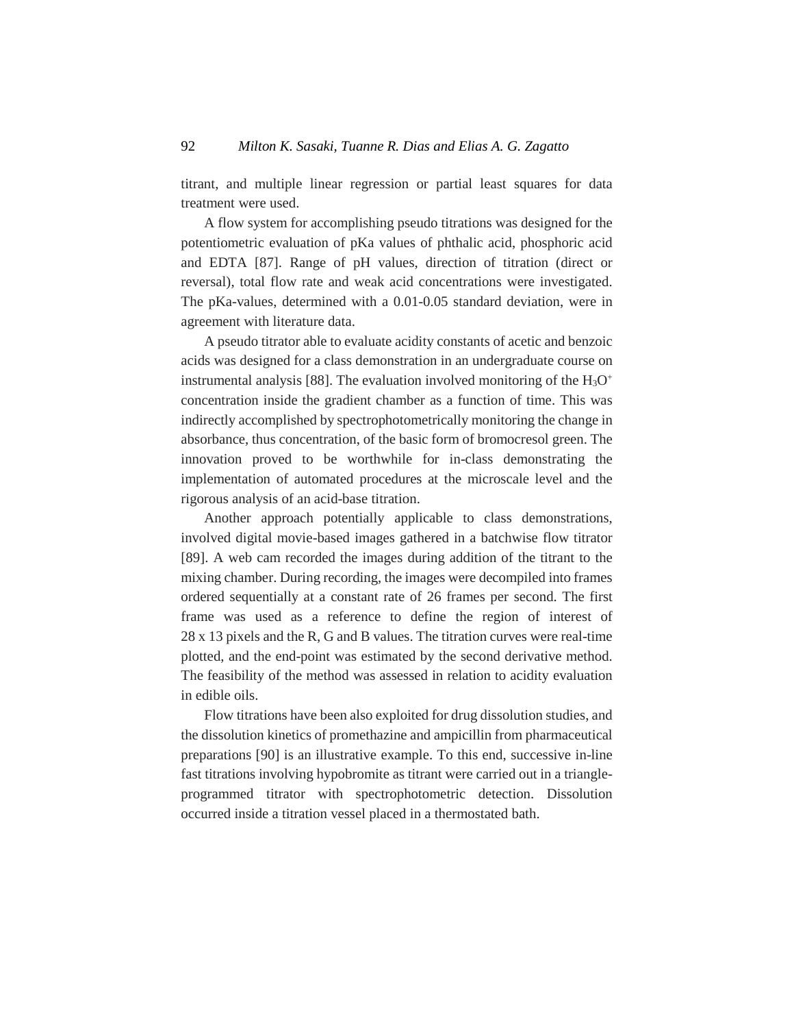titrant, and multiple linear regression or partial least squares for data treatment were used.

A flow system for accomplishing pseudo titrations was designed for the potentiometric evaluation of pKa values of phthalic acid, phosphoric acid and EDTA [87]. Range of pH values, direction of titration (direct or reversal), total flow rate and weak acid concentrations were investigated. The pKa-values, determined with a 0.01-0.05 standard deviation, were in agreement with literature data.

A pseudo titrator able to evaluate acidity constants of acetic and benzoic acids was designed for a class demonstration in an undergraduate course on instrumental analysis [88]. The evaluation involved monitoring of the  $H_3O^+$ concentration inside the gradient chamber as a function of time. This was indirectly accomplished by spectrophotometrically monitoring the change in absorbance, thus concentration, of the basic form of bromocresol green. The innovation proved to be worthwhile for in-class demonstrating the implementation of automated procedures at the microscale level and the rigorous analysis of an acid-base titration.

Another approach potentially applicable to class demonstrations, involved digital movie-based images gathered in a batchwise flow titrator [89]. A web cam recorded the images during addition of the titrant to the mixing chamber. During recording, the images were decompiled into frames ordered sequentially at a constant rate of 26 frames per second. The first frame was used as a reference to define the region of interest of 28 x 13 pixels and the R, G and B values. The titration curves were real-time plotted, and the end-point was estimated by the second derivative method. The feasibility of the method was assessed in relation to acidity evaluation in edible oils.

Flow titrations have been also exploited for drug dissolution studies, and the dissolution kinetics of promethazine and ampicillin from pharmaceutical preparations [90] is an illustrative example. To this end, successive in-line fast titrations involving hypobromite as titrant were carried out in a triangleprogrammed titrator with spectrophotometric detection. Dissolution occurred inside a titration vessel placed in a thermostated bath.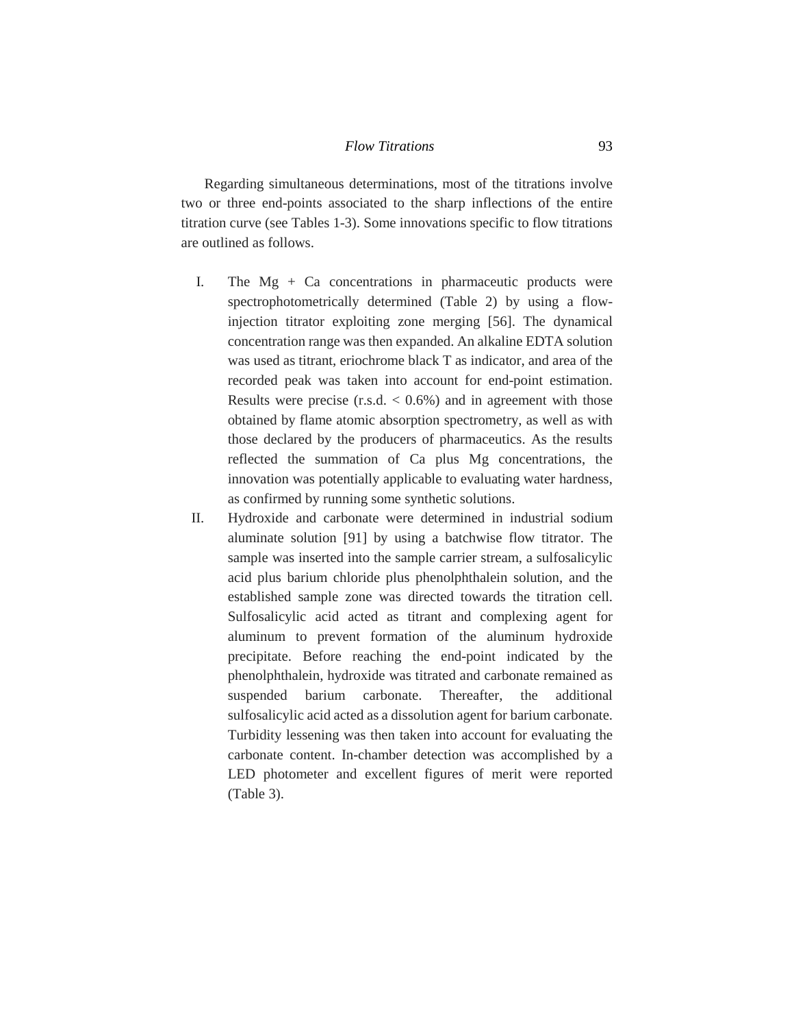Regarding simultaneous determinations, most of the titrations involve two or three end-points associated to the sharp inflections of the entire titration curve (see Tables 1-3). Some innovations specific to flow titrations are outlined as follows.

- I. The  $Mg + Ca$  concentrations in pharmaceutic products were spectrophotometrically determined (Table 2) by using a flowinjection titrator exploiting zone merging [56]. The dynamical concentration range was then expanded. An alkaline EDTA solution was used as titrant, eriochrome black T as indicator, and area of the recorded peak was taken into account for end-point estimation. Results were precise  $(r.s.d. < 0.6\%)$  and in agreement with those obtained by flame atomic absorption spectrometry, as well as with those declared by the producers of pharmaceutics. As the results reflected the summation of Ca plus Mg concentrations, the innovation was potentially applicable to evaluating water hardness, as confirmed by running some synthetic solutions.
- II. Hydroxide and carbonate were determined in industrial sodium aluminate solution [91] by using a batchwise flow titrator. The sample was inserted into the sample carrier stream, a sulfosalicylic acid plus barium chloride plus phenolphthalein solution, and the established sample zone was directed towards the titration cell. Sulfosalicylic acid acted as titrant and complexing agent for aluminum to prevent formation of the aluminum hydroxide precipitate. Before reaching the end-point indicated by the phenolphthalein, hydroxide was titrated and carbonate remained as suspended barium carbonate. Thereafter, the additional sulfosalicylic acid acted as a dissolution agent for barium carbonate. Turbidity lessening was then taken into account for evaluating the carbonate content. In-chamber detection was accomplished by a LED photometer and excellent figures of merit were reported (Table 3).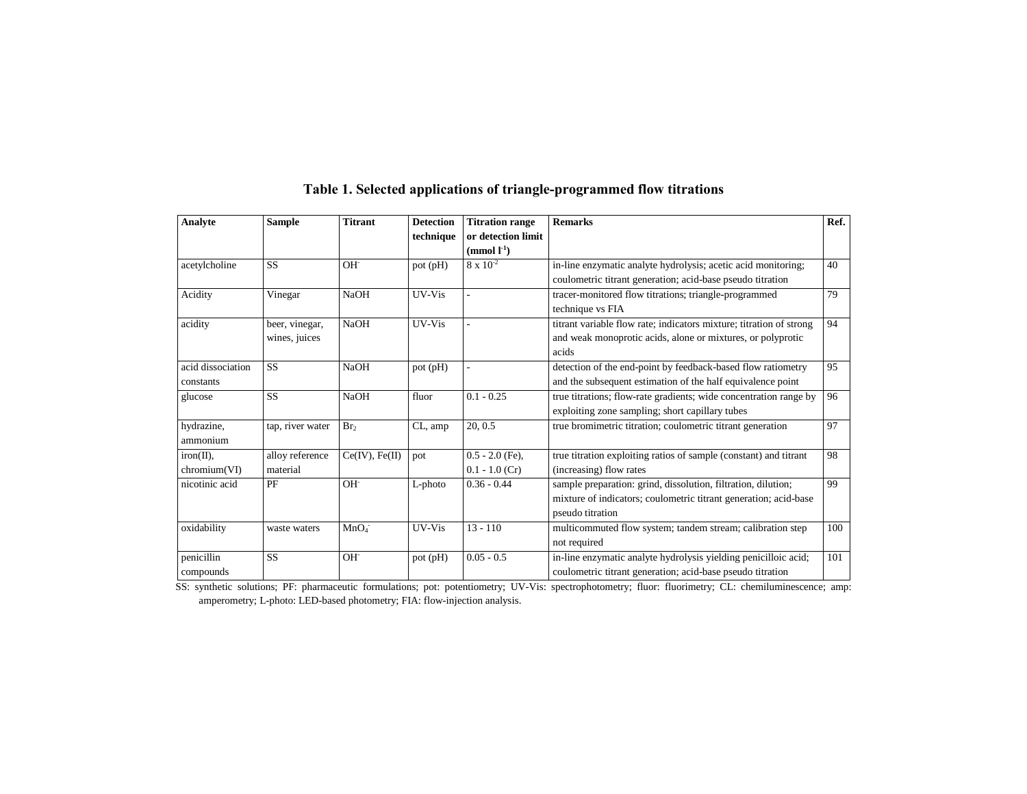| <b>Analyte</b>    | <b>Sample</b>    | <b>Titrant</b>      | <b>Detection</b> | <b>Titration range</b> | <b>Remarks</b>                                                      | Ref. |
|-------------------|------------------|---------------------|------------------|------------------------|---------------------------------------------------------------------|------|
|                   |                  |                     | technique        | or detection limit     |                                                                     |      |
|                   |                  |                     |                  | $\pmod{l^{\text{-}1}}$ |                                                                     |      |
| acetylcholine     | <b>SS</b>        | $OH^-$              | pot (pH)         | $8 \times 10^{-2}$     | in-line enzymatic analyte hydrolysis; acetic acid monitoring;       | 40   |
|                   |                  |                     |                  |                        | coulometric titrant generation; acid-base pseudo titration          |      |
| Acidity           | Vinegar          | <b>NaOH</b>         | UV-Vis           |                        | tracer-monitored flow titrations; triangle-programmed               | 79   |
|                   |                  |                     |                  |                        | technique vs FIA                                                    |      |
| acidity           | beer, vinegar,   | <b>NaOH</b>         | UV-Vis           |                        | titrant variable flow rate; indicators mixture; titration of strong | 94   |
|                   | wines, juices    |                     |                  |                        | and weak monoprotic acids, alone or mixtures, or polyprotic         |      |
|                   |                  |                     |                  |                        | acids                                                               |      |
| acid dissociation | <b>SS</b>        | <b>NaOH</b>         | pot (pH)         |                        | detection of the end-point by feedback-based flow ratiometry        | 95   |
| constants         |                  |                     |                  |                        | and the subsequent estimation of the half equivalence point         |      |
| glucose           | <b>SS</b>        | <b>NaOH</b>         | fluor            | $0.1 - 0.25$           | true titrations; flow-rate gradients; wide concentration range by   | 96   |
|                   |                  |                     |                  |                        | exploiting zone sampling; short capillary tubes                     |      |
| hydrazine,        | tap, river water | Br <sub>2</sub>     | CL, amp          | 20, 0.5                | true bromimetric titration; coulometric titrant generation          | 97   |
| ammonium          |                  |                     |                  |                        |                                                                     |      |
| $iron(II)$ ,      | alloy reference  | $Ce(IV)$ , $Fe(II)$ | pot              | $0.5 - 2.0$ (Fe),      | true titration exploiting ratios of sample (constant) and titrant   | 98   |
| chromium(VI)      | material         |                     |                  | $0.1 - 1.0$ (Cr)       | (increasing) flow rates                                             |      |
| nicotinic acid    | PF               | $OH^-$              | L-photo          | $0.36 - 0.44$          | sample preparation: grind, dissolution, filtration, dilution;       | 99   |
|                   |                  |                     |                  |                        | mixture of indicators; coulometric titrant generation; acid-base    |      |
|                   |                  |                     |                  |                        | pseudo titration                                                    |      |
| oxidability       | waste waters     | MnO <sub>4</sub>    | UV-Vis           | $13 - 110$             | multicommuted flow system; tandem stream; calibration step          | 100  |
|                   |                  |                     |                  |                        | not required                                                        |      |
| penicillin        | <b>SS</b>        | OH <sup>-</sup>     | pot (pH)         | $0.05 - 0.5$           | in-line enzymatic analyte hydrolysis yielding penicilloic acid;     | 101  |
| compounds         |                  |                     |                  |                        | coulometric titrant generation; acid-base pseudo titration          |      |

# **Table 1. Selected applications of triangle-programmed flow titrations**

SS: synthetic solutions; PF: pharmaceutic formulations; pot: potentiometry; UV-Vis: spectrophotometry; fluor: fluorimetry; CL: chemiluminescence; amp: amperometry; L-photo: LED-based photometry; FIA: flow-injection analysis.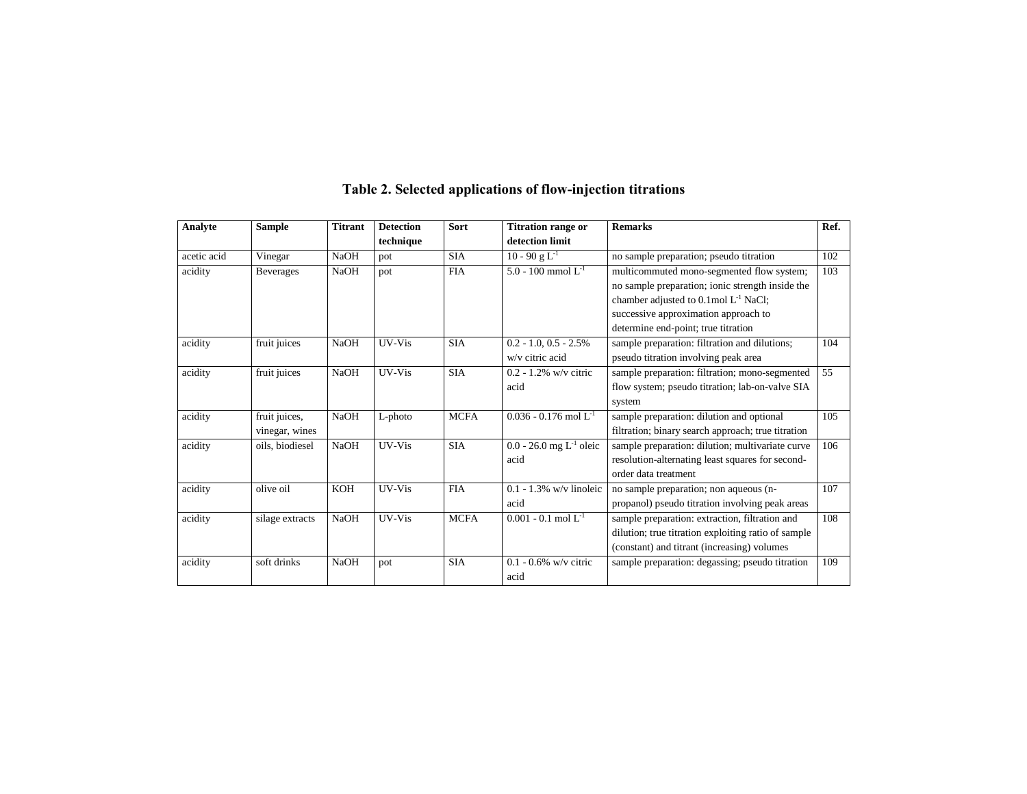| <b>Analyte</b> | <b>Sample</b>    | <b>Titrant</b> | <b>Detection</b> | Sort        | <b>Titration range or</b>      | <b>Remarks</b>                                      | Ref. |
|----------------|------------------|----------------|------------------|-------------|--------------------------------|-----------------------------------------------------|------|
|                |                  |                | technique        |             | detection limit                |                                                     |      |
| acetic acid    | Vinegar          | <b>NaOH</b>    | pot              | <b>SIA</b>  | $10 - 90$ g L <sup>-1</sup>    | no sample preparation; pseudo titration             | 102  |
| acidity        | <b>Beverages</b> | <b>NaOH</b>    | pot              | <b>FIA</b>  | 5.0 - 100 mmol $L^{-1}$        | multicommuted mono-segmented flow system;           | 103  |
|                |                  |                |                  |             |                                | no sample preparation; ionic strength inside the    |      |
|                |                  |                |                  |             |                                | chamber adjusted to 0.1mol L <sup>-1</sup> NaCl;    |      |
|                |                  |                |                  |             |                                | successive approximation approach to                |      |
|                |                  |                |                  |             |                                | determine end-point; true titration                 |      |
| acidity        | fruit juices     | <b>NaOH</b>    | UV-Vis           | <b>SIA</b>  | $0.2 - 1.0, 0.5 - 2.5\%$       | sample preparation: filtration and dilutions;       | 104  |
|                |                  |                |                  |             | w/v citric acid                | pseudo titration involving peak area                |      |
| acidity        | fruit juices     | <b>NaOH</b>    | UV-Vis           | <b>SIA</b>  | $0.2 - 1.2\%$ w/v citric       | sample preparation: filtration; mono-segmented      | 55   |
|                |                  |                |                  |             | acid                           | flow system; pseudo titration; lab-on-valve SIA     |      |
|                |                  |                |                  |             |                                | system                                              |      |
| acidity        | fruit juices,    | <b>NaOH</b>    | L-photo          | <b>MCFA</b> | $0.036 - 0.176$ mol $L^{-1}$   | sample preparation: dilution and optional           | 105  |
|                | vinegar, wines   |                |                  |             |                                | filtration; binary search approach; true titration  |      |
| acidity        | oils, biodiesel  | <b>NaOH</b>    | UV-Vis           | <b>SIA</b>  | $0.0 - 26.0$ mg $L^{-1}$ oleic | sample preparation: dilution; multivariate curve    | 106  |
|                |                  |                |                  |             | acid                           | resolution-alternating least squares for second-    |      |
|                |                  |                |                  |             |                                | order data treatment                                |      |
| acidity        | olive oil        | <b>KOH</b>     | UV-Vis           | <b>FIA</b>  | $0.1 - 1.3\%$ w/v linoleic     | no sample preparation; non aqueous (n-              | 107  |
|                |                  |                |                  |             | acid                           | propanol) pseudo titration involving peak areas     |      |
| acidity        | silage extracts  | <b>NaOH</b>    | UV-Vis           | <b>MCFA</b> | $0.001 - 0.1$ mol $L^{-1}$     | sample preparation: extraction, filtration and      | 108  |
|                |                  |                |                  |             |                                | dilution; true titration exploiting ratio of sample |      |
|                |                  |                |                  |             |                                | (constant) and titrant (increasing) volumes         |      |
| acidity        | soft drinks      | <b>NaOH</b>    | pot              | <b>SIA</b>  | $0.1 - 0.6\%$ w/v citric       | sample preparation: degassing; pseudo titration     | 109  |
|                |                  |                |                  |             | acid                           |                                                     |      |

# **Table 2. Selected applications of flow-injection titrations**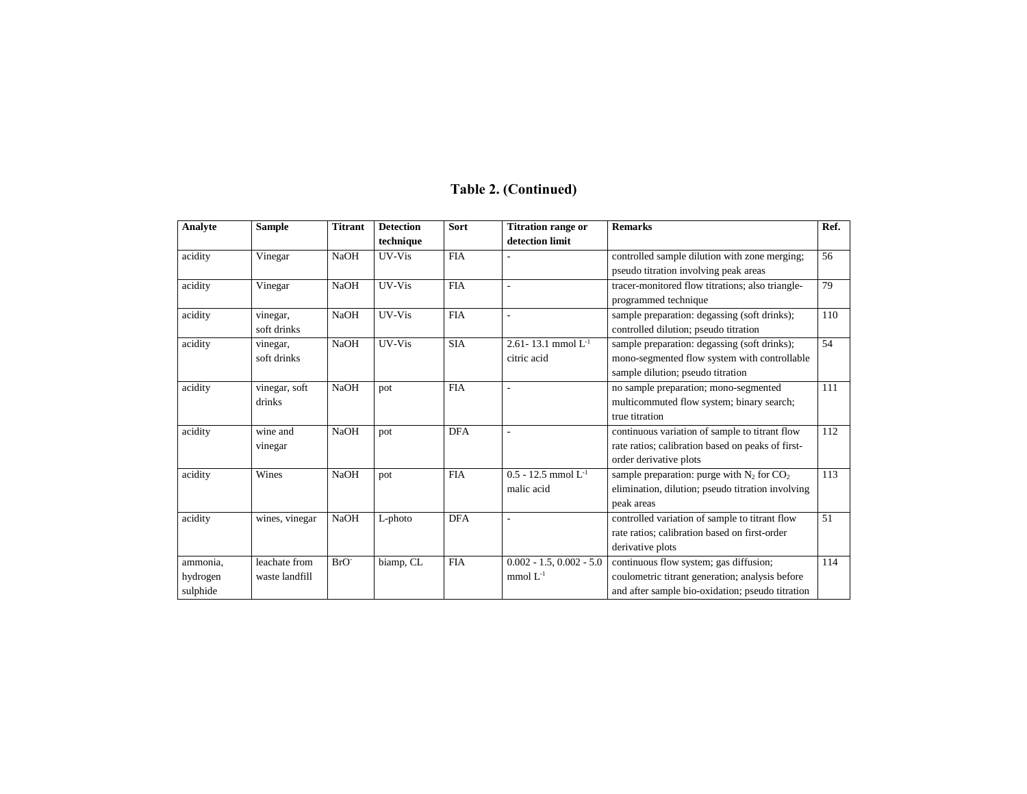# **Table 2. (Continued)**

| Analyte  | <b>Sample</b>  | <b>Titrant</b>   | <b>Detection</b> | Sort       | <b>Titration range or</b>  | <b>Remarks</b>                                    | Ref. |
|----------|----------------|------------------|------------------|------------|----------------------------|---------------------------------------------------|------|
|          |                |                  | technique        |            | detection limit            |                                                   |      |
| acidity  | Vinegar        | <b>NaOH</b>      | UV-Vis           | <b>FIA</b> |                            | controlled sample dilution with zone merging;     | 56   |
|          |                |                  |                  |            |                            | pseudo titration involving peak areas             |      |
| acidity  | Vinegar        | <b>NaOH</b>      | UV-Vis           | <b>FIA</b> |                            | tracer-monitored flow titrations; also triangle-  | 79   |
|          |                |                  |                  |            |                            | programmed technique                              |      |
| acidity  | vinegar,       | <b>NaOH</b>      | UV-Vis           | <b>FIA</b> | ÷                          | sample preparation: degassing (soft drinks);      | 110  |
|          | soft drinks    |                  |                  |            |                            | controlled dilution; pseudo titration             |      |
| acidity  | vinegar,       | <b>NaOH</b>      | UV-Vis           | <b>SIA</b> | 2.61-13.1 mmol $L^{-1}$    | sample preparation: degassing (soft drinks);      | 54   |
|          | soft drinks    |                  |                  |            | citric acid                | mono-segmented flow system with controllable      |      |
|          |                |                  |                  |            |                            | sample dilution; pseudo titration                 |      |
| acidity  | vinegar, soft  | <b>NaOH</b>      | pot              | <b>FIA</b> |                            | no sample preparation; mono-segmented             | 111  |
|          | drinks         |                  |                  |            |                            | multicommuted flow system; binary search;         |      |
|          |                |                  |                  |            |                            | true titration                                    |      |
| acidity  | wine and       | <b>NaOH</b>      | pot              | <b>DFA</b> |                            | continuous variation of sample to titrant flow    | 112  |
|          | vinegar        |                  |                  |            |                            | rate ratios; calibration based on peaks of first- |      |
|          |                |                  |                  |            |                            | order derivative plots                            |      |
| acidity  | Wines          | <b>NaOH</b>      | pot              | <b>FIA</b> | $0.5 - 12.5$ mmol $L^{-1}$ | sample preparation: purge with $N_2$ for $CO_2$   | 113  |
|          |                |                  |                  |            | malic acid                 | elimination, dilution; pseudo titration involving |      |
|          |                |                  |                  |            |                            | peak areas                                        |      |
| acidity  | wines, vinegar | <b>NaOH</b>      | $L$ -photo       | <b>DFA</b> |                            | controlled variation of sample to titrant flow    | 51   |
|          |                |                  |                  |            |                            | rate ratios; calibration based on first-order     |      |
|          |                |                  |                  |            |                            | derivative plots                                  |      |
| ammonia. | leachate from  | BrO <sup>-</sup> | biamp, CL        | <b>FIA</b> | $0.002 - 1.5, 0.002 - 5.0$ | continuous flow system; gas diffusion;            | 114  |
| hydrogen | waste landfill |                  |                  |            | mmol $L^{-1}$              | coulometric titrant generation; analysis before   |      |
| sulphide |                |                  |                  |            |                            | and after sample bio-oxidation; pseudo titration  |      |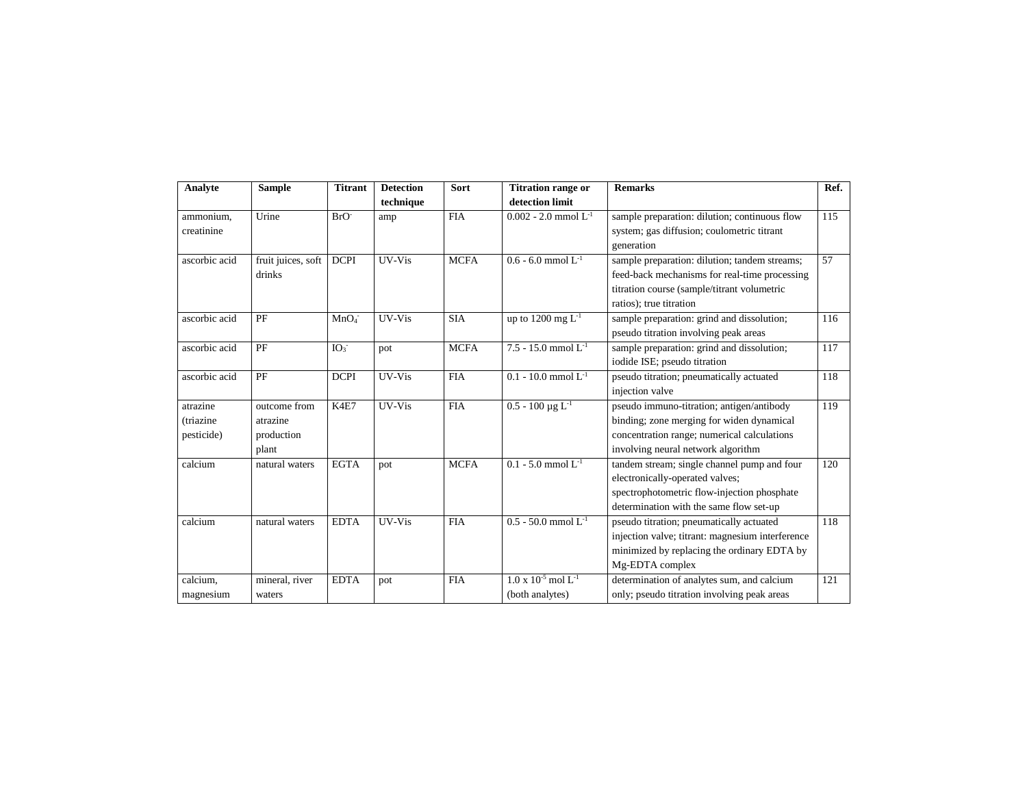| Analyte       | <b>Sample</b>      | <b>Titrant</b>   | <b>Detection</b> | Sort        | <b>Titration range or</b>                | <b>Remarks</b>                                   | Ref. |
|---------------|--------------------|------------------|------------------|-------------|------------------------------------------|--------------------------------------------------|------|
|               |                    |                  | technique        |             | detection limit                          |                                                  |      |
| ammonium,     | Urine              | BrO <sup>-</sup> | amp              | <b>FIA</b>  | $0.002 - 2.0$ mmol $L^{-1}$              | sample preparation: dilution; continuous flow    | 115  |
| creatinine    |                    |                  |                  |             |                                          | system; gas diffusion; coulometric titrant       |      |
|               |                    |                  |                  |             |                                          | generation                                       |      |
| ascorbic acid | fruit juices, soft | <b>DCPI</b>      | UV-Vis           | <b>MCFA</b> | $0.6 - 6.0$ mmol $L^{-1}$                | sample preparation: dilution; tandem streams;    | 57   |
|               | drinks             |                  |                  |             |                                          | feed-back mechanisms for real-time processing    |      |
|               |                    |                  |                  |             |                                          | titration course (sample/titrant volumetric      |      |
|               |                    |                  |                  |             |                                          | ratios); true titration                          |      |
| ascorbic acid | PF                 | MnO <sub>4</sub> | UV-Vis           | <b>SIA</b>  | up to 1200 mg $L^{-1}$                   | sample preparation: grind and dissolution;       | 116  |
|               |                    |                  |                  |             |                                          | pseudo titration involving peak areas            |      |
| ascorbic acid | PF                 | IO <sub>3</sub>  | pot              | <b>MCFA</b> | $7.5 - 15.0$ mmol $L^{-1}$               | sample preparation: grind and dissolution;       | 117  |
|               |                    |                  |                  |             |                                          | iodide ISE; pseudo titration                     |      |
| ascorbic acid | PF                 | <b>DCPI</b>      | UV-Vis           | <b>FIA</b>  | $0.1 - 10.0$ mmol $L^{-1}$               | pseudo titration; pneumatically actuated         | 118  |
|               |                    |                  |                  |             |                                          | injection valve                                  |      |
| atrazine      | outcome from       | K4E7             | UV-Vis           | <b>FIA</b>  | $0.5 - 100 \mu g L^{-1}$                 | pseudo immuno-titration; antigen/antibody        | 119  |
| (triazine     | atrazine           |                  |                  |             |                                          | binding; zone merging for widen dynamical        |      |
| pesticide)    | production         |                  |                  |             |                                          | concentration range; numerical calculations      |      |
|               | plant              |                  |                  |             |                                          | involving neural network algorithm               |      |
| calcium       | natural waters     | <b>EGTA</b>      | pot              | <b>MCFA</b> | $0.1 - 5.0$ mmol $L^{-1}$                | tandem stream; single channel pump and four      | 120  |
|               |                    |                  |                  |             |                                          | electronically-operated valves;                  |      |
|               |                    |                  |                  |             |                                          | spectrophotometric flow-injection phosphate      |      |
|               |                    |                  |                  |             |                                          | determination with the same flow set-up          |      |
| calcium       | natural waters     | <b>EDTA</b>      | UV-Vis           | <b>FIA</b>  | $0.5 - 50.0$ mmol $L^{-1}$               | pseudo titration; pneumatically actuated         | 118  |
|               |                    |                  |                  |             |                                          | injection valve; titrant: magnesium interference |      |
|               |                    |                  |                  |             |                                          | minimized by replacing the ordinary EDTA by      |      |
|               |                    |                  |                  |             |                                          | Mg-EDTA complex                                  |      |
| calcium,      | mineral, river     | <b>EDTA</b>      | pot              | <b>FIA</b>  | $1.0 \times 10^{-5}$ mol L <sup>-1</sup> | determination of analytes sum, and calcium       | 121  |
| magnesium     | waters             |                  |                  |             | (both analytes)                          | only; pseudo titration involving peak areas      |      |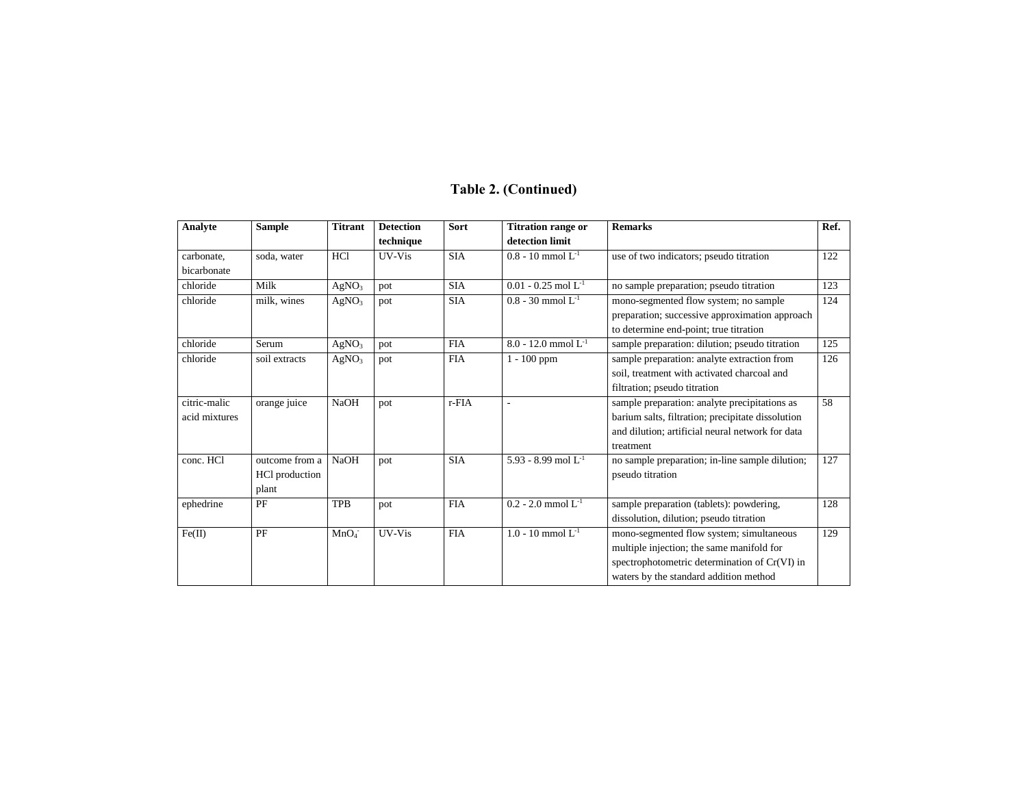# **Table 2. (Continued)**

| <b>Analyte</b> | <b>Sample</b>  | <b>Titrant</b>    | <b>Detection</b> | Sort       | <b>Titration range or</b>  | <b>Remarks</b>                                    | Ref. |
|----------------|----------------|-------------------|------------------|------------|----------------------------|---------------------------------------------------|------|
|                |                |                   | technique        |            | detection limit            |                                                   |      |
| carbonate,     | soda, water    | HC1               | UV-Vis           | <b>SIA</b> | $0.8 - 10$ mmol $L^{-1}$   | use of two indicators; pseudo titration           | 122  |
| bicarbonate    |                |                   |                  |            |                            |                                                   |      |
| chloride       | Milk           | AgNO <sub>3</sub> | pot              | <b>SIA</b> | $0.01 - 0.25$ mol $L^{-1}$ | no sample preparation; pseudo titration           | 123  |
| chloride       | milk, wines    | AgNO <sub>3</sub> | pot              | <b>SIA</b> | $0.8 - 30$ mmol $L^{-1}$   | mono-segmented flow system; no sample             | 124  |
|                |                |                   |                  |            |                            | preparation; successive approximation approach    |      |
|                |                |                   |                  |            |                            | to determine end-point; true titration            |      |
| chloride       | Serum          | AgNO <sub>3</sub> | pot              | <b>FIA</b> | $8.0 - 12.0$ mmol $L^{-1}$ | sample preparation: dilution; pseudo titration    | 125  |
| chloride       | soil extracts  | AgNO <sub>3</sub> | pot              | <b>FIA</b> | $1 - 100$ ppm              | sample preparation: analyte extraction from       | 126  |
|                |                |                   |                  |            |                            | soil, treatment with activated charcoal and       |      |
|                |                |                   |                  |            |                            | filtration; pseudo titration                      |      |
| citric-malic   | orange juice   | <b>NaOH</b>       | pot              | r-FIA      | ÷                          | sample preparation: analyte precipitations as     | 58   |
| acid mixtures  |                |                   |                  |            |                            | barium salts, filtration; precipitate dissolution |      |
|                |                |                   |                  |            |                            | and dilution: artificial neural network for data  |      |
|                |                |                   |                  |            |                            | treatment                                         |      |
| conc. HCI      | outcome from a | <b>NaOH</b>       | pot              | <b>SIA</b> | 5.93 - 8.99 mol $L^{-1}$   | no sample preparation; in-line sample dilution;   | 127  |
|                | HCl production |                   |                  |            |                            | pseudo titration                                  |      |
|                | plant          |                   |                  |            |                            |                                                   |      |
| ephedrine      | PF             | <b>TPB</b>        | pot              | <b>FIA</b> | $0.2 - 2.0$ mmol $L^{-1}$  | sample preparation (tablets): powdering,          | 128  |
|                |                |                   |                  |            |                            | dissolution, dilution; pseudo titration           |      |
| Fe(II)         | PF             | MnO <sub>4</sub>  | UV-Vis           | <b>FIA</b> | $1.0 - 10$ mmol $L^{-1}$   | mono-segmented flow system; simultaneous          | 129  |
|                |                |                   |                  |            |                            | multiple injection; the same manifold for         |      |
|                |                |                   |                  |            |                            | spectrophotometric determination of Cr(VI) in     |      |
|                |                |                   |                  |            |                            | waters by the standard addition method            |      |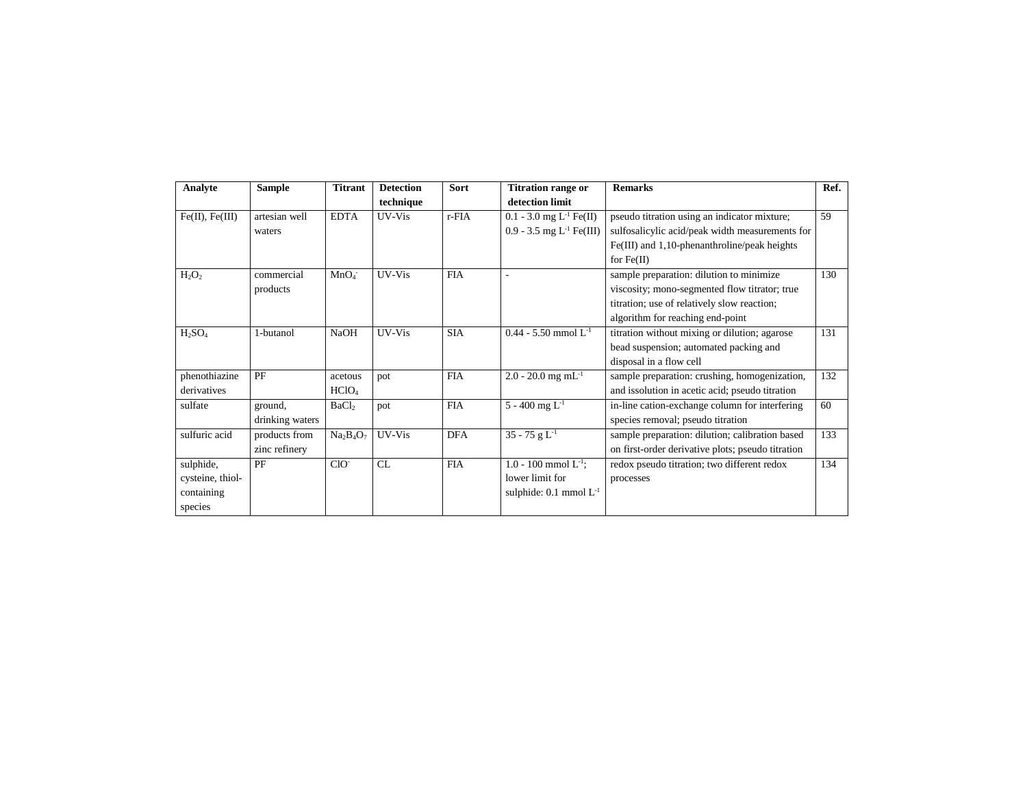| Analyte              | <b>Sample</b>   | <b>Titrant</b>    | <b>Detection</b> | Sort       | <b>Titration range or</b>              | <b>Remarks</b>                                    | Ref. |
|----------------------|-----------------|-------------------|------------------|------------|----------------------------------------|---------------------------------------------------|------|
|                      |                 |                   | technique        |            | detection limit                        |                                                   |      |
| $Fe(II)$ , $Fe(III)$ | artesian well   | <b>EDTA</b>       | UV-Vis           | r-FIA      | $0.1 - 3.0$ mg L <sup>-1</sup> Fe(II)  | pseudo titration using an indicator mixture;      | 59   |
|                      | waters          |                   |                  |            | 0.9 - 3.5 mg $L^{-1}$ Fe(III)          | sulfosalicylic acid/peak width measurements for   |      |
|                      |                 |                   |                  |            |                                        | $Fe(III)$ and 1,10-phenanthroline/peak heights    |      |
|                      |                 |                   |                  |            |                                        | for $Fe(II)$                                      |      |
| $H_2O_2$             | commercial      | MnO <sub>4</sub>  | UV-Vis           | <b>FIA</b> |                                        | sample preparation: dilution to minimize          | 130  |
|                      | products        |                   |                  |            |                                        | viscosity; mono-segmented flow titrator; true     |      |
|                      |                 |                   |                  |            |                                        | titration; use of relatively slow reaction;       |      |
|                      |                 |                   |                  |            |                                        | algorithm for reaching end-point                  |      |
| $H_2SO_4$            | 1-butanol       | <b>NaOH</b>       | UV-Vis           | <b>SIA</b> | $0.44 - 5.50$ mmol $L^{-1}$            | titration without mixing or dilution; agarose     | 131  |
|                      |                 |                   |                  |            |                                        | bead suspension; automated packing and            |      |
|                      |                 |                   |                  |            |                                        | disposal in a flow cell                           |      |
| phenothiazine        | PF              | acetous           | pot              | <b>FIA</b> | $2.0 - 20.0$ mg mL <sup>-1</sup>       | sample preparation: crushing, homogenization,     | 132  |
| derivatives          |                 | HCIO <sub>4</sub> |                  |            |                                        | and issolution in acetic acid; pseudo titration   |      |
| sulfate              | ground,         | BaCl <sub>2</sub> | pot              | <b>FIA</b> | 5 - 400 mg $L^{-1}$                    | in-line cation-exchange column for interfering    | 60   |
|                      | drinking waters |                   |                  |            |                                        | species removal; pseudo titration                 |      |
| sulfuric acid        | products from   | $Na2B4O7$         | UV-Vis           | <b>DFA</b> | $\overline{35 - 75 g}$ L <sup>-1</sup> | sample preparation: dilution; calibration based   | 133  |
|                      | zinc refinery   |                   |                  |            |                                        | on first-order derivative plots; pseudo titration |      |
| sulphide,            | PF              | $ClO^-$           | CL               | <b>FIA</b> | 1.0 - 100 mmol $L^{-1}$ ;              | redox pseudo titration; two different redox       | 134  |
| cysteine, thiol-     |                 |                   |                  |            | lower limit for                        | processes                                         |      |
| containing           |                 |                   |                  |            | sulphide: $0.1 \text{ mmol } L^{-1}$   |                                                   |      |
| species              |                 |                   |                  |            |                                        |                                                   |      |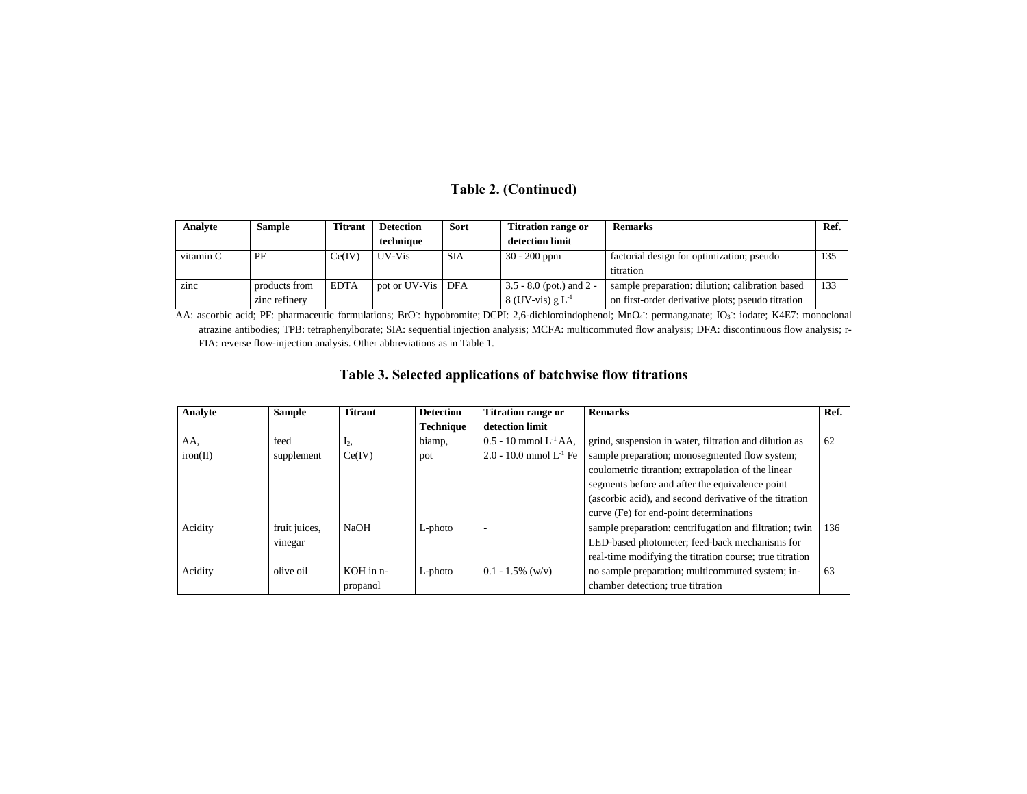# **Table 2. (Continued)**

| Analyte   | Sample        | <b>Titrant</b> | <b>Detection</b>  | Sort       | <b>Titration range or</b>   | <b>Remarks</b>                                    | Ref. |
|-----------|---------------|----------------|-------------------|------------|-----------------------------|---------------------------------------------------|------|
|           |               |                | technique         |            | detection limit             |                                                   |      |
| vitamin C | PF            | Ce(IV)         | UV-Vis            | <b>SIA</b> | $30 - 200$ ppm              | factorial design for optimization; pseudo         | 135  |
|           |               |                |                   |            |                             | titration                                         |      |
| zinc      | products from | <b>EDTA</b>    | pot or UV-Vis DFA |            | $13.5 - 8.0$ (pot.) and 2 - | sample preparation: dilution; calibration based   | 133  |
|           | zinc refinery |                |                   |            | $8$ (UV-vis) g $L^{-1}$     | on first-order derivative plots; pseudo titration |      |

AA: ascorbic acid; PF: pharmaceutic formulations; BrO: hypobromite; DCPI: 2,6-dichloroindophenol; MnO4: permanganate; IO<sub>3</sub>: iodate; K4E7: monoclonal atrazine antibodies; TPB: tetraphenylborate; SIA: sequential injection analysis; MCFA: multicommuted flow analysis; DFA: discontinuous flow analysis; r-FIA: reverse flow-injection analysis. Other abbreviations as in Table 1.

# **Table 3. Selected applications of batchwise flow titrations**

| Analyte  | <b>Sample</b> | <b>Titrant</b> | <b>Detection</b> | <b>Titration range or</b>    | <b>Remarks</b>                                           | Ref. |
|----------|---------------|----------------|------------------|------------------------------|----------------------------------------------------------|------|
|          |               |                | <b>Technique</b> | detection limit              |                                                          |      |
| AA.      | feed          | Ŀ٠.            | biamp,           | $0.5 - 10$ mmol $L^{-1}AA$ . | grind, suspension in water, filtration and dilution as   | 62   |
| iron(II) | supplement    | Ce(IV)         | pot              | 2.0 - 10.0 mmol $L^{-1}$ Fe  | sample preparation; monosegmented flow system;           |      |
|          |               |                |                  |                              | coulometric titrantion; extrapolation of the linear      |      |
|          |               |                |                  |                              | segments before and after the equivalence point          |      |
|          |               |                |                  |                              | (ascorbic acid), and second derivative of the titration  |      |
|          |               |                |                  |                              | curve (Fe) for end-point determinations                  |      |
| Acidity  | fruit juices, | <b>NaOH</b>    | $L$ -photo       |                              | sample preparation: centrifugation and filtration; twin  | 136  |
|          | vinegar       |                |                  |                              | LED-based photometer; feed-back mechanisms for           |      |
|          |               |                |                  |                              | real-time modifying the titration course; true titration |      |
| Acidity  | olive oil     | KOH in n-      | $L$ -photo       | $0.1 - 1.5\%$ (w/v)          | no sample preparation; multicommuted system; in-         | 63   |
|          |               | propanol       |                  |                              | chamber detection: true titration                        |      |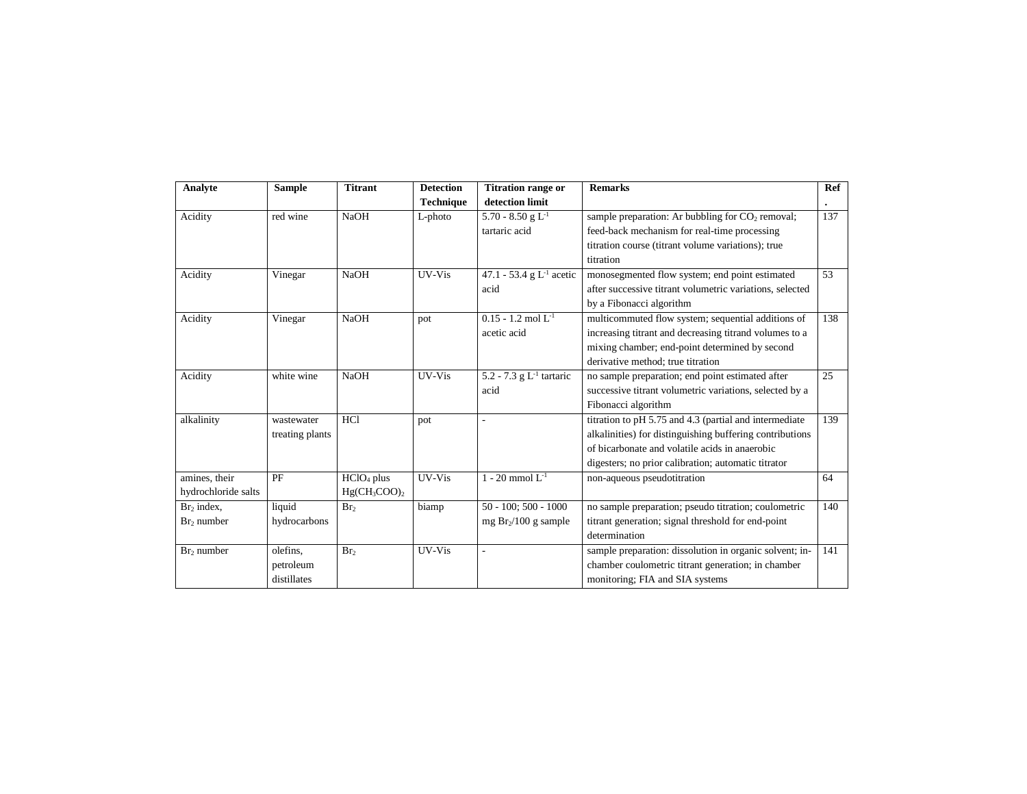| Analyte                | <b>Sample</b>   | <b>Titrant</b>         | <b>Detection</b> | <b>Titration range or</b>            | <b>Remarks</b>                                           | Ref       |
|------------------------|-----------------|------------------------|------------------|--------------------------------------|----------------------------------------------------------|-----------|
|                        |                 |                        | <b>Technique</b> | detection limit                      |                                                          | $\bullet$ |
| Acidity                | red wine        | <b>NaOH</b>            | $L$ -photo       | 5.70 - 8.50 g $L^{-1}$               | sample preparation: Ar bubbling for $CO2$ removal;       | 137       |
|                        |                 |                        |                  | tartaric acid                        | feed-back mechanism for real-time processing             |           |
|                        |                 |                        |                  |                                      | titration course (titrant volume variations); true       |           |
|                        |                 |                        |                  |                                      | titration                                                |           |
| Acidity                | Vinegar         | <b>NaOH</b>            | UV-Vis           | 47.1 - 53.4 g $L^{-1}$ acetic        | monosegmented flow system; end point estimated           | 53        |
|                        |                 |                        |                  | acid                                 | after successive titrant volumetric variations, selected |           |
|                        |                 |                        |                  |                                      | by a Fibonacci algorithm                                 |           |
| Acidity                | Vinegar         | <b>NaOH</b>            | pot              | $\overline{0.15}$ - 1.2 mol $L^{-1}$ | multicommuted flow system; sequential additions of       | 138       |
|                        |                 |                        |                  | acetic acid                          | increasing titrant and decreasing titrand volumes to a   |           |
|                        |                 |                        |                  |                                      | mixing chamber; end-point determined by second           |           |
|                        |                 |                        |                  |                                      | derivative method: true titration                        |           |
| Acidity                | white wine      | <b>NaOH</b>            | UV-Vis           | $5.2 - 7.3$ g $L-1$ tartaric         | no sample preparation; end point estimated after         | 25        |
|                        |                 |                        |                  | acid                                 | successive titrant volumetric variations, selected by a  |           |
|                        |                 |                        |                  |                                      | Fibonacci algorithm                                      |           |
| alkalinity             | wastewater      | HC1                    | pot              | ٠                                    | titration to pH 5.75 and 4.3 (partial and intermediate   | 139       |
|                        | treating plants |                        |                  |                                      | alkalinities) for distinguishing buffering contributions |           |
|                        |                 |                        |                  |                                      | of bicarbonate and volatile acids in anaerobic           |           |
|                        |                 |                        |                  |                                      | digesters; no prior calibration; automatic titrator      |           |
| amines, their          | PF              | HCIO <sub>4</sub> plus | UV-Vis           | 1 - 20 mmol $L^{-1}$                 | non-aqueous pseudotitration                              | 64        |
| hydrochloride salts    |                 | $Hg(CH_3COO)_2$        |                  |                                      |                                                          |           |
| Br <sub>2</sub> index, | liquid          | Br <sub>2</sub>        | biamp            | $50 - 100$ ; $500 - 1000$            | no sample preparation; pseudo titration; coulometric     | 140       |
| $Br2$ number           | hydrocarbons    |                        |                  | mg $Br2/100$ g sample                | titrant generation; signal threshold for end-point       |           |
|                        |                 |                        |                  |                                      | determination                                            |           |
| $Br2$ number           | olefins,        | Br <sub>2</sub>        | UV-Vis           | ä,                                   | sample preparation: dissolution in organic solvent; in-  | 141       |
|                        | petroleum       |                        |                  |                                      | chamber coulometric titrant generation; in chamber       |           |
|                        | distillates     |                        |                  |                                      | monitoring; FIA and SIA systems                          |           |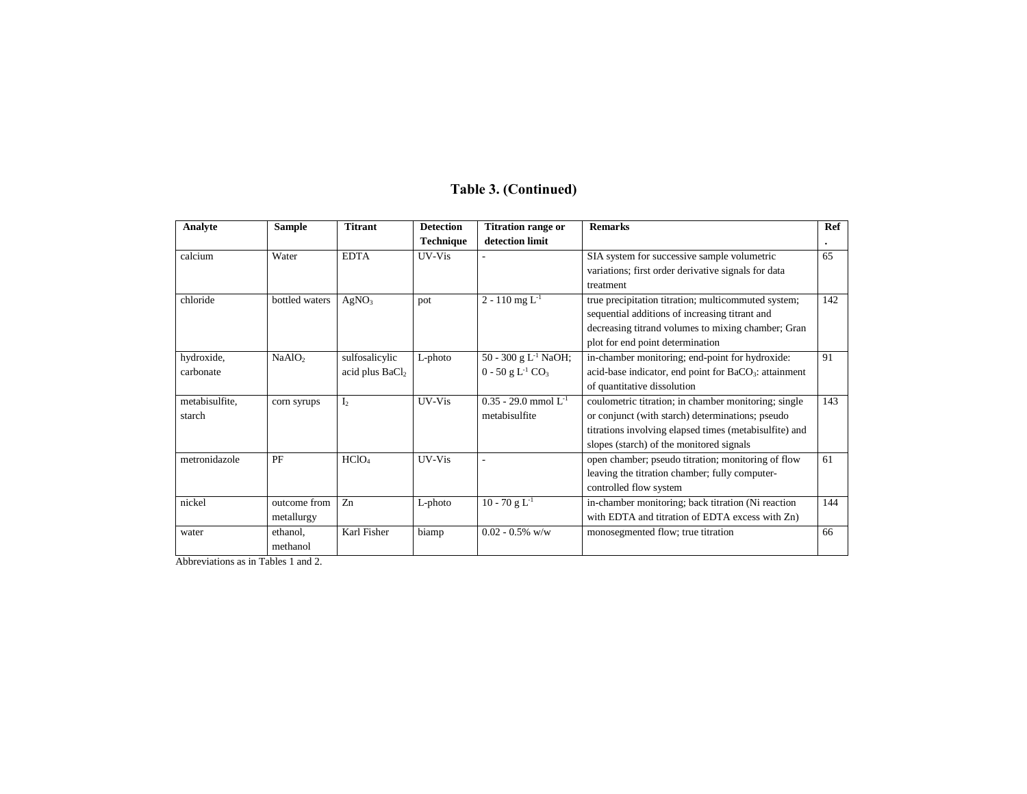# **Table 3. (Continued)**

| Analyte        | <b>Sample</b>      | <b>Titrant</b>              | <b>Detection</b> | <b>Titration range or</b>                  | <b>Remarks</b>                                                    | Ref |
|----------------|--------------------|-----------------------------|------------------|--------------------------------------------|-------------------------------------------------------------------|-----|
|                |                    |                             | <b>Technique</b> | detection limit                            |                                                                   |     |
| calcium        | Water              | <b>EDTA</b>                 | UV-Vis           |                                            | SIA system for successive sample volumetric                       | 65  |
|                |                    |                             |                  |                                            | variations; first order derivative signals for data               |     |
|                |                    |                             |                  |                                            | treatment                                                         |     |
| chloride       | bottled waters     | AgNO <sub>3</sub>           | pot              | $2 - 110$ mg $L^{-1}$                      | true precipitation titration; multicommuted system;               | 142 |
|                |                    |                             |                  |                                            | sequential additions of increasing titrant and                    |     |
|                |                    |                             |                  |                                            | decreasing titrand volumes to mixing chamber; Gran                |     |
|                |                    |                             |                  |                                            | plot for end point determination                                  |     |
| hydroxide,     | NaAlO <sub>2</sub> | sulfosalicylic              | L-photo          | 50 - 300 g $L^{-1}$ NaOH;                  | in-chamber monitoring; end-point for hydroxide:                   | 91  |
| carbonate      |                    | acid plus BaCl <sub>2</sub> |                  | $0 - 50$ g L <sup>-1</sup> CO <sub>3</sub> | acid-base indicator, end point for BaCO <sub>3</sub> : attainment |     |
|                |                    |                             |                  |                                            | of quantitative dissolution                                       |     |
| metabisulfite, | corn syrups        | I <sub>2</sub>              | UV-Vis           | $0.35 - 29.0$ mmol $L^{-1}$                | coulometric titration; in chamber monitoring; single              | 143 |
| starch         |                    |                             |                  | metabisulfite                              | or conjunct (with starch) determinations; pseudo                  |     |
|                |                    |                             |                  |                                            | titrations involving elapsed times (metabisulfite) and            |     |
|                |                    |                             |                  |                                            | slopes (starch) of the monitored signals                          |     |
| metronidazole  | PF                 | HC1O <sub>4</sub>           | UV-Vis           |                                            | open chamber; pseudo titration; monitoring of flow                | 61  |
|                |                    |                             |                  |                                            | leaving the titration chamber; fully computer-                    |     |
|                |                    |                             |                  |                                            | controlled flow system                                            |     |
| nickel         | outcome from       | Z <sub>n</sub>              | L-photo          | $10 - 70$ g L <sup>-1</sup>                | in-chamber monitoring; back titration (Ni reaction                | 144 |
|                | metallurgy         |                             |                  |                                            | with EDTA and titration of EDTA excess with Zn)                   |     |
| water          | ethanol,           | Karl Fisher                 | biamp            | $0.02 - 0.5\%$ w/w                         | monosegmented flow; true titration                                | 66  |
|                | methanol           |                             |                  |                                            |                                                                   |     |

Abbreviations as in Tables 1 and 2.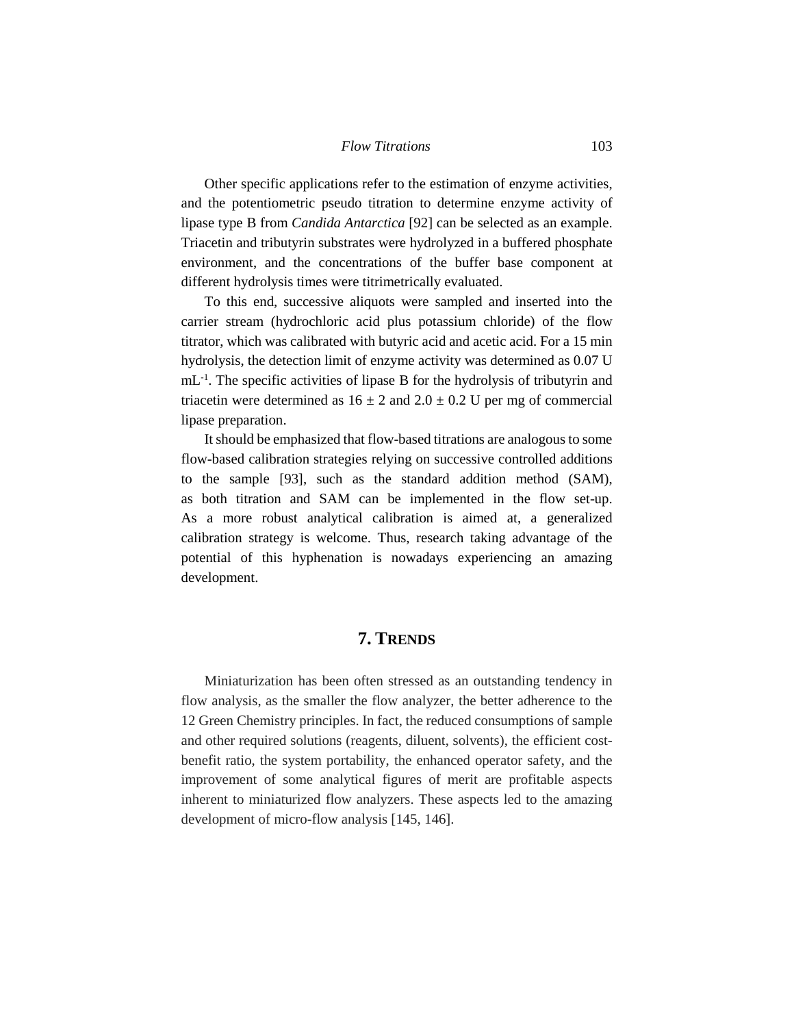Other specific applications refer to the estimation of enzyme activities, and the potentiometric pseudo titration to determine enzyme activity of lipase type B from *Candida Antarctica* [92] can be selected as an example. Triacetin and tributyrin substrates were hydrolyzed in a buffered phosphate environment, and the concentrations of the buffer base component at different hydrolysis times were titrimetrically evaluated.

To this end, successive aliquots were sampled and inserted into the carrier stream (hydrochloric acid plus potassium chloride) of the flow titrator, which was calibrated with butyric acid and acetic acid. For a 15 min hydrolysis, the detection limit of enzyme activity was determined as 0.07 U mL<sup>-1</sup>. The specific activities of lipase B for the hydrolysis of tributyrin and triacetin were determined as  $16 \pm 2$  and  $2.0 \pm 0.2$  U per mg of commercial lipase preparation.

It should be emphasized that flow-based titrations are analogous to some flow-based calibration strategies relying on successive controlled additions to the sample [93], such as the standard addition method (SAM), as both titration and SAM can be implemented in the flow set-up. As a more robust analytical calibration is aimed at, a generalized calibration strategy is welcome. Thus, research taking advantage of the potential of this hyphenation is nowadays experiencing an amazing development.

# **7. TRENDS**

Miniaturization has been often stressed as an outstanding tendency in flow analysis, as the smaller the flow analyzer, the better adherence to the 12 Green Chemistry principles. In fact, the reduced consumptions of sample and other required solutions (reagents, diluent, solvents), the efficient costbenefit ratio, the system portability, the enhanced operator safety, and the improvement of some analytical figures of merit are profitable aspects inherent to miniaturized flow analyzers. These aspects led to the amazing development of micro-flow analysis [145, 146].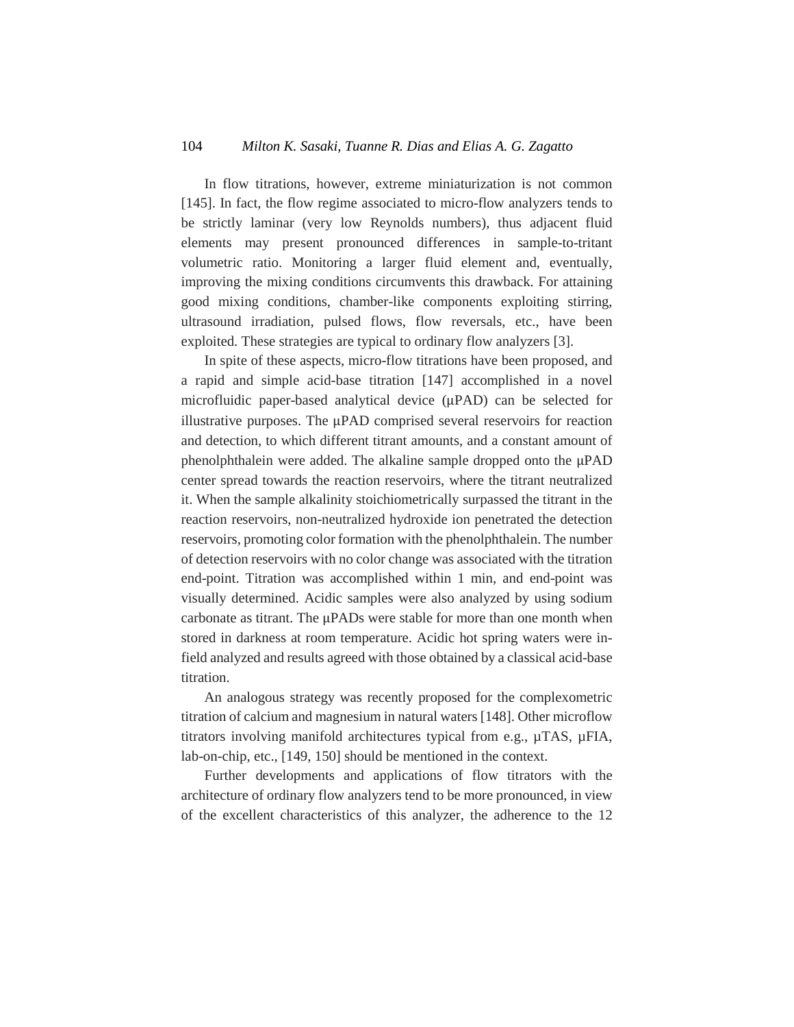#### 104 *Milton K. Sasaki, Tuanne R. Dias and Elias A. G. Zagatto*

In flow titrations, however, extreme miniaturization is not common [145]. In fact, the flow regime associated to micro-flow analyzers tends to be strictly laminar (very low Reynolds numbers), thus adjacent fluid elements may present pronounced differences in sample-to-tritant volumetric ratio. Monitoring a larger fluid element and, eventually, improving the mixing conditions circumvents this drawback. For attaining good mixing conditions, chamber-like components exploiting stirring, ultrasound irradiation, pulsed flows, flow reversals, etc., have been exploited. These strategies are typical to ordinary flow analyzers [3].

In spite of these aspects, micro-flow titrations have been proposed, and a rapid and simple acid-base titration [147] accomplished in a novel microfluidic paper-based analytical device (μPAD) can be selected for illustrative purposes. The μPAD comprised several reservoirs for reaction and detection, to which different titrant amounts, and a constant amount of phenolphthalein were added. The alkaline sample dropped onto the μPAD center spread towards the reaction reservoirs, where the titrant neutralized it. When the sample alkalinity stoichiometrically surpassed the titrant in the reaction reservoirs, non-neutralized hydroxide ion penetrated the detection reservoirs, promoting color formation with the phenolphthalein. The number of detection reservoirs with no color change was associated with the titration end-point. Titration was accomplished within 1 min, and end-point was visually determined. Acidic samples were also analyzed by using sodium carbonate as titrant. The μPADs were stable for more than one month when stored in darkness at room temperature. Acidic hot spring waters were infield analyzed and results agreed with those obtained by a classical acid-base titration.

An analogous strategy was recently proposed for the complexometric titration of calcium and magnesium in natural waters [148]. Other microflow titrators involving manifold architectures typical from e.g., µTAS, µFIA, lab-on-chip, etc., [149, 150] should be mentioned in the context.

Further developments and applications of flow titrators with the architecture of ordinary flow analyzers tend to be more pronounced, in view of the excellent characteristics of this analyzer, the adherence to the 12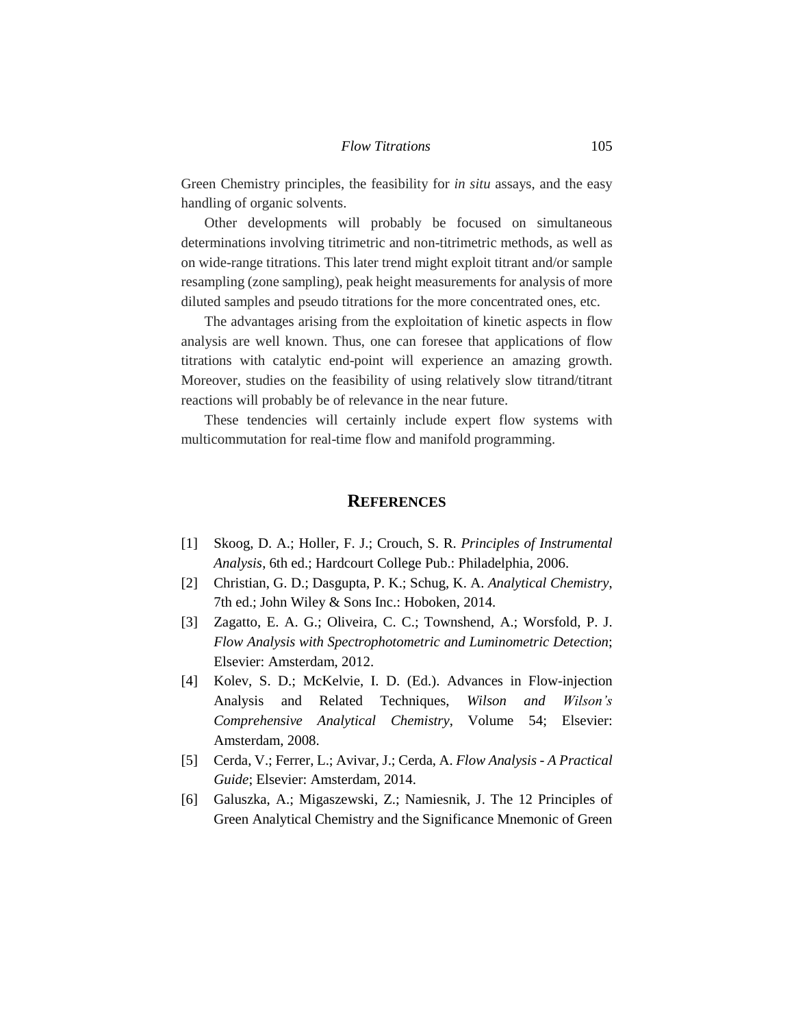Green Chemistry principles, the feasibility for *in situ* assays, and the easy handling of organic solvents.

Other developments will probably be focused on simultaneous determinations involving titrimetric and non-titrimetric methods, as well as on wide-range titrations. This later trend might exploit titrant and/or sample resampling (zone sampling), peak height measurements for analysis of more diluted samples and pseudo titrations for the more concentrated ones, etc.

The advantages arising from the exploitation of kinetic aspects in flow analysis are well known. Thus, one can foresee that applications of flow titrations with catalytic end-point will experience an amazing growth. Moreover, studies on the feasibility of using relatively slow titrand/titrant reactions will probably be of relevance in the near future.

These tendencies will certainly include expert flow systems with multicommutation for real-time flow and manifold programming.

# **REFERENCES**

- [1] Skoog, D. A.; Holler, F. J.; Crouch, S. R. *Principles of Instrumental Analysis*, 6th ed.; Hardcourt College Pub.: Philadelphia, 2006.
- [2] Christian, G. D.; Dasgupta, P. K.; Schug, K. A. *Analytical Chemistry*, 7th ed.; John Wiley & Sons Inc.: Hoboken, 2014.
- [3] Zagatto, E. A. G.; Oliveira, C. C.; Townshend, A.; Worsfold, P. J. *Flow Analysis with Spectrophotometric and Luminometric Detection*; Elsevier: Amsterdam, 2012.
- [4] Kolev, S. D.; McKelvie, I. D. (Ed.). Advances in Flow-injection Analysis and Related Techniques, *Wilson and Wilson's Comprehensive Analytical Chemistry*, Volume 54; Elsevier: Amsterdam, 2008.
- [5] Cerda, V.; Ferrer, L.; Avivar, J.; Cerda, A. *Flow Analysis - A Practical Guide*; Elsevier: Amsterdam, 2014.
- [6] Galuszka, A.; Migaszewski, Z.; Namiesnik, J. The 12 Principles of Green Analytical Chemistry and the Significance Mnemonic of Green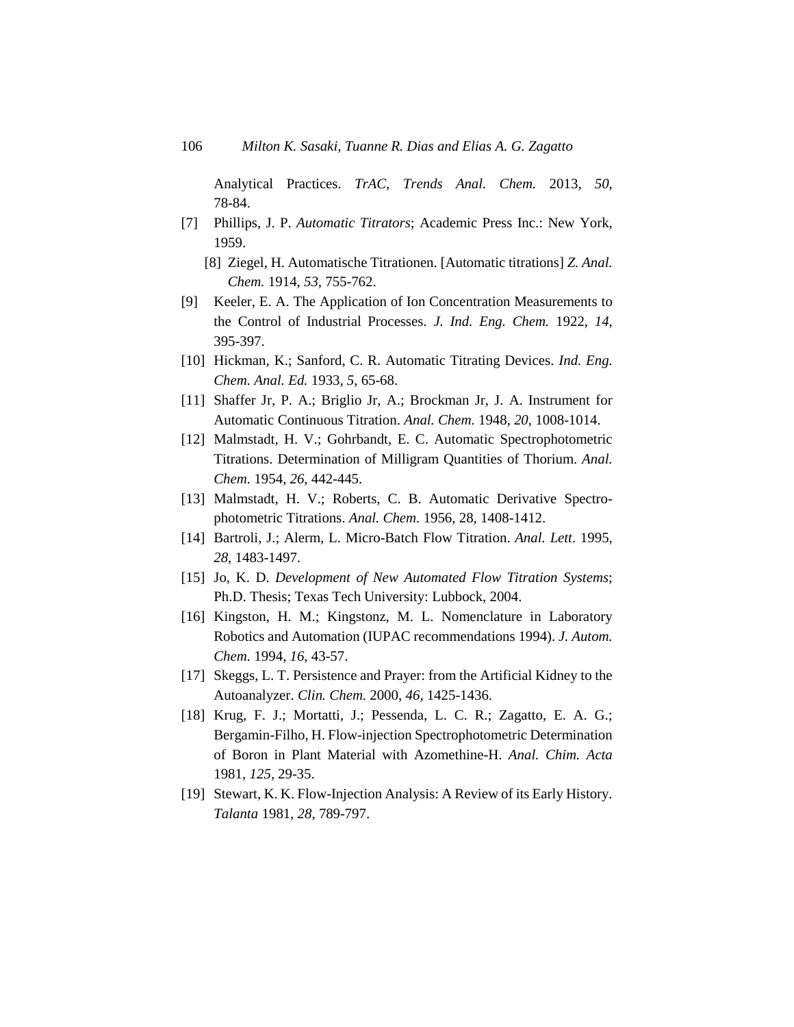Analytical Practices. *TrAC, Trends Anal. Chem.* 2013, *50*, 78-84.

- [7] Phillips, J. P. *Automatic Titrators*; Academic Press Inc.: New York, 1959.
	- [8] Ziegel, H. Automatische Titrationen. [Automatic titrations] *Z. Anal. Chem.* 1914, *53*, 755-762.
- [9] Keeler, E. A. The Application of Ion Concentration Measurements to the Control of Industrial Processes. *J. Ind. Eng. Chem.* 1922, *14*, 395-397.
- [10] Hickman, K.; Sanford, C. R. Automatic Titrating Devices. *Ind. Eng. Chem. Anal. Ed.* 1933, *5*, 65-68.
- [11] Shaffer Jr, P. A.; Briglio Jr, A.; Brockman Jr, J. A. Instrument for Automatic Continuous Titration. *Anal. Chem.* 1948, *20*, 1008-1014.
- [12] Malmstadt, H. V.; Gohrbandt, E. C. Automatic Spectrophotometric Titrations. Determination of Milligram Quantities of Thorium. *Anal. Chem.* 1954, *26*, 442-445.
- [13] Malmstadt, H. V.; Roberts, C. B. Automatic Derivative Spectrophotometric Titrations. *Anal. Chem.* 1956, 28, 1408-1412.
- [14] Bartroli, J.; Alerm, L. Micro-Batch Flow Titration. *Anal. Lett*. 1995, *28*, 1483-1497.
- [15] Jo, K. D. *Development of New Automated Flow Titration Systems*; Ph.D. Thesis; Texas Tech University: Lubbock, 2004.
- [16] Kingston, H. M.; Kingstonz, M. L. Nomenclature in Laboratory Robotics and Automation (IUPAC recommendations 1994). *J. Autom. Chem.* 1994, *16*, 43-57.
- [17] Skeggs, L. T. Persistence and Prayer: from the Artificial Kidney to the Autoanalyzer. *Clin. Chem.* 2000, *46*, 1425-1436.
- [18] Krug, F. J.; Mortatti, J.; Pessenda, L. C. R.; Zagatto, E. A. G.; Bergamin-Filho, H. Flow-injection Spectrophotometric Determination of Boron in Plant Material with Azomethine-H. *Anal. Chim. Acta* 1981, *125*, 29-35.
- [19] Stewart, K. K. Flow-Injection Analysis: A Review of its Early History. *Talanta* 1981, *28*, 789-797.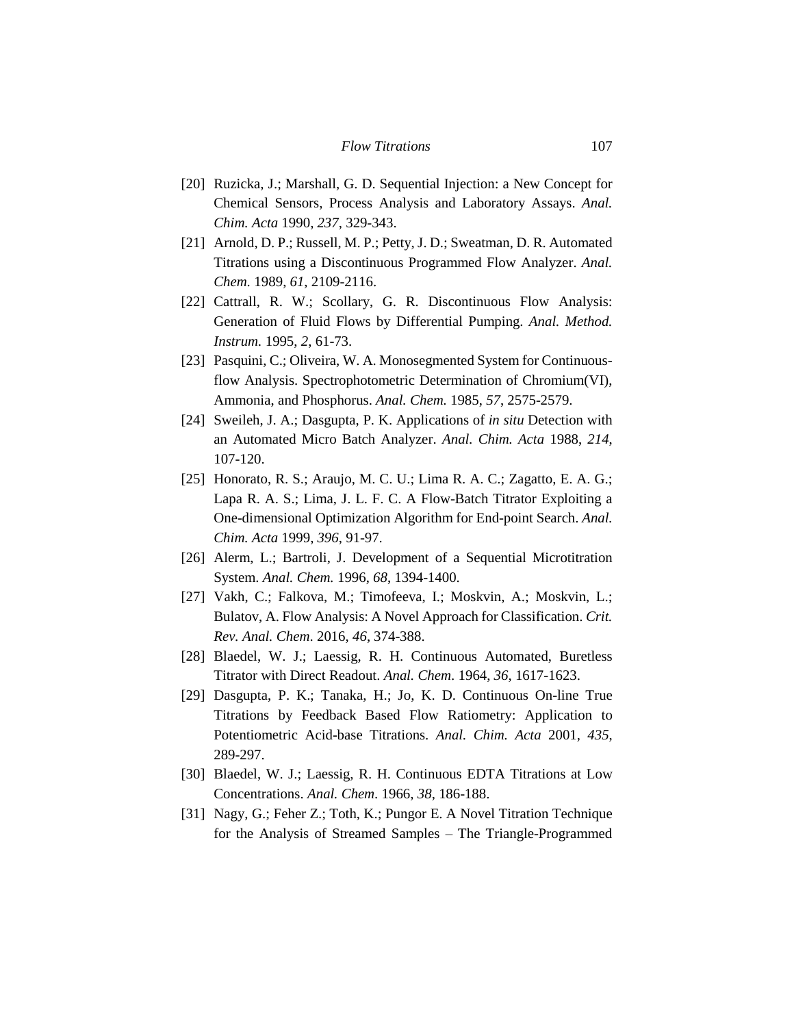- [20] Ruzicka, J.; Marshall, G. D. Sequential Injection: a New Concept for Chemical Sensors, Process Analysis and Laboratory Assays. *Anal. Chim. Acta* 1990, *237*, 329-343.
- [21] Arnold, D. P.; Russell, M. P.; Petty, J. D.; Sweatman, D. R. Automated Titrations using a Discontinuous Programmed Flow Analyzer. *Anal. Chem.* 1989, *61*, 2109-2116.
- [22] Cattrall, R. W.; Scollary, G. R. Discontinuous Flow Analysis: Generation of Fluid Flows by Differential Pumping. *Anal. Method. Instrum.* 1995, *2*, 61-73.
- [23] Pasquini, C.; Oliveira, W. A. Monosegmented System for Continuousflow Analysis. Spectrophotometric Determination of Chromium(VI), Ammonia, and Phosphorus. *Anal. Chem.* 1985, *57*, 2575-2579.
- [24] Sweileh, J. A.; Dasgupta, P. K. Applications of *in situ* Detection with an Automated Micro Batch Analyzer. *Anal. Chim. Acta* 1988, *214*, 107-120.
- [25] Honorato, R. S.; Araujo, M. C. U.; Lima R. A. C.; Zagatto, E. A. G.; Lapa R. A. S.; Lima, J. L. F. C. A Flow-Batch Titrator Exploiting a One-dimensional Optimization Algorithm for End-point Search. *Anal. Chim. Acta* 1999, *396*, 91-97.
- [26] Alerm, L.; Bartroli, J. Development of a Sequential Microtitration System. *Anal. Chem.* 1996, *68*, 1394-1400.
- [27] Vakh, C.; Falkova, M.; Timofeeva, I.; Moskvin, A.; Moskvin, L.; Bulatov, A. Flow Analysis: A Novel Approach for Classification. *Crit. Rev. Anal. Chem*. 2016, *46*, 374-388.
- [28] Blaedel, W. J.; Laessig, R. H. Continuous Automated, Buretless Titrator with Direct Readout. *Anal. Chem*. 1964, *36*, 1617-1623.
- [29] Dasgupta, P. K.; Tanaka, H.; Jo, K. D. Continuous On-line True Titrations by Feedback Based Flow Ratiometry: Application to Potentiometric Acid-base Titrations. *Anal. Chim. Acta* 2001, *435*, 289-297.
- [30] Blaedel, W. J.; Laessig, R. H. Continuous EDTA Titrations at Low Concentrations. *Anal. Chem*. 1966, *38*, 186-188.
- [31] Nagy, G.; Feher Z.; Toth, K.; Pungor E. A Novel Titration Technique for the Analysis of Streamed Samples – The Triangle-Programmed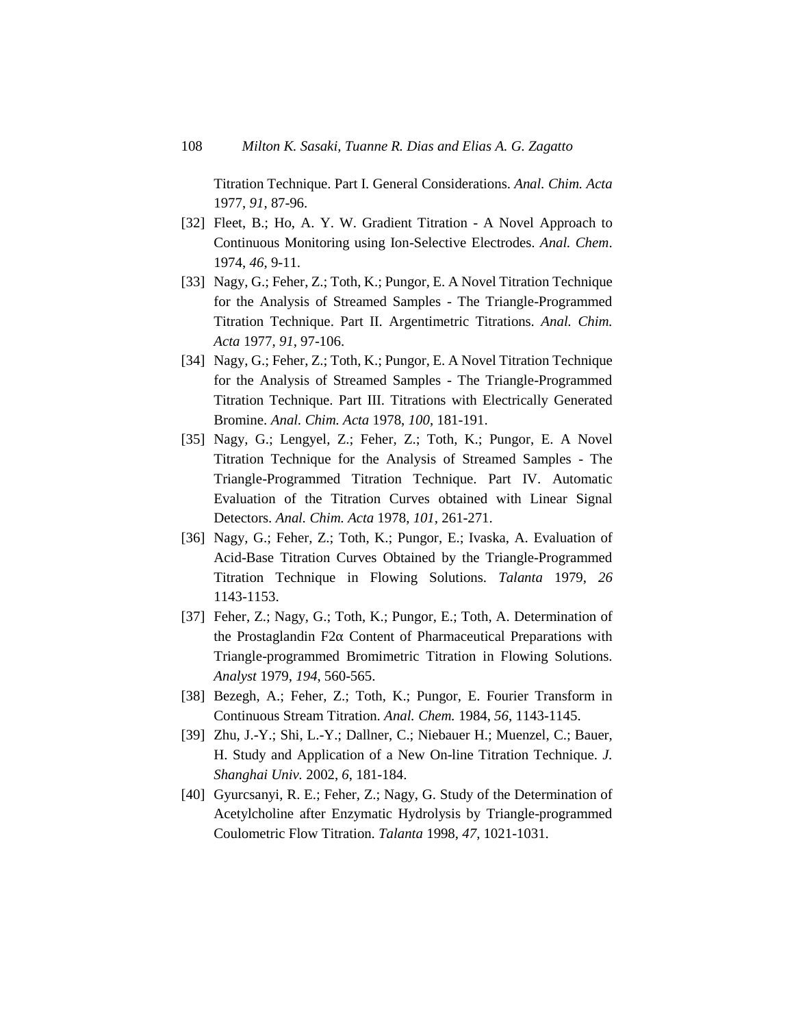Titration Technique. Part I. General Considerations. *Anal. Chim. Acta* 1977, *91*, 87-96.

- [32] Fleet, B.; Ho, A. Y. W. Gradient Titration A Novel Approach to Continuous Monitoring using Ion-Selective Electrodes. *Anal. Chem*. 1974, *46*, 9-11.
- [33] Nagy, G.; Feher, Z.; Toth, K.; Pungor, E. A Novel Titration Technique for the Analysis of Streamed Samples - The Triangle-Programmed Titration Technique. Part II. Argentimetric Titrations. *Anal. Chim. Acta* 1977, *91*, 97-106.
- [34] Nagy, G.; Feher, Z.; Toth, K.; Pungor, E. A Novel Titration Technique for the Analysis of Streamed Samples - The Triangle-Programmed Titration Technique. Part III. Titrations with Electrically Generated Bromine. *Anal. Chim. Acta* 1978, *100*, 181-191.
- [35] Nagy, G.; Lengyel, Z.; Feher, Z.; Toth, K.; Pungor, E. A Novel Titration Technique for the Analysis of Streamed Samples - The Triangle-Programmed Titration Technique. Part IV. Automatic Evaluation of the Titration Curves obtained with Linear Signal Detectors. *Anal. Chim. Acta* 1978, *101*, 261-271.
- [36] Nagy, G.; Feher, Z.; Toth, K.; Pungor, E.; Ivaska, A. Evaluation of Acid-Base Titration Curves Obtained by the Triangle-Programmed Titration Technique in Flowing Solutions. *Talanta* 1979, *26* 1143-1153.
- [37] Feher, Z.; Nagy, G.; Toth, K.; Pungor, E.; Toth, A. Determination of the Prostaglandin F2 $\alpha$  Content of Pharmaceutical Preparations with Triangle-programmed Bromimetric Titration in Flowing Solutions. *Analyst* 1979, *194*, 560-565.
- [38] Bezegh, A.; Feher, Z.; Toth, K.; Pungor, E. Fourier Transform in Continuous Stream Titration. *Anal. Chem.* 1984, *56*, 1143-1145.
- [39] Zhu, J.-Y.; Shi, L.-Y.; Dallner, C.; Niebauer H.; Muenzel, C.; Bauer, H. Study and Application of a New On-line Titration Technique. *J. Shanghai Univ.* 2002, *6*, 181-184.
- [40] Gyurcsanyi, R. E.; Feher, Z.; Nagy, G. Study of the Determination of Acetylcholine after Enzymatic Hydrolysis by Triangle-programmed Coulometric Flow Titration. *Talanta* 1998, *47*, 1021-1031.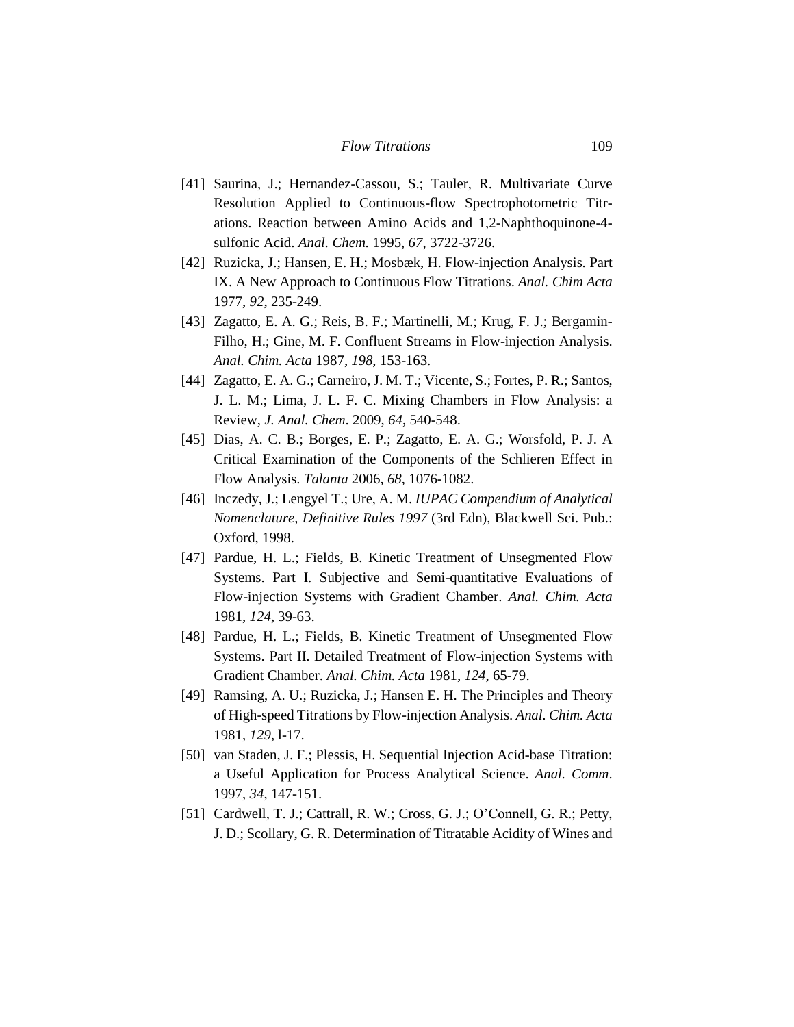- [41] Saurina, J.; Hernandez-Cassou, S.; Tauler, R. Multivariate Curve Resolution Applied to Continuous-flow Spectrophotometric Titrations. Reaction between Amino Acids and 1,2-Naphthoquinone-4 sulfonic Acid. *Anal. Chem.* 1995, *67*, 3722-3726.
- [42] Ruzicka, J.; Hansen, E. H.; Mosbæk, H. Flow-injection Analysis. Part IX. A New Approach to Continuous Flow Titrations. *Anal. Chim Acta* 1977, *92*, 235-249.
- [43] Zagatto, E. A. G.; Reis, B. F.; Martinelli, M.; Krug, F. J.; Bergamin-Filho, H.; Gine, M. F. Confluent Streams in Flow-injection Analysis. *Anal. Chim. Acta* 1987, *198*, 153-163.
- [44] Zagatto, E. A. G.; Carneiro, J. M. T.; Vicente, S.; Fortes, P. R.; Santos, J. L. M.; Lima, J. L. F. C. Mixing Chambers in Flow Analysis: a Review, *J. Anal. Chem*. 2009, *64*, 540-548.
- [45] Dias, A. C. B.; Borges, E. P.; Zagatto, E. A. G.; Worsfold, P. J. A Critical Examination of the Components of the Schlieren Effect in Flow Analysis. *Talanta* 2006, *68*, 1076-1082.
- [46] Inczedy, J.; Lengyel T.; Ure, A. M. *IUPAC Compendium of Analytical Nomenclature, Definitive Rules 1997* (3rd Edn), Blackwell Sci. Pub.: Oxford, 1998.
- [47] Pardue, H. L.; Fields, B. Kinetic Treatment of Unsegmented Flow Systems. Part I. Subjective and Semi-quantitative Evaluations of Flow-injection Systems with Gradient Chamber. *Anal. Chim. Acta* 1981, *124*, 39-63.
- [48] Pardue, H. L.; Fields, B. Kinetic Treatment of Unsegmented Flow Systems. Part II. Detailed Treatment of Flow-injection Systems with Gradient Chamber. *Anal. Chim. Acta* 1981, *124*, 65-79.
- [49] Ramsing, A. U.; Ruzicka, J.; Hansen E. H. The Principles and Theory of High-speed Titrations by Flow-injection Analysis. *Anal. Chim. Acta* 1981, *129*, l-17.
- [50] van Staden, J. F.; Plessis, H. Sequential Injection Acid-base Titration: a Useful Application for Process Analytical Science. *Anal. Comm*. 1997, *34*, 147-151.
- [51] Cardwell, T. J.; Cattrall, R. W.; Cross, G. J.; O'Connell, G. R.; Petty, J. D.; Scollary, G. R. Determination of Titratable Acidity of Wines and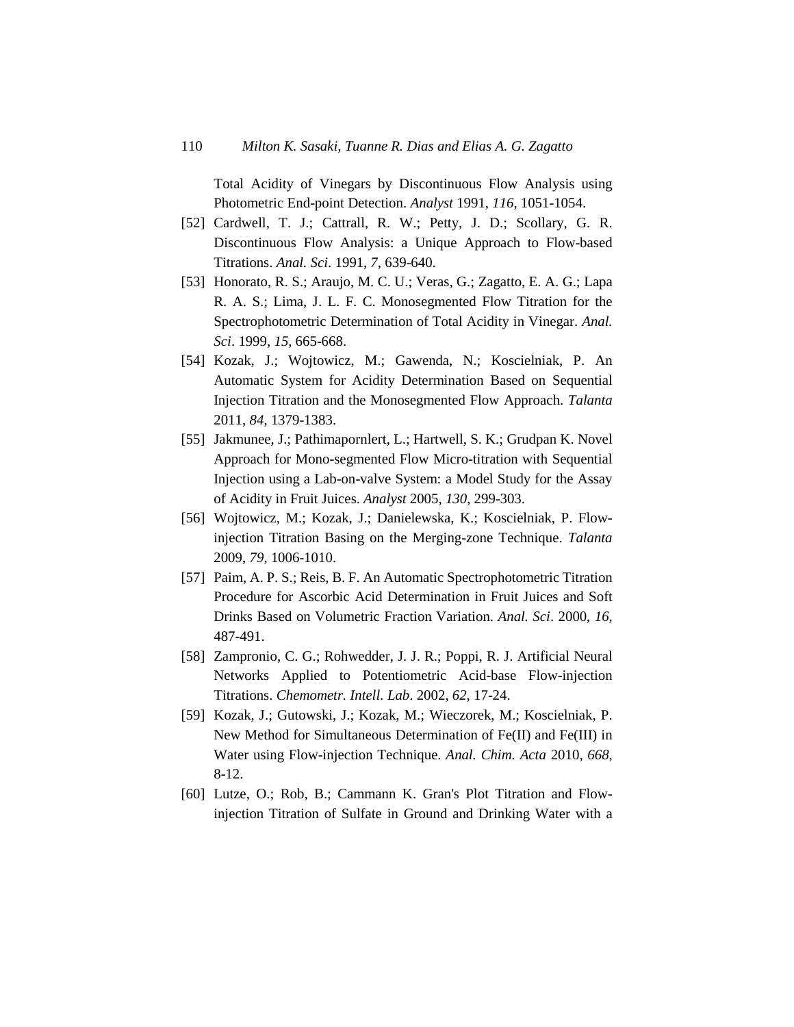Total Acidity of Vinegars by Discontinuous Flow Analysis using Photometric End-point Detection. *Analyst* 1991, *116*, 1051-1054.

- [52] Cardwell, T. J.; Cattrall, R. W.; Petty, J. D.; Scollary, G. R. Discontinuous Flow Analysis: a Unique Approach to Flow-based Titrations. *Anal. Sci*. 1991, *7*, 639-640.
- [53] Honorato, R. S.; Araujo, M. C. U.; Veras, G.; Zagatto, E. A. G.; Lapa R. A. S.; Lima, J. L. F. C. Monosegmented Flow Titration for the Spectrophotometric Determination of Total Acidity in Vinegar. *Anal. Sci*. 1999, *15*, 665-668.
- [54] Kozak, J.; Wojtowicz, M.; Gawenda, N.; Koscielniak, P. An Automatic System for Acidity Determination Based on Sequential Injection Titration and the Monosegmented Flow Approach. *Talanta* 2011, *84*, 1379-1383.
- [55] Jakmunee, J.; Pathimapornlert, L.; Hartwell, S. K.; Grudpan K. Novel Approach for Mono-segmented Flow Micro-titration with Sequential Injection using a Lab-on-valve System: a Model Study for the Assay of Acidity in Fruit Juices. *Analyst* 2005, *130*, 299-303.
- [56] Wojtowicz, M.; Kozak, J.; Danielewska, K.; Koscielniak, P. Flowinjection Titration Basing on the Merging-zone Technique. *Talanta* 2009, *79*, 1006-1010.
- [57] Paim, A. P. S.; Reis, B. F. An Automatic Spectrophotometric Titration Procedure for Ascorbic Acid Determination in Fruit Juices and Soft Drinks Based on Volumetric Fraction Variation. *Anal. Sci*. 2000, *16*, 487-491.
- [58] Zampronio, C. G.; Rohwedder, J. J. R.; Poppi, R. J. Artificial Neural Networks Applied to Potentiometric Acid-base Flow-injection Titrations. *Chemometr. Intell. Lab*. 2002, *62*, 17-24.
- [59] Kozak, J.; Gutowski, J.; Kozak, M.; Wieczorek, M.; Koscielniak, P. New Method for Simultaneous Determination of Fe(II) and Fe(III) in Water using Flow-injection Technique. *Anal. Chim. Acta* 2010, *668*, 8-12.
- [60] Lutze, O.; Rob, B.; Cammann K. Gran's Plot Titration and Flowinjection Titration of Sulfate in Ground and Drinking Water with a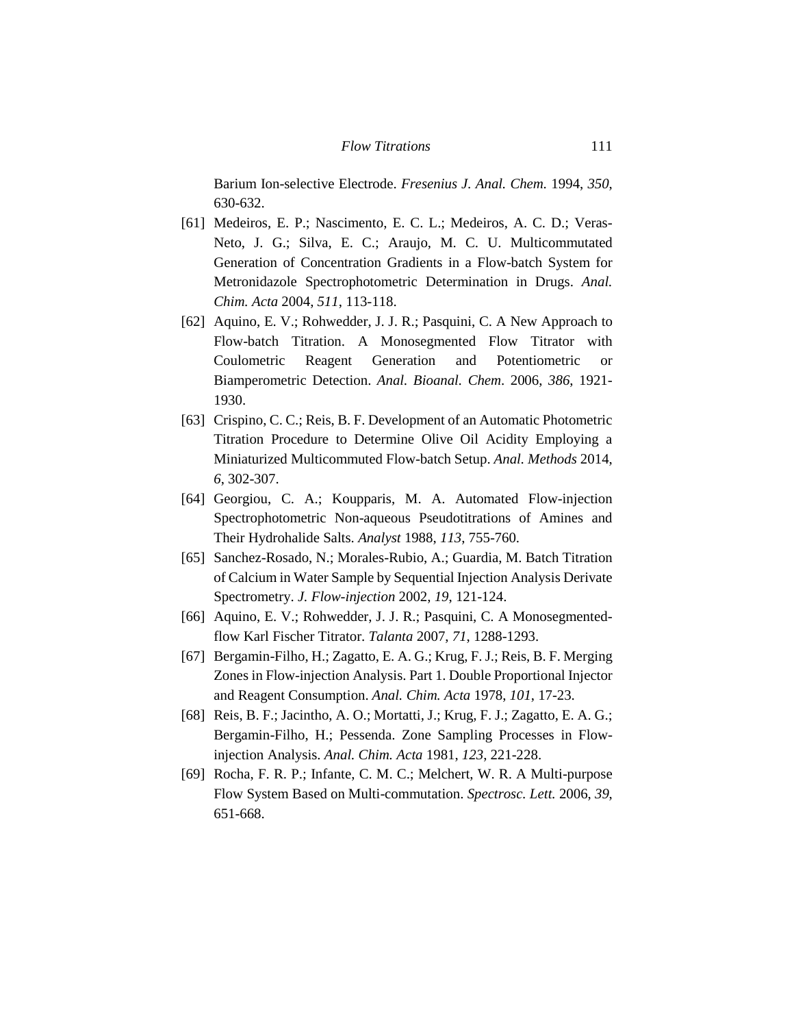Barium Ion-selective Electrode. *Fresenius J. Anal. Chem.* 1994, *350*, 630-632.

- [61] Medeiros, E. P.; Nascimento, E. C. L.; Medeiros, A. C. D.; Veras-Neto, J. G.; Silva, E. C.; Araujo, M. C. U. Multicommutated Generation of Concentration Gradients in a Flow-batch System for Metronidazole Spectrophotometric Determination in Drugs. *Anal. Chim. Acta* 2004, *511*, 113-118.
- [62] Aquino, E. V.; Rohwedder, J. J. R.; Pasquini, C. A New Approach to Flow-batch Titration. A Monosegmented Flow Titrator with Coulometric Reagent Generation and Potentiometric or Biamperometric Detection. *Anal. Bioanal. Chem*. 2006, *386*, 1921- 1930.
- [63] Crispino, C. C.; Reis, B. F. Development of an Automatic Photometric Titration Procedure to Determine Olive Oil Acidity Employing a Miniaturized Multicommuted Flow-batch Setup. *Anal. Methods* 2014, *6*, 302-307.
- [64] Georgiou, C. A.; Koupparis, M. A. Automated Flow-injection Spectrophotometric Non-aqueous Pseudotitrations of Amines and Their Hydrohalide Salts. *Analyst* 1988, *113*, 755-760.
- [65] Sanchez-Rosado, N.; Morales-Rubio, A.; Guardia, M. Batch Titration of Calcium in Water Sample by Sequential Injection Analysis Derivate Spectrometry. *J. Flow-injection* 2002, *19*, 121-124.
- [66] Aquino, E. V.; Rohwedder, J. J. R.; Pasquini, C. A Monosegmentedflow Karl Fischer Titrator. *Talanta* 2007, *71*, 1288-1293.
- [67] Bergamin-Filho, H.; Zagatto, E. A. G.; Krug, F. J.; Reis, B. F. Merging Zones in Flow-injection Analysis. Part 1. Double Proportional Injector and Reagent Consumption. *Anal. Chim. Acta* 1978, *101*, 17-23.
- [68] Reis, B. F.; Jacintho, A. O.; Mortatti, J.; Krug, F. J.; Zagatto, E. A. G.; Bergamin-Filho, H.; Pessenda. Zone Sampling Processes in Flowinjection Analysis. *Anal. Chim. Acta* 1981, *123*, 221-228.
- [69] Rocha, F. R. P.; Infante, C. M. C.; Melchert, W. R. A Multi-purpose Flow System Based on Multi-commutation. *Spectrosc. Lett.* 2006, *39*, 651-668.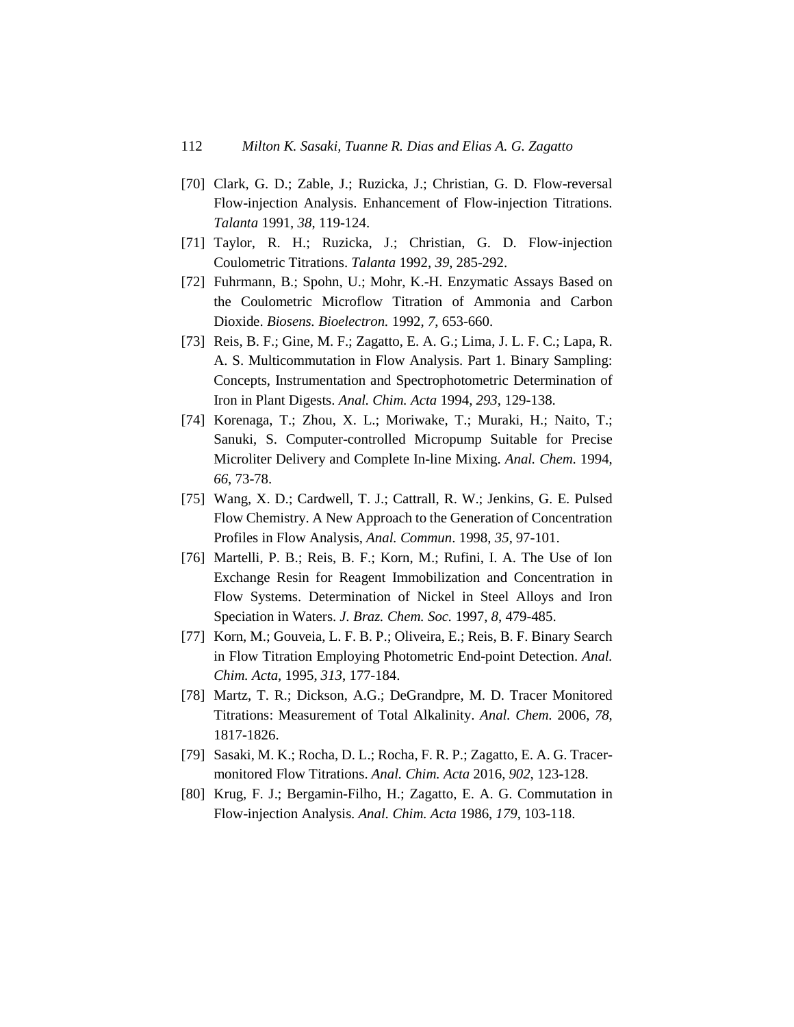- [70] Clark, G. D.; Zable, J.; Ruzicka, J.; Christian, G. D. Flow-reversal Flow-injection Analysis. Enhancement of Flow-injection Titrations. *Talanta* 1991, *38*, 119-124.
- [71] Taylor, R. H.; Ruzicka, J.; Christian, G. D. Flow-injection Coulometric Titrations. *Talanta* 1992, *39*, 285-292.
- [72] Fuhrmann, B.; Spohn, U.; Mohr, K.-H. Enzymatic Assays Based on the Coulometric Microflow Titration of Ammonia and Carbon Dioxide. *Biosens. Bioelectron.* 1992, *7*, 653-660.
- [73] Reis, B. F.; Gine, M. F.; Zagatto, E. A. G.; Lima, J. L. F. C.; Lapa, R. A. S. Multicommutation in Flow Analysis. Part 1. Binary Sampling: Concepts, Instrumentation and Spectrophotometric Determination of Iron in Plant Digests. *Anal. Chim. Acta* 1994, *293*, 129-138.
- [74] Korenaga, T.; Zhou, X. L.; Moriwake, T.; Muraki, H.; Naito, T.; Sanuki, S. Computer-controlled Micropump Suitable for Precise Microliter Delivery and Complete In-line Mixing. *Anal. Chem.* 1994, *66*, 73-78.
- [75] Wang, X. D.; Cardwell, T. J.; Cattrall, R. W.; Jenkins, G. E. Pulsed Flow Chemistry. A New Approach to the Generation of Concentration Profiles in Flow Analysis, *Anal. Commun*. 1998, *35*, 97-101.
- [76] Martelli, P. B.; Reis, B. F.; Korn, M.; Rufini, I. A. The Use of Ion Exchange Resin for Reagent Immobilization and Concentration in Flow Systems. Determination of Nickel in Steel Alloys and Iron Speciation in Waters. *J. Braz. Chem. Soc.* 1997, *8*, 479-485.
- [77] Korn, M.; Gouveia, L. F. B. P.; Oliveira, E.; Reis, B. F. Binary Search in Flow Titration Employing Photometric End-point Detection. *Anal. Chim. Acta*, 1995, *313*, 177-184.
- [78] Martz, T. R.; Dickson, A.G.; DeGrandpre, M. D. Tracer Monitored Titrations: Measurement of Total Alkalinity. *Anal. Chem.* 2006, *78*, 1817-1826.
- [79] Sasaki, M. K.; Rocha, D. L.; Rocha, F. R. P.; Zagatto, E. A. G. Tracermonitored Flow Titrations. *Anal. Chim. Acta* 2016, *902*, 123-128.
- [80] Krug, F. J.; Bergamin-Filho, H.; Zagatto, E. A. G. Commutation in Flow-injection Analysis. *Anal. Chim. Acta* 1986, *179*, 103-118.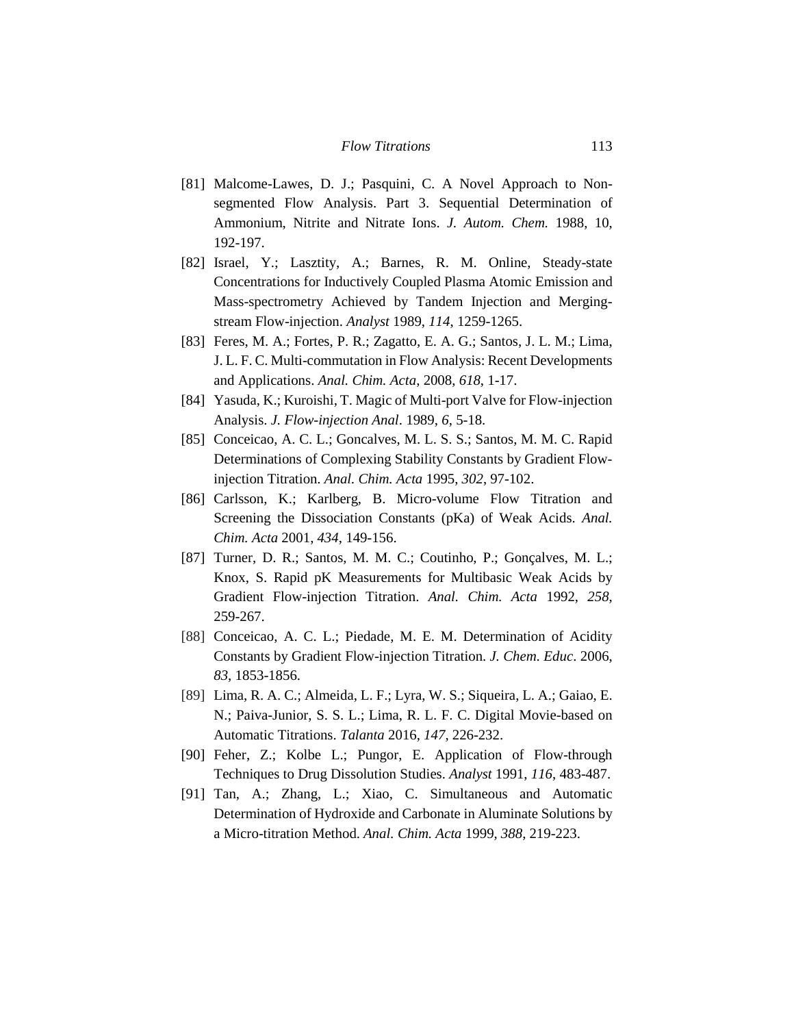- [81] Malcome-Lawes, D. J.; Pasquini, C. A Novel Approach to Nonsegmented Flow Analysis. Part 3. Sequential Determination of Ammonium, Nitrite and Nitrate Ions. *J. Autom. Chem.* 1988, 10, 192-197.
- [82] Israel, Y.; Lasztity, A.; Barnes, R. M. Online, Steady-state Concentrations for Inductively Coupled Plasma Atomic Emission and Mass-spectrometry Achieved by Tandem Injection and Mergingstream Flow-injection. *Analyst* 1989, *114*, 1259-1265.
- [83] Feres, M. A.; Fortes, P. R.; Zagatto, E. A. G.; Santos, J. L. M.; Lima, J. L. F. C. Multi-commutation in Flow Analysis: Recent Developments and Applications. *Anal. Chim. Acta*, 2008, *618*, 1-17.
- [84] Yasuda, K.; Kuroishi, T. Magic of Multi-port Valve for Flow-injection Analysis. *J. Flow-injection Anal*. 1989, *6*, 5-18.
- [85] Conceicao, A. C. L.; Goncalves, M. L. S. S.; Santos, M. M. C. Rapid Determinations of Complexing Stability Constants by Gradient Flowinjection Titration. *Anal. Chim. Acta* 1995, *302*, 97-102.
- [86] Carlsson, K.; Karlberg, B. Micro-volume Flow Titration and Screening the Dissociation Constants (pKa) of Weak Acids. *Anal. Chim. Acta* 2001, *434*, 149-156.
- [87] Turner, D. R.; Santos, M. M. C.; Coutinho, P.; Gonçalves, M. L.; Knox, S. Rapid pK Measurements for Multibasic Weak Acids by Gradient Flow-injection Titration. *Anal. Chim. Acta* 1992, *258*, 259-267.
- [88] Conceicao, A. C. L.; Piedade, M. E. M. Determination of Acidity Constants by Gradient Flow-injection Titration. *J. Chem. Educ*. 2006, *83*, 1853-1856.
- [89] Lima, R. A. C.; Almeida, L. F.; Lyra, W. S.; Siqueira, L. A.; Gaiao, E. N.; Paiva-Junior, S. S. L.; Lima, R. L. F. C. Digital Movie-based on Automatic Titrations. *Talanta* 2016, *147*, 226-232.
- [90] Feher, Z.; Kolbe L.; Pungor, E. Application of Flow-through Techniques to Drug Dissolution Studies. *Analyst* 1991, *116*, 483-487.
- [91] Tan, A.; Zhang, L.; Xiao, C. Simultaneous and Automatic Determination of Hydroxide and Carbonate in Aluminate Solutions by a Micro-titration Method. *Anal. Chim. Acta* 1999, *388*, 219-223.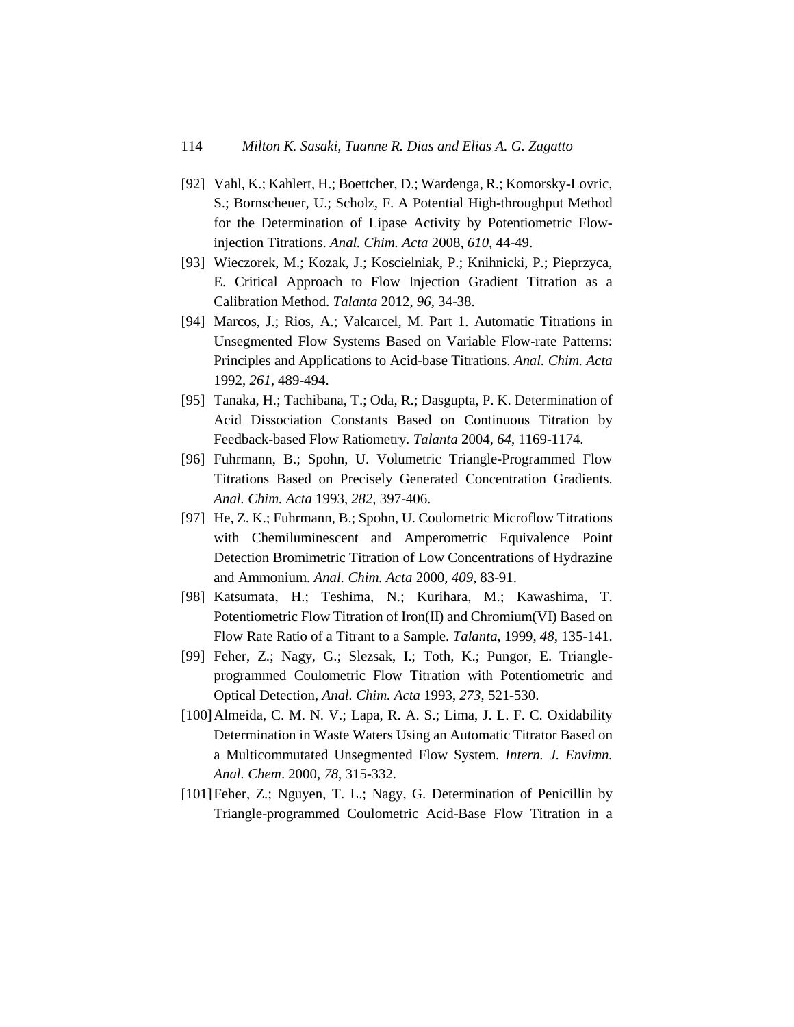- [92] Vahl, K.; Kahlert, H.; Boettcher, D.; Wardenga, R.; Komorsky-Lovric, S.; Bornscheuer, U.; Scholz, F. A Potential High-throughput Method for the Determination of Lipase Activity by Potentiometric Flowinjection Titrations. *Anal. Chim. Acta* 2008, *610*, 44-49.
- [93] Wieczorek, M.; Kozak, J.; Koscielniak, P.; Knihnicki, P.; Pieprzyca, E. Critical Approach to Flow Injection Gradient Titration as a Calibration Method. *Talanta* 2012, *96*, 34-38.
- [94] Marcos, J.; Rios, A.; Valcarcel, M. Part 1. Automatic Titrations in Unsegmented Flow Systems Based on Variable Flow-rate Patterns: Principles and Applications to Acid-base Titrations. *Anal. Chim. Acta* 1992, *261*, 489-494.
- [95] Tanaka, H.; Tachibana, T.; Oda, R.; Dasgupta, P. K. Determination of Acid Dissociation Constants Based on Continuous Titration by Feedback-based Flow Ratiometry. *Talanta* 2004, *64*, 1169-1174.
- [96] Fuhrmann, B.; Spohn, U. Volumetric Triangle-Programmed Flow Titrations Based on Precisely Generated Concentration Gradients. *Anal. Chim. Acta* 1993, *282,* 397-406.
- [97] He, Z. K.; Fuhrmann, B.; Spohn, U. Coulometric Microflow Titrations with Chemiluminescent and Amperometric Equivalence Point Detection Bromimetric Titration of Low Concentrations of Hydrazine and Ammonium. *Anal. Chim. Acta* 2000, *409*, 83-91.
- [98] Katsumata, H.; Teshima, N.; Kurihara, M.; Kawashima, T. Potentiometric Flow Titration of Iron(II) and Chromium(VI) Based on Flow Rate Ratio of a Titrant to a Sample. *Talanta*, 1999, *48,* 135-141.
- [99] Feher, Z.; Nagy, G.; Slezsak, I.; Toth, K.; Pungor, E. Triangleprogrammed Coulometric Flow Titration with Potentiometric and Optical Detection, *Anal. Chim. Acta* 1993, *273*, 521-530.
- [100]Almeida, C. M. N. V.; Lapa, R. A. S.; Lima, J. L. F. C. Oxidability Determination in Waste Waters Using an Automatic Titrator Based on a Multicommutated Unsegmented Flow System. *Intern. J. Envimn. Anal. Chem*. 2000, *78*, 315-332.
- [101]Feher, Z.; Nguyen, T. L.; Nagy, G. Determination of Penicillin by Triangle-programmed Coulometric Acid-Base Flow Titration in a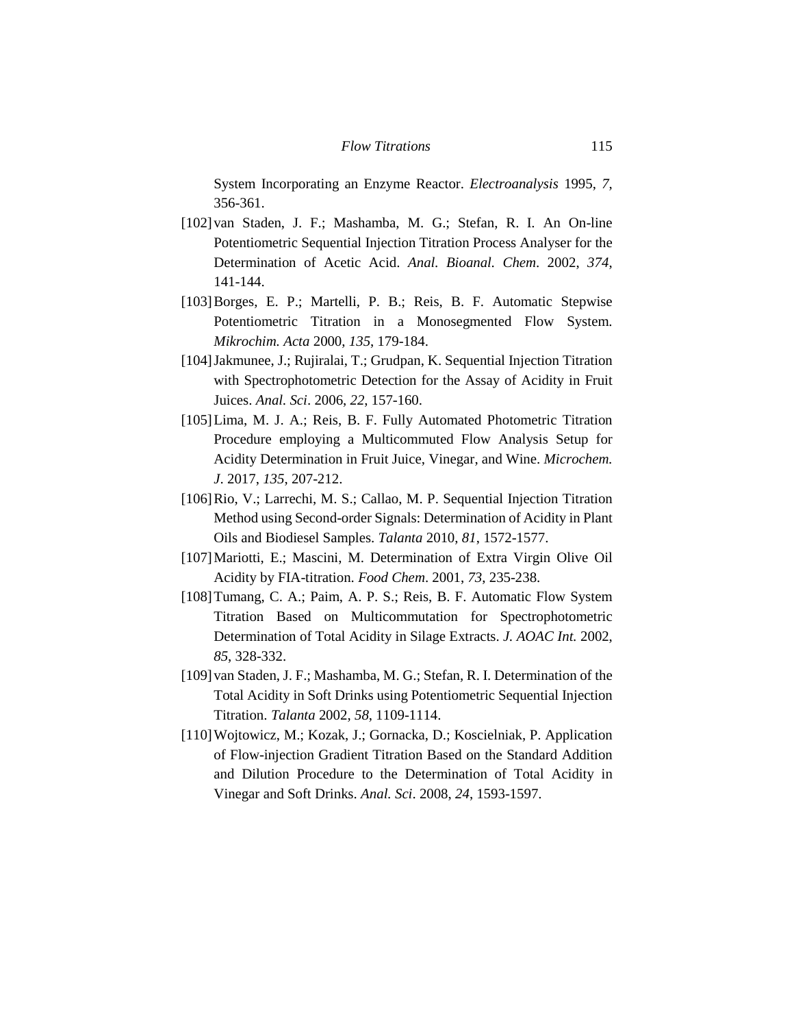System Incorporating an Enzyme Reactor. *Electroanalysis* 1995, *7*, 356-361.

- [102]van Staden, J. F.; Mashamba, M. G.; Stefan, R. I. An On-line Potentiometric Sequential Injection Titration Process Analyser for the Determination of Acetic Acid. *Anal. Bioanal. Chem*. 2002, *374*, 141-144.
- [103]Borges, E. P.; Martelli, P. B.; Reis, B. F. Automatic Stepwise Potentiometric Titration in a Monosegmented Flow System. *Mikrochim. Acta* 2000, *135*, 179-184.
- [104]Jakmunee, J.; Rujiralai, T.; Grudpan, K. Sequential Injection Titration with Spectrophotometric Detection for the Assay of Acidity in Fruit Juices. *Anal. Sci*. 2006, *22*, 157-160.
- [105] Lima, M. J. A.; Reis, B. F. Fully Automated Photometric Titration Procedure employing a Multicommuted Flow Analysis Setup for Acidity Determination in Fruit Juice, Vinegar, and Wine. *Microchem. J*. 2017, *135*, 207-212.
- [106]Rio, V.; Larrechi, M. S.; Callao, M. P. Sequential Injection Titration Method using Second-order Signals: Determination of Acidity in Plant Oils and Biodiesel Samples. *Talanta* 2010, *81*, 1572-1577.
- [107] Mariotti, E.; Mascini, M. Determination of Extra Virgin Olive Oil Acidity by FIA-titration. *Food Chem*. 2001, *73*, 235-238.
- [108] Tumang, C. A.; Paim, A. P. S.; Reis, B. F. Automatic Flow System Titration Based on Multicommutation for Spectrophotometric Determination of Total Acidity in Silage Extracts. *J. AOAC Int.* 2002, *85*, 328-332.
- [109]van Staden, J. F.; Mashamba, M. G.; Stefan, R. I. Determination of the Total Acidity in Soft Drinks using Potentiometric Sequential Injection Titration. *Talanta* 2002, *58*, 1109-1114.
- [110]Wojtowicz, M.; Kozak, J.; Gornacka, D.; Koscielniak, P. Application of Flow-injection Gradient Titration Based on the Standard Addition and Dilution Procedure to the Determination of Total Acidity in Vinegar and Soft Drinks. *Anal. Sci*. 2008, *24*, 1593-1597.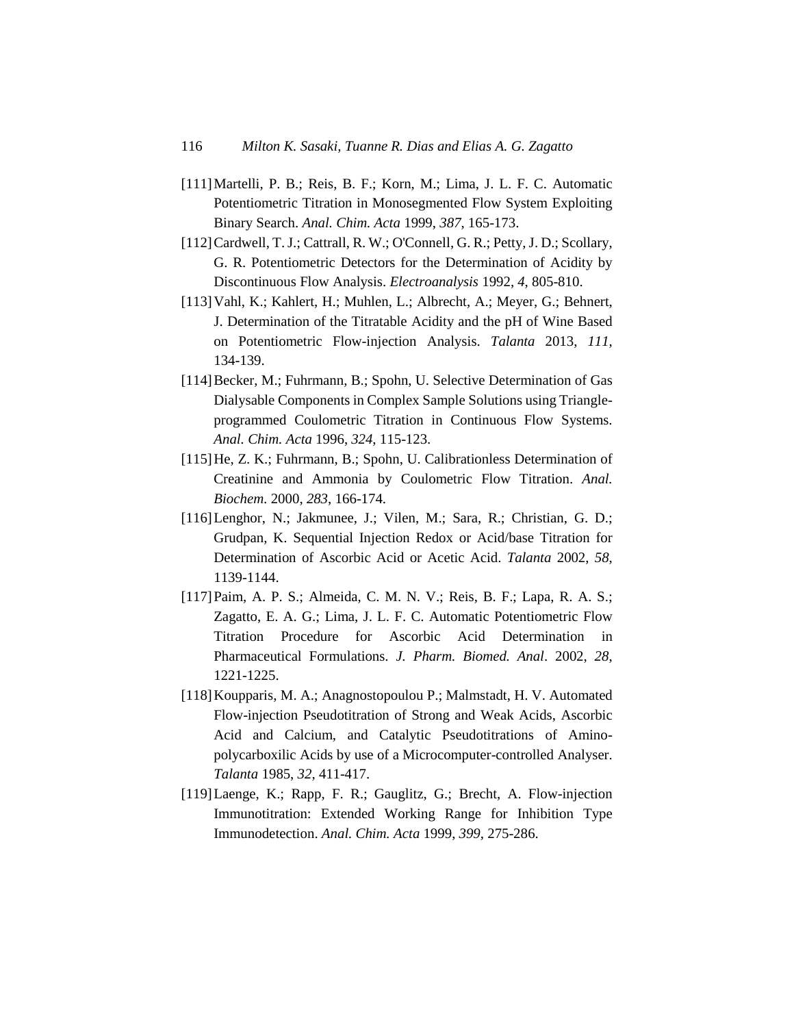- [111]Martelli, P. B.; Reis, B. F.; Korn, M.; Lima, J. L. F. C. Automatic Potentiometric Titration in Monosegmented Flow System Exploiting Binary Search. *Anal. Chim. Acta* 1999, *387*, 165-173.
- [112] Cardwell, T. J.; Cattrall, R. W.; O'Connell, G. R.; Petty, J. D.; Scollary, G. R. Potentiometric Detectors for the Determination of Acidity by Discontinuous Flow Analysis. *Electroanalysis* 1992, *4*, 805-810.
- [113]Vahl, K.; Kahlert, H.; Muhlen, L.; Albrecht, A.; Meyer, G.; Behnert, J. Determination of the Titratable Acidity and the pH of Wine Based on Potentiometric Flow-injection Analysis. *Talanta* 2013, *111*, 134-139.
- [114]Becker, M.; Fuhrmann, B.; Spohn, U. Selective Determination of Gas Dialysable Components in Complex Sample Solutions using Triangleprogrammed Coulometric Titration in Continuous Flow Systems. *Anal. Chim. Acta* 1996, *324*, 115-123.
- [115] He, Z. K.; Fuhrmann, B.; Spohn, U. Calibrationless Determination of Creatinine and Ammonia by Coulometric Flow Titration. *Anal. Biochem.* 2000, *283*, 166-174.
- [116]Lenghor, N.; Jakmunee, J.; Vilen, M.; Sara, R.; Christian, G. D.; Grudpan, K. Sequential Injection Redox or Acid/base Titration for Determination of Ascorbic Acid or Acetic Acid. *Talanta* 2002, *58*, 1139-1144.
- [117]Paim, A. P. S.; Almeida, C. M. N. V.; Reis, B. F.; Lapa, R. A. S.; Zagatto, E. A. G.; Lima, J. L. F. C. Automatic Potentiometric Flow Titration Procedure for Ascorbic Acid Determination in Pharmaceutical Formulations. *J. Pharm. Biomed. Anal*. 2002, *28*, 1221-1225.
- [118]Koupparis, M. A.; Anagnostopoulou P.; Malmstadt, H. V. Automated Flow-injection Pseudotitration of Strong and Weak Acids, Ascorbic Acid and Calcium, and Catalytic Pseudotitrations of Aminopolycarboxilic Acids by use of a Microcomputer-controlled Analyser. *Talanta* 1985, *32*, 411-417.
- [119]Laenge, K.; Rapp, F. R.; Gauglitz, G.; Brecht, A. Flow-injection Immunotitration: Extended Working Range for Inhibition Type Immunodetection. *Anal. Chim. Acta* 1999, *399*, 275-286.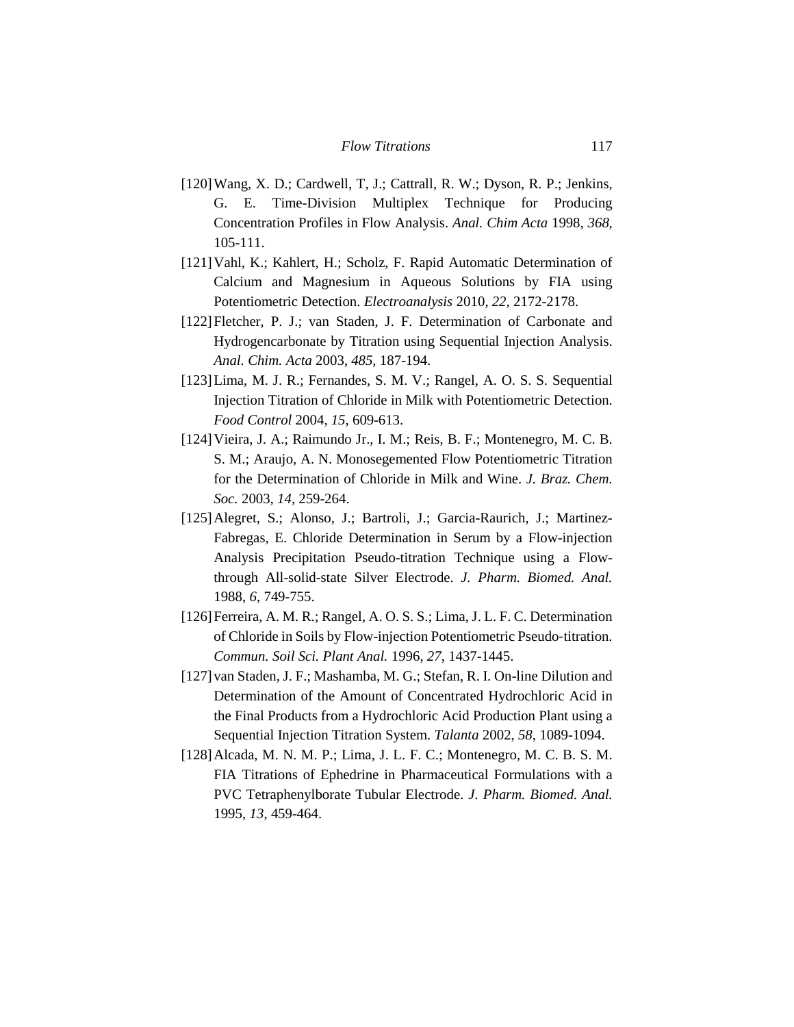- [120]Wang, X. D.; Cardwell, T, J.; Cattrall, R. W.; Dyson, R. P.; Jenkins, G. E. Time-Division Multiplex Technique for Producing Concentration Profiles in Flow Analysis. *Anal. Chim Acta* 1998, *368,* 105-111.
- [121]Vahl, K.; Kahlert, H.; Scholz, F. Rapid Automatic Determination of Calcium and Magnesium in Aqueous Solutions by FIA using Potentiometric Detection. *Electroanalysis* 2010, *22*, 2172-2178.
- [122]Fletcher, P. J.; van Staden, J. F. Determination of Carbonate and Hydrogencarbonate by Titration using Sequential Injection Analysis. *Anal. Chim. Acta* 2003, *485*, 187-194.
- [123]Lima, M. J. R.; Fernandes, S. M. V.; Rangel, A. O. S. S. Sequential Injection Titration of Chloride in Milk with Potentiometric Detection. *Food Control* 2004, *15*, 609-613.
- [124]Vieira, J. A.; Raimundo Jr., I. M.; Reis, B. F.; Montenegro, M. C. B. S. M.; Araujo, A. N. Monosegemented Flow Potentiometric Titration for the Determination of Chloride in Milk and Wine. *J. Braz. Chem. Soc.* 2003, *14*, 259-264.
- [125] Alegret, S.; Alonso, J.; Bartroli, J.; Garcia-Raurich, J.; Martinez-Fabregas, E. Chloride Determination in Serum by a Flow-injection Analysis Precipitation Pseudo-titration Technique using a Flowthrough All-solid-state Silver Electrode. *J. Pharm. Biomed. Anal.* 1988, *6*, 749-755.
- [126]Ferreira, A. M. R.; Rangel, A. O. S. S.; Lima, J. L. F. C. Determination of Chloride in Soils by Flow-injection Potentiometric Pseudo‐titration. *Commun. Soil Sci. Plant Anal.* 1996, *27*, 1437-1445.
- [127] van Staden, J. F.; Mashamba, M. G.; Stefan, R. I. On-line Dilution and Determination of the Amount of Concentrated Hydrochloric Acid in the Final Products from a Hydrochloric Acid Production Plant using a Sequential Injection Titration System. *Talanta* 2002, *58*, 1089-1094.
- [128]Alcada, M. N. M. P.; Lima, J. L. F. C.; Montenegro, M. C. B. S. M. FIA Titrations of Ephedrine in Pharmaceutical Formulations with a PVC Tetraphenylborate Tubular Electrode. *J. Pharm. Biomed. Anal.* 1995, *13*, 459-464.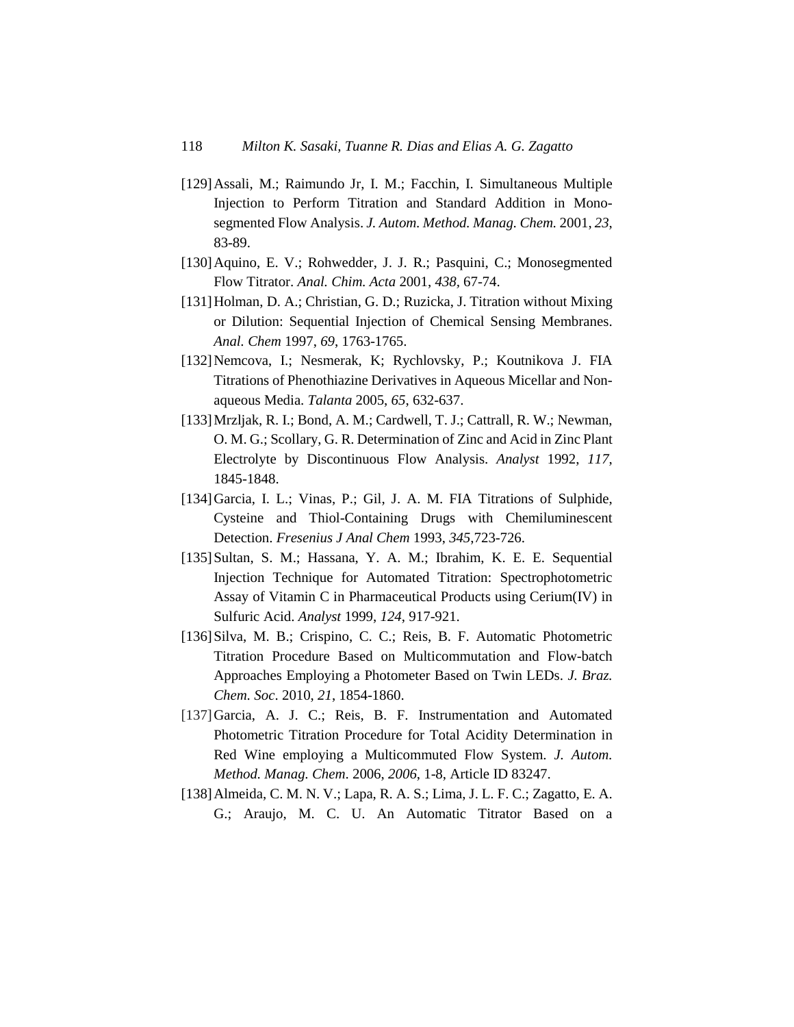- [129]Assali, M.; Raimundo Jr, I. M.; Facchin, I. Simultaneous Multiple Injection to Perform Titration and Standard Addition in Monosegmented Flow Analysis. *J. Autom. Method. Manag. Chem.* 2001, *23*, 83-89.
- [130]Aquino, E. V.; Rohwedder, J. J. R.; Pasquini, C.; Monosegmented Flow Titrator. *Anal. Chim. Acta* 2001, *438,* 67-74.
- [131] Holman, D. A.; Christian, G. D.; Ruzicka, J. Titration without Mixing or Dilution: Sequential Injection of Chemical Sensing Membranes. *Anal. Chem* 1997, *69*, 1763-1765.
- [132]Nemcova, I.; Nesmerak, K; Rychlovsky, P.; Koutnikova J. FIA Titrations of Phenothiazine Derivatives in Aqueous Micellar and Nonaqueous Media. *Talanta* 2005, *65*, 632-637.
- [133]Mrzljak, R. I.; Bond, A. M.; Cardwell, T. J.; Cattrall, R. W.; Newman, O. M. G.; Scollary, G. R. Determination of Zinc and Acid in Zinc Plant Electrolyte by Discontinuous Flow Analysis. *Analyst* 1992, *117*, 1845-1848.
- [134]Garcia, I. L.; Vinas, P.; Gil, J. A. M. FIA Titrations of Sulphide, Cysteine and Thiol-Containing Drugs with Chemiluminescent Detection. *Fresenius J Anal Chem* 1993, *345*,723-726.
- [135] Sultan, S. M.; Hassana, Y. A. M.; Ibrahim, K. E. E. Sequential Injection Technique for Automated Titration: Spectrophotometric Assay of Vitamin C in Pharmaceutical Products using Cerium(IV) in Sulfuric Acid. *Analyst* 1999, *124*, 917-921.
- [136]Silva, M. B.; Crispino, C. C.; Reis, B. F. Automatic Photometric Titration Procedure Based on Multicommutation and Flow-batch Approaches Employing a Photometer Based on Twin LEDs. *J. Braz. Chem. Soc*. 2010, *21*, 1854-1860.
- [137]Garcia, A. J. C.; Reis, B. F. Instrumentation and Automated Photometric Titration Procedure for Total Acidity Determination in Red Wine employing a Multicommuted Flow System. *J. Autom. Method. Manag. Chem*. 2006, *2006*, 1-8, Article ID 83247.
- [138]Almeida, C. M. N. V.; Lapa, R. A. S.; Lima, J. L. F. C.; Zagatto, E. A. G.; Araujo, M. C. U. An Automatic Titrator Based on a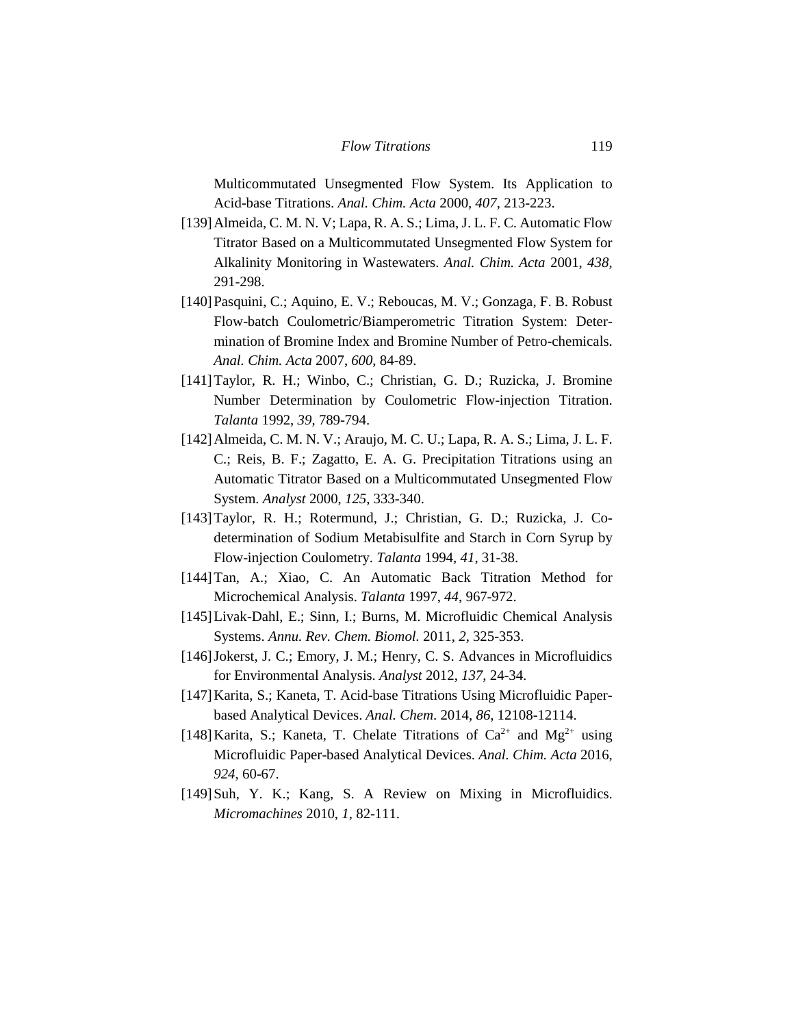Multicommutated Unsegmented Flow System. Its Application to Acid-base Titrations. *Anal. Chim. Acta* 2000, *407*, 213-223.

- [139]Almeida, C. M. N. V; Lapa, R. A. S.; Lima, J. L. F. C. Automatic Flow Titrator Based on a Multicommutated Unsegmented Flow System for Alkalinity Monitoring in Wastewaters. *Anal. Chim. Acta* 2001, *438,* 291-298.
- [140]Pasquini, C.; Aquino, E. V.; Reboucas, M. V.; Gonzaga, F. B. Robust Flow-batch Coulometric/Biamperometric Titration System: Determination of Bromine Index and Bromine Number of Petro-chemicals. *Anal. Chim. Acta* 2007, *600*, 84-89.
- [141]Taylor, R. H.; Winbo, C.; Christian, G. D.; Ruzicka, J. Bromine Number Determination by Coulometric Flow-injection Titration. *Talanta* 1992, *39*, 789-794.
- [142]Almeida, C. M. N. V.; Araujo, M. C. U.; Lapa, R. A. S.; Lima, J. L. F. C.; Reis, B. F.; Zagatto, E. A. G. Precipitation Titrations using an Automatic Titrator Based on a Multicommutated Unsegmented Flow System. *Analyst* 2000, *125*, 333-340.
- [143]Taylor, R. H.; Rotermund, J.; Christian, G. D.; Ruzicka, J. Codetermination of Sodium Metabisulfite and Starch in Corn Syrup by Flow-injection Coulometry. *Talanta* 1994, *41*, 31-38.
- [144]Tan, A.; Xiao, C. An Automatic Back Titration Method for Microchemical Analysis. *Talanta* 1997, *44*, 967-972.
- [145]Livak-Dahl, E.; Sinn, I.; Burns, M. Microfluidic Chemical Analysis Systems. *Annu. Rev. Chem. Biomol.* 2011, *2*, 325-353.
- [146] Jokerst, J. C.; Emory, J. M.; Henry, C. S. Advances in Microfluidics for Environmental Analysis. *Analyst* 2012, *137*, 24-34.
- [147]Karita, S.; Kaneta, T. Acid-base Titrations Using Microfluidic Paperbased Analytical Devices. *Anal. Chem*. 2014, *86*, 12108-12114.
- [148] Karita, S.; Kaneta, T. Chelate Titrations of  $Ca^{2+}$  and  $Mg^{2+}$  using Microfluidic Paper-based Analytical Devices. *Anal. Chim. Acta* 2016, *924*, 60-67.
- [149] Suh, Y. K.; Kang, S. A Review on Mixing in Microfluidics. *Micromachines* 2010, *1*, 82-111.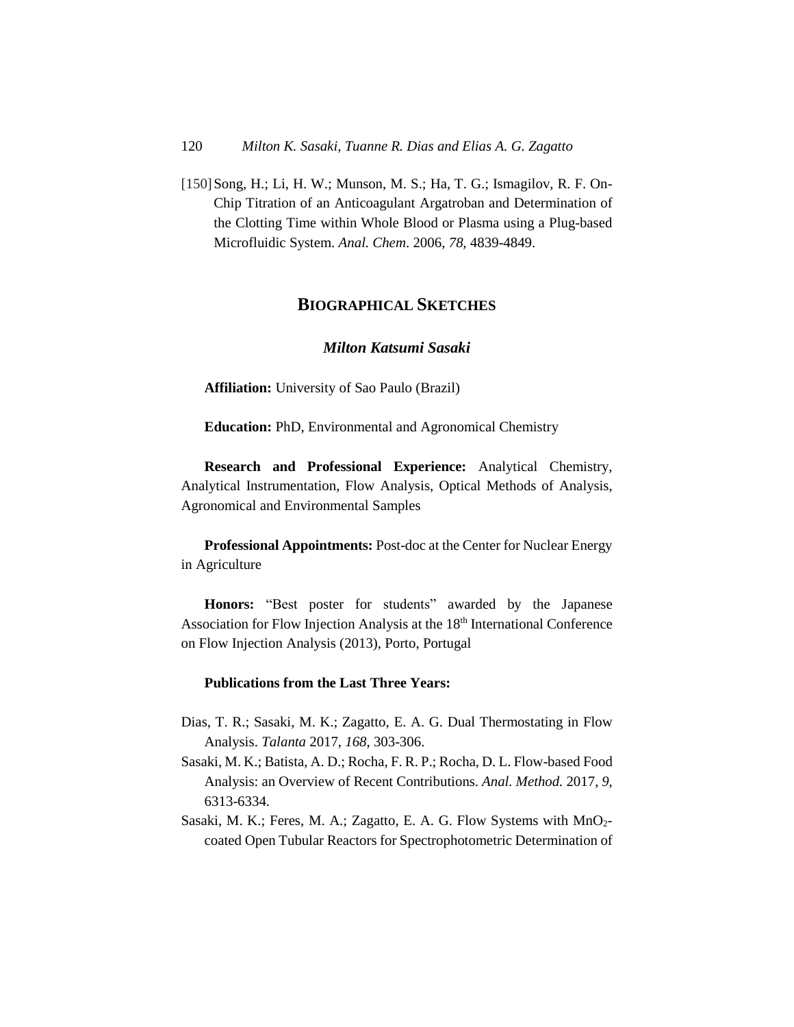[150] Song, H.; Li, H. W.; Munson, M. S.; Ha, T. G.; Ismagilov, R. F. On-Chip Titration of an Anticoagulant Argatroban and Determination of the Clotting Time within Whole Blood or Plasma using a Plug-based Microfluidic System. *Anal. Chem*. 2006, *78*, 4839-4849.

### **BIOGRAPHICAL SKETCHES**

#### *Milton Katsumi Sasaki*

**Affiliation:** University of Sao Paulo (Brazil)

**Education:** PhD, Environmental and Agronomical Chemistry

**Research and Professional Experience:** Analytical Chemistry, Analytical Instrumentation, Flow Analysis, Optical Methods of Analysis, Agronomical and Environmental Samples

**Professional Appointments:** Post-doc at the Center for Nuclear Energy in Agriculture

**Honors:** "Best poster for students" awarded by the Japanese Association for Flow Injection Analysis at the 18<sup>th</sup> International Conference on Flow Injection Analysis (2013), Porto, Portugal

#### **Publications from the Last Three Years:**

- Dias, T. R.; Sasaki, M. K.; Zagatto, E. A. G. Dual Thermostating in Flow Analysis. *Talanta* 2017, *168*, 303-306.
- Sasaki, M. K.; Batista, A. D.; Rocha, F. R. P.; Rocha, D. L. Flow-based Food Analysis: an Overview of Recent Contributions. *Anal. Method.* 2017, *9*, 6313-6334.
- Sasaki, M. K.; Feres, M. A.; Zagatto, E. A. G. Flow Systems with MnO<sub>2</sub>coated Open Tubular Reactors for Spectrophotometric Determination of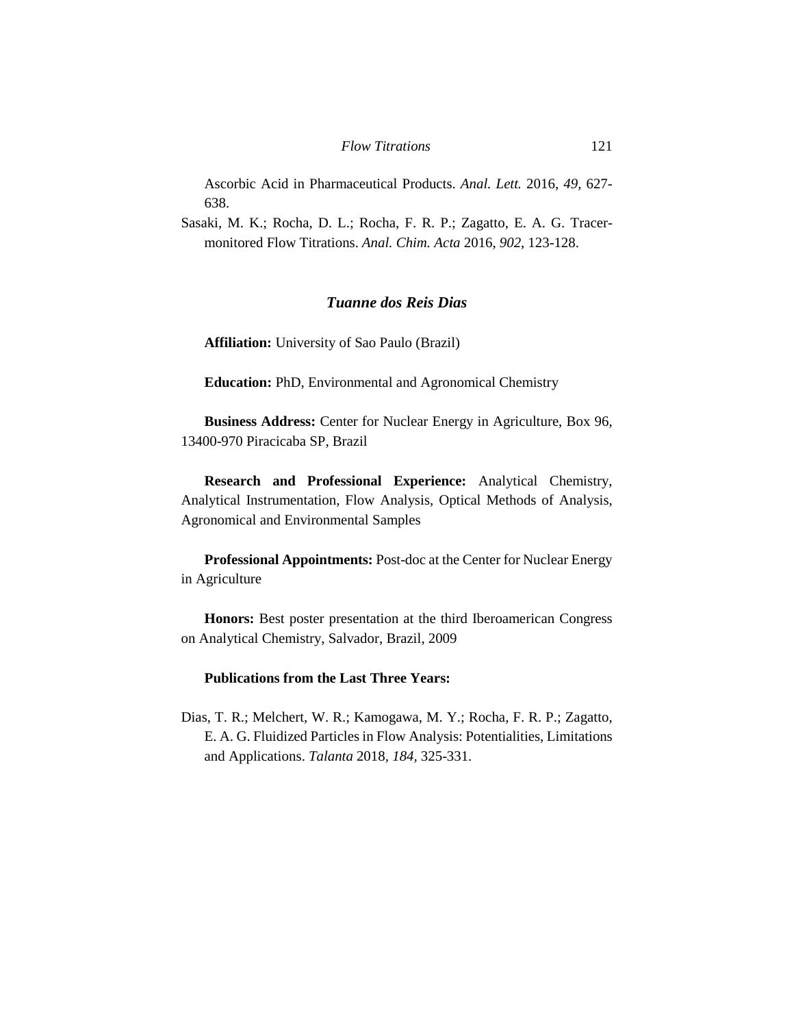Ascorbic Acid in Pharmaceutical Products. *Anal. Lett.* 2016, *49*, 627- 638.

Sasaki, M. K.; Rocha, D. L.; Rocha, F. R. P.; Zagatto, E. A. G. Tracermonitored Flow Titrations. *Anal. Chim. Acta* 2016, *902*, 123-128.

### *Tuanne dos Reis Dias*

**Affiliation:** University of Sao Paulo (Brazil)

**Education:** PhD, Environmental and Agronomical Chemistry

**Business Address:** Center for Nuclear Energy in Agriculture, Box 96, 13400-970 Piracicaba SP, Brazil

**Research and Professional Experience:** Analytical Chemistry, Analytical Instrumentation, Flow Analysis, Optical Methods of Analysis, Agronomical and Environmental Samples

**Professional Appointments:** Post-doc at the Center for Nuclear Energy in Agriculture

**Honors:** Best poster presentation at the third Iberoamerican Congress on Analytical Chemistry, Salvador, Brazil, 2009

# **Publications from the Last Three Years:**

Dias, T. R.; Melchert, W. R.; Kamogawa, M. Y.; Rocha, F. R. P.; Zagatto, E. A. G. Fluidized Particles in Flow Analysis: Potentialities, Limitations and Applications. *Talanta* 2018*, 184,* 325-331.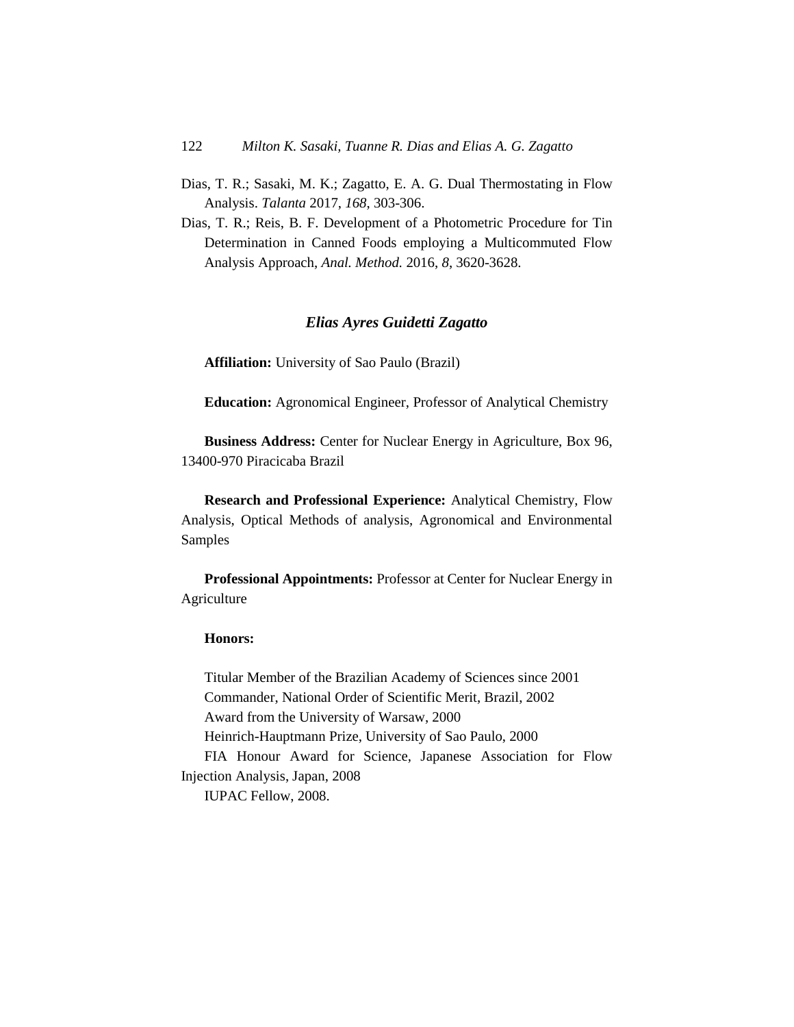- Dias, T. R.; Sasaki, M. K.; Zagatto, E. A. G. Dual Thermostating in Flow Analysis. *Talanta* 2017, *168*, 303-306.
- Dias, T. R.; Reis, B. F. Development of a Photometric Procedure for Tin Determination in Canned Foods employing a Multicommuted Flow Analysis Approach, *Anal. Method.* 2016, *8*, 3620-3628.

## *Elias Ayres Guidetti Zagatto*

**Affiliation:** University of Sao Paulo (Brazil)

**Education:** Agronomical Engineer, Professor of Analytical Chemistry

**Business Address:** Center for Nuclear Energy in Agriculture, Box 96, 13400-970 Piracicaba Brazil

**Research and Professional Experience:** Analytical Chemistry, Flow Analysis, Optical Methods of analysis, Agronomical and Environmental Samples

**Professional Appointments:** Professor at Center for Nuclear Energy in Agriculture

#### **Honors:**

Titular Member of the Brazilian Academy of Sciences since 2001 Commander, National Order of Scientific Merit, Brazil, 2002 Award from the University of Warsaw, 2000 Heinrich-Hauptmann Prize, University of Sao Paulo, 2000 FIA Honour Award for Science, Japanese Association for Flow Injection Analysis, Japan, 2008

IUPAC Fellow, 2008.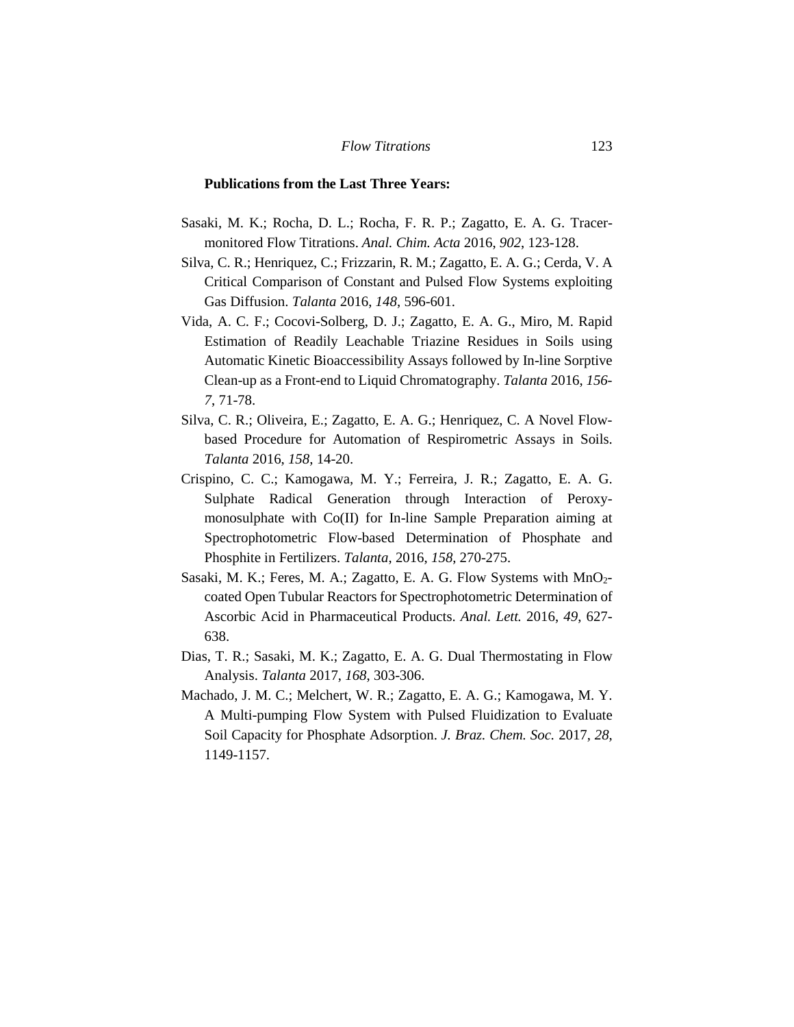#### **Publications from the Last Three Years:**

- Sasaki, M. K.; Rocha, D. L.; Rocha, F. R. P.; Zagatto, E. A. G. Tracermonitored Flow Titrations. *Anal. Chim. Acta* 2016, *902*, 123-128.
- Silva, C. R.; Henriquez, C.; Frizzarin, R. M.; Zagatto, E. A. G.; Cerda, V. A Critical Comparison of Constant and Pulsed Flow Systems exploiting Gas Diffusion. *Talanta* 2016, *148*, 596-601.
- Vida, A. C. F.; Cocovi-Solberg, D. J.; Zagatto, E. A. G., Miro, M. Rapid Estimation of Readily Leachable Triazine Residues in Soils using Automatic Kinetic Bioaccessibility Assays followed by In-line Sorptive Clean-up as a Front-end to Liquid Chromatography. *Talanta* 2016, *156- 7*, 71-78.
- Silva, C. R.; Oliveira, E.; Zagatto, E. A. G.; Henriquez, C. A Novel Flowbased Procedure for Automation of Respirometric Assays in Soils. *Talanta* 2016, *158*, 14-20.
- Crispino, C. C.; Kamogawa, M. Y.; Ferreira, J. R.; Zagatto, E. A. G. Sulphate Radical Generation through Interaction of Peroxymonosulphate with Co(II) for In-line Sample Preparation aiming at Spectrophotometric Flow-based Determination of Phosphate and Phosphite in Fertilizers. *Talanta*, 2016, *158*, 270-275.
- Sasaki, M. K.; Feres, M. A.; Zagatto, E. A. G. Flow Systems with MnO<sub>2</sub>coated Open Tubular Reactors for Spectrophotometric Determination of Ascorbic Acid in Pharmaceutical Products. *Anal. Lett.* 2016, *49*, 627- 638.
- Dias, T. R.; Sasaki, M. K.; Zagatto, E. A. G. Dual Thermostating in Flow Analysis. *Talanta* 2017, *168*, 303-306.
- Machado, J. M. C.; Melchert, W. R.; Zagatto, E. A. G.; Kamogawa, M. Y. A Multi-pumping Flow System with Pulsed Fluidization to Evaluate Soil Capacity for Phosphate Adsorption. *J. Braz. Chem. Soc.* 2017, *28*, 1149-1157.